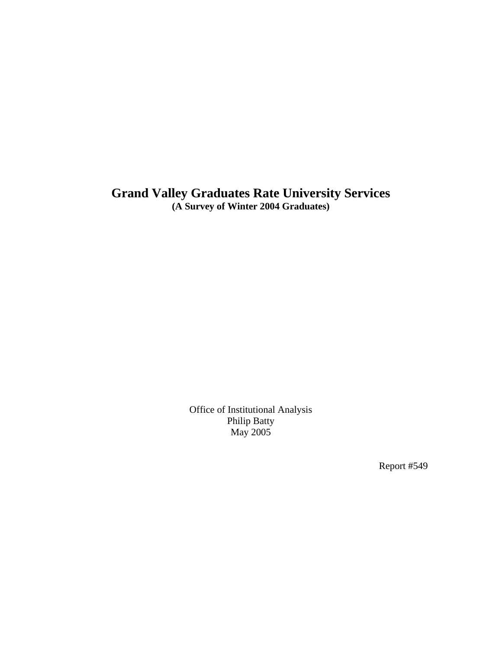# **Grand Valley Graduates Rate University Services (A Survey of Winter 2004 Graduates)**

Office of Institutional Analysis Philip Batty May 2005

Report #549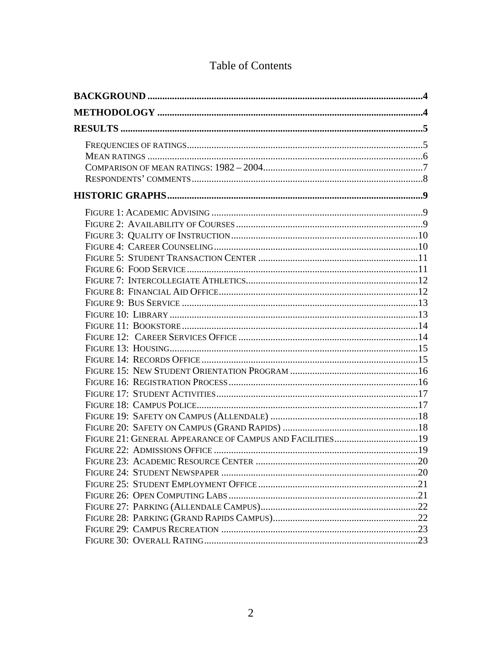# Table of Contents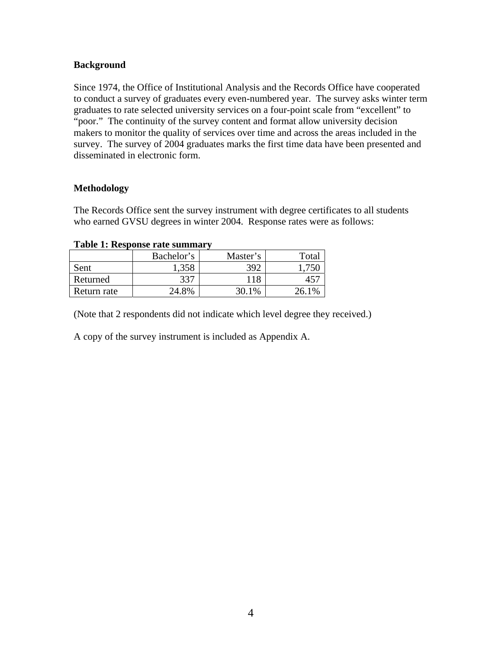## <span id="page-3-0"></span>**Background**

Since 1974, the Office of Institutional Analysis and the Records Office have cooperated to conduct a survey of graduates every even-numbered year. The survey asks winter term graduates to rate selected university services on a four-point scale from "excellent" to "poor." The continuity of the survey content and format allow university decision makers to monitor the quality of services over time and across the areas included in the survey. The survey of 2004 graduates marks the first time data have been presented and disseminated in electronic form.

## **Methodology**

The Records Office sent the survey instrument with degree certificates to all students who earned GVSU degrees in winter 2004. Response rates were as follows:

|  |  | Table 1: Response rate summary |  |
|--|--|--------------------------------|--|
|--|--|--------------------------------|--|

|             | Bachelor's | Master's | Total |
|-------------|------------|----------|-------|
| Sent        | 1,358      | 392      |       |
| Returned    | 337        | 118      |       |
| Return rate | 24.8%      | 30.1%    | 26.1% |

(Note that 2 respondents did not indicate which level degree they received.)

A copy of the survey instrument is included as Appendix A.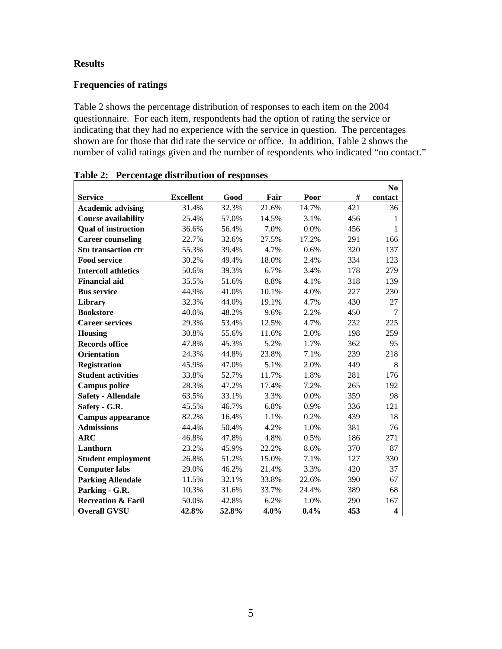## <span id="page-4-0"></span>**Results**

## **Frequencies of ratings**

Table 2 shows the percentage distribution of responses to each item on the 2004 questionnaire. For each item, respondents had the option of rating the service or indicating that they had no experience with the service in question. The percentages shown are for those that did rate the service or office. In addition, Table 2 shows the number of valid ratings given and the number of respondents who indicated "no contact."

|                               |                  |       |       |       |     | N <sub>0</sub>          |
|-------------------------------|------------------|-------|-------|-------|-----|-------------------------|
| <b>Service</b>                | <b>Excellent</b> | Good  | Fair  | Poor  | #   | contact                 |
| <b>Academic advising</b>      | 31.4%            | 32.3% | 21.6% | 14.7% | 421 | 36                      |
| <b>Course availability</b>    | 25.4%            | 57.0% | 14.5% | 3.1%  | 456 | 1                       |
| <b>Qual of instruction</b>    | 36.6%            | 56.4% | 7.0%  | 0.0%  | 456 | 1                       |
| <b>Career counseling</b>      | 22.7%            | 32.6% | 27.5% | 17.2% | 291 | 166                     |
| <b>Stu transaction ctr</b>    | 55.3%            | 39.4% | 4.7%  | 0.6%  | 320 | 137                     |
| <b>Food service</b>           | 30.2%            | 49.4% | 18.0% | 2.4%  | 334 | 123                     |
| <b>Intercoll athletics</b>    | 50.6%            | 39.3% | 6.7%  | 3.4%  | 178 | 279                     |
| <b>Financial aid</b>          | 35.5%            | 51.6% | 8.8%  | 4.1%  | 318 | 139                     |
| <b>Bus service</b>            | 44.9%            | 41.0% | 10.1% | 4.0%  | 227 | 230                     |
| <b>Library</b>                | 32.3%            | 44.0% | 19.1% | 4.7%  | 430 | 27                      |
| <b>Bookstore</b>              | 40.0%            | 48.2% | 9.6%  | 2.2%  | 450 | $\tau$                  |
| <b>Career services</b>        | 29.3%            | 53.4% | 12.5% | 4.7%  | 232 | 225                     |
| <b>Housing</b>                | 30.8%            | 55.6% | 11.6% | 2.0%  | 198 | 259                     |
| <b>Records office</b>         | 47.8%            | 45.3% | 5.2%  | 1.7%  | 362 | 95                      |
| <b>Orientation</b>            | 24.3%            | 44.8% | 23.8% | 7.1%  | 239 | 218                     |
| <b>Registration</b>           | 45.9%            | 47.0% | 5.1%  | 2.0%  | 449 | 8                       |
| <b>Student activities</b>     | 33.8%            | 52.7% | 11.7% | 1.8%  | 281 | 176                     |
| <b>Campus police</b>          | 28.3%            | 47.2% | 17.4% | 7.2%  | 265 | 192                     |
| <b>Safety - Allendale</b>     | 63.5%            | 33.1% | 3.3%  | 0.0%  | 359 | 98                      |
| Safety - G.R.                 | 45.5%            | 46.7% | 6.8%  | 0.9%  | 336 | 121                     |
| <b>Campus appearance</b>      | 82.2%            | 16.4% | 1.1%  | 0.2%  | 439 | 18                      |
| <b>Admissions</b>             | 44.4%            | 50.4% | 4.2%  | 1.0%  | 381 | 76                      |
| <b>ARC</b>                    | 46.8%            | 47.8% | 4.8%  | 0.5%  | 186 | 271                     |
| Lanthorn                      | 23.2%            | 45.9% | 22.2% | 8.6%  | 370 | 87                      |
| <b>Student employment</b>     | 26.8%            | 51.2% | 15.0% | 7.1%  | 127 | 330                     |
| <b>Computer labs</b>          | 29.0%            | 46.2% | 21.4% | 3.3%  | 420 | 37                      |
| <b>Parking Allendale</b>      | 11.5%            | 32.1% | 33.8% | 22.6% | 390 | 67                      |
| Parking - G.R.                | 10.3%            | 31.6% | 33.7% | 24.4% | 389 | 68                      |
| <b>Recreation &amp; Facil</b> | 50.0%            | 42.8% | 6.2%  | 1.0%  | 290 | 167                     |
| <b>Overall GVSU</b>           | 42.8%            | 52.8% | 4.0%  | 0.4%  | 453 | $\overline{\mathbf{4}}$ |

**Table 2: Percentage distribution of responses**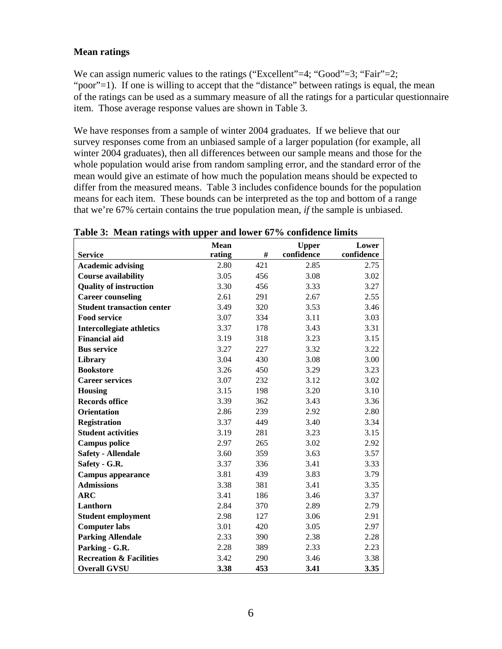## <span id="page-5-0"></span>**Mean ratings**

We can assign numeric values to the ratings ("Excellent"=4; "Good"=3; "Fair"=2; "poor"=1). If one is willing to accept that the "distance" between ratings is equal, the mean of the ratings can be used as a summary measure of all the ratings for a particular questionnaire item. Those average response values are shown in Table 3.

We have responses from a sample of winter 2004 graduates. If we believe that our survey responses come from an unbiased sample of a larger population (for example, all winter 2004 graduates), then all differences between our sample means and those for the whole population would arise from random sampling error, and the standard error of the mean would give an estimate of how much the population means should be expected to differ from the measured means. Table 3 includes confidence bounds for the population means for each item. These bounds can be interpreted as the top and bottom of a range that we're 67% certain contains the true population mean, *if* the sample is unbiased.

|                                    | <b>Mean</b> |     | <b>Upper</b> | Lower      |
|------------------------------------|-------------|-----|--------------|------------|
| <b>Service</b>                     | rating      | #   | confidence   | confidence |
| <b>Academic advising</b>           | 2.80        | 421 | 2.85         | 2.75       |
| <b>Course availability</b>         | 3.05        | 456 | 3.08         | 3.02       |
| <b>Quality of instruction</b>      | 3.30        | 456 | 3.33         | 3.27       |
| <b>Career counseling</b>           | 2.61        | 291 | 2.67         | 2.55       |
| <b>Student transaction center</b>  | 3.49        | 320 | 3.53         | 3.46       |
| <b>Food service</b>                | 3.07        | 334 | 3.11         | 3.03       |
| <b>Intercollegiate athletics</b>   | 3.37        | 178 | 3.43         | 3.31       |
| <b>Financial aid</b>               | 3.19        | 318 | 3.23         | 3.15       |
| <b>Bus service</b>                 | 3.27        | 227 | 3.32         | 3.22       |
| Library                            | 3.04        | 430 | 3.08         | 3.00       |
| <b>Bookstore</b>                   | 3.26        | 450 | 3.29         | 3.23       |
| <b>Career services</b>             | 3.07        | 232 | 3.12         | 3.02       |
| <b>Housing</b>                     | 3.15        | 198 | 3.20         | 3.10       |
| <b>Records office</b>              | 3.39        | 362 | 3.43         | 3.36       |
| <b>Orientation</b>                 | 2.86        | 239 | 2.92         | 2.80       |
| <b>Registration</b>                | 3.37        | 449 | 3.40         | 3.34       |
| <b>Student activities</b>          | 3.19        | 281 | 3.23         | 3.15       |
| <b>Campus police</b>               | 2.97        | 265 | 3.02         | 2.92       |
| <b>Safety - Allendale</b>          | 3.60        | 359 | 3.63         | 3.57       |
| Safety - G.R.                      | 3.37        | 336 | 3.41         | 3.33       |
| <b>Campus appearance</b>           | 3.81        | 439 | 3.83         | 3.79       |
| <b>Admissions</b>                  | 3.38        | 381 | 3.41         | 3.35       |
| <b>ARC</b>                         | 3.41        | 186 | 3.46         | 3.37       |
| Lanthorn                           | 2.84        | 370 | 2.89         | 2.79       |
| <b>Student employment</b>          | 2.98        | 127 | 3.06         | 2.91       |
| <b>Computer labs</b>               | 3.01        | 420 | 3.05         | 2.97       |
| <b>Parking Allendale</b>           | 2.33        | 390 | 2.38         | 2.28       |
| Parking - G.R.                     | 2.28        | 389 | 2.33         | 2.23       |
| <b>Recreation &amp; Facilities</b> | 3.42        | 290 | 3.46         | 3.38       |
| <b>Overall GVSU</b>                | 3.38        | 453 | 3.41         | 3.35       |

#### **Table 3: Mean ratings with upper and lower 67% confidence limits**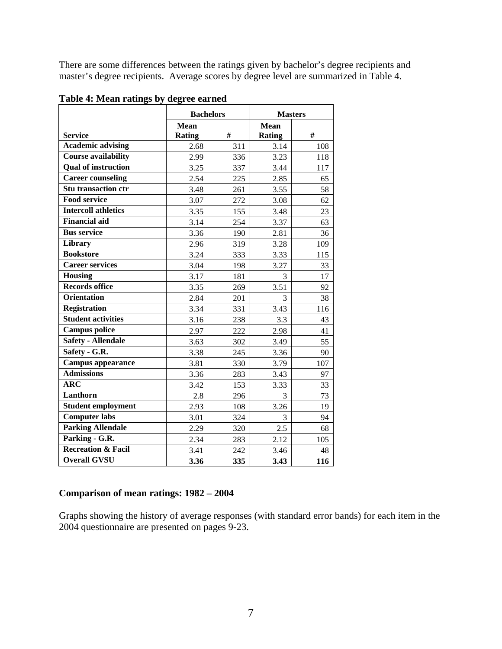<span id="page-6-0"></span>There are some differences between the ratings given by bachelor's degree recipients and master's degree recipients. Average scores by degree level are summarized in Table 4.

|                               | <b>Bachelors</b> |     | <b>Masters</b> |     |
|-------------------------------|------------------|-----|----------------|-----|
|                               | <b>Mean</b>      |     | <b>Mean</b>    |     |
| <b>Service</b>                | Rating           | #   | <b>Rating</b>  | #   |
| <b>Academic advising</b>      | 2.68             | 311 | 3.14           | 108 |
| <b>Course availability</b>    | 2.99             | 336 | 3.23           | 118 |
| <b>Qual of instruction</b>    | 3.25             | 337 | 3.44           | 117 |
| <b>Career counseling</b>      | 2.54             | 225 | 2.85           | 65  |
| <b>Stu transaction ctr</b>    | 3.48             | 261 | 3.55           | 58  |
| <b>Food service</b>           | 3.07             | 272 | 3.08           | 62  |
| <b>Intercoll athletics</b>    | 3.35             | 155 | 3.48           | 23  |
| Financial aid                 | 3.14             | 254 | 3.37           | 63  |
| <b>Bus service</b>            | 3.36             | 190 | 2.81           | 36  |
| Library                       | 2.96             | 319 | 3.28           | 109 |
| <b>Bookstore</b>              | 3.24             | 333 | 3.33           | 115 |
| <b>Career services</b>        | 3.04             | 198 | 3.27           | 33  |
| <b>Housing</b>                | 3.17             | 181 | 3              | 17  |
| <b>Records office</b>         | 3.35             | 269 | 3.51           | 92  |
| <b>Orientation</b>            | 2.84             | 201 | 3              | 38  |
| Registration                  | 3.34             | 331 | 3.43           | 116 |
| <b>Student activities</b>     | 3.16             | 238 | 3.3            | 43  |
| <b>Campus police</b>          | 2.97             | 222 | 2.98           | 41  |
| <b>Safety - Allendale</b>     | 3.63             | 302 | 3.49           | 55  |
| Safety - G.R.                 | 3.38             | 245 | 3.36           | 90  |
| Campus appearance             | 3.81             | 330 | 3.79           | 107 |
| <b>Admissions</b>             | 3.36             | 283 | 3.43           | 97  |
| <b>ARC</b>                    | 3.42             | 153 | 3.33           | 33  |
| Lanthorn                      | 2.8              | 296 | 3              | 73  |
| <b>Student employment</b>     | 2.93             | 108 | 3.26           | 19  |
| <b>Computer labs</b>          | 3.01             | 324 | 3              | 94  |
| <b>Parking Allendale</b>      | 2.29             | 320 | 2.5            | 68  |
| Parking - G.R.                | 2.34             | 283 | 2.12           | 105 |
| <b>Recreation &amp; Facil</b> | 3.41             | 242 | 3.46           | 48  |
| <b>Overall GVSU</b>           | 3.36             | 335 | 3.43           | 116 |

**Table 4: Mean ratings by degree earned** 

## **Comparison of mean ratings: 1982 – 2004**

Graphs showing the history of average responses (with standard error bands) for each item in the 2004 questionnaire are presented on pages 9-23.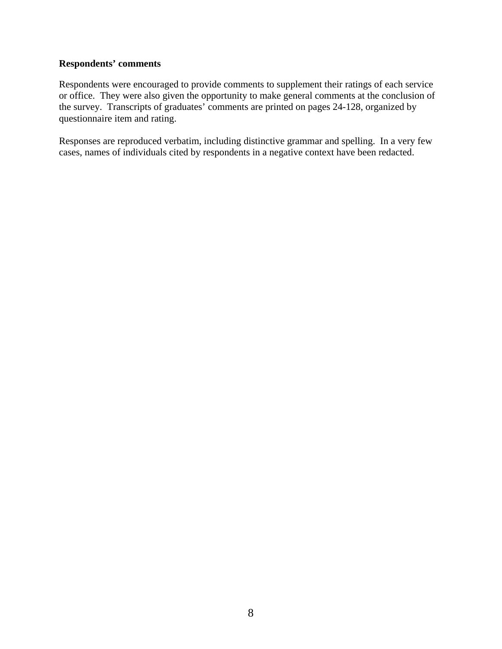## <span id="page-7-0"></span>**Respondents' comments**

Respondents were encouraged to provide comments to supplement their ratings of each service or office. They were also given the opportunity to make general comments at the conclusion of the survey. Transcripts of graduates' comments are printed on pages 24-128, organized by questionnaire item and rating.

Responses are reproduced verbatim, including distinctive grammar and spelling. In a very few cases, names of individuals cited by respondents in a negative context have been redacted.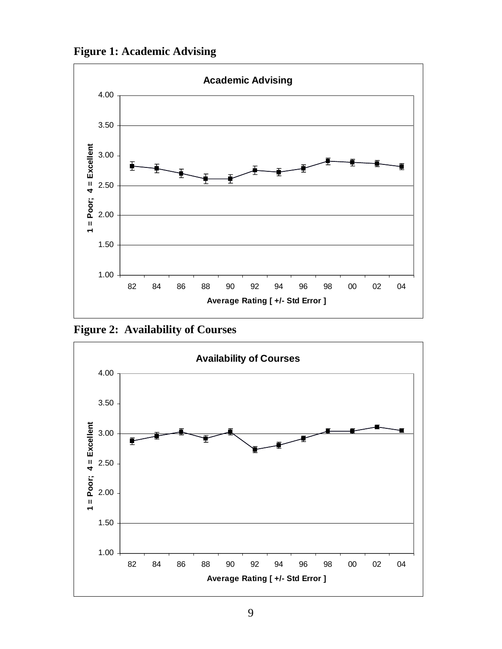<span id="page-8-0"></span>**Figure 1: Academic Advising**



**Figure 2: Availability of Courses**

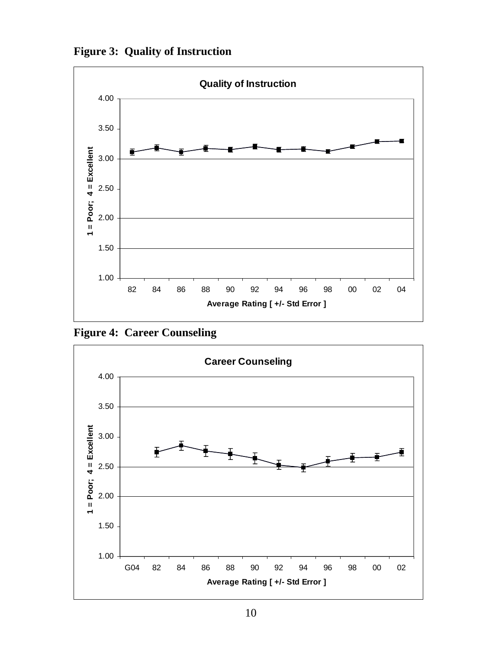**Figure 3: Quality of Instruction**



**Figure 4: Career Counseling** 

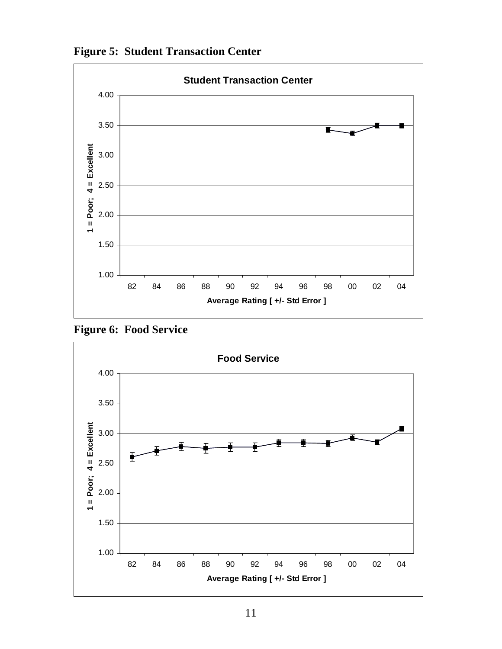



**Figure 6: Food Service** 

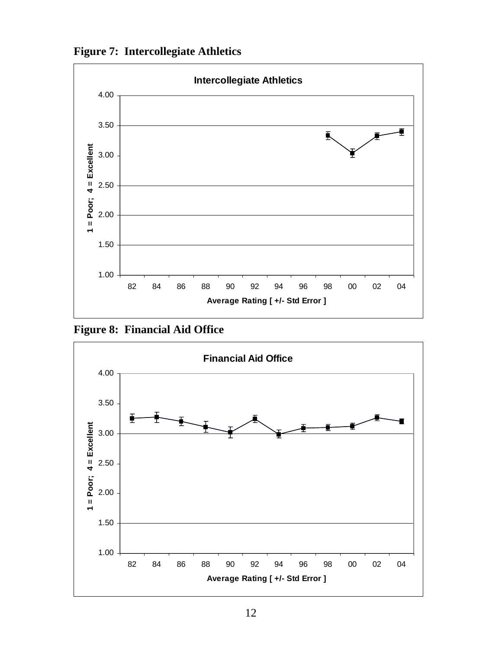



**Figure 8: Financial Aid Office** 

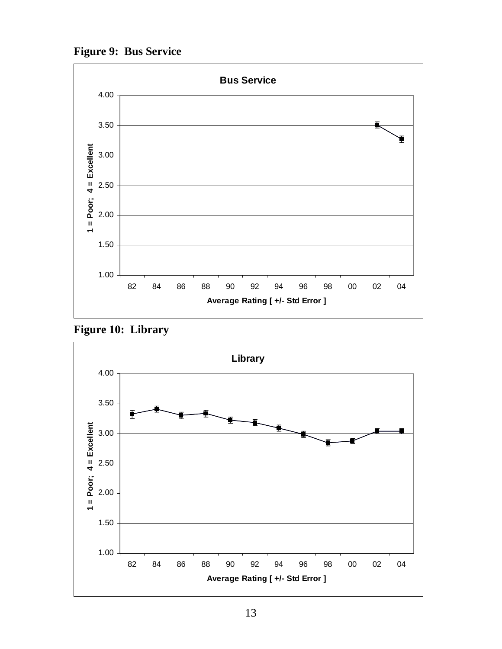**Figure 9: Bus Service** 



**Figure 10: Library** 

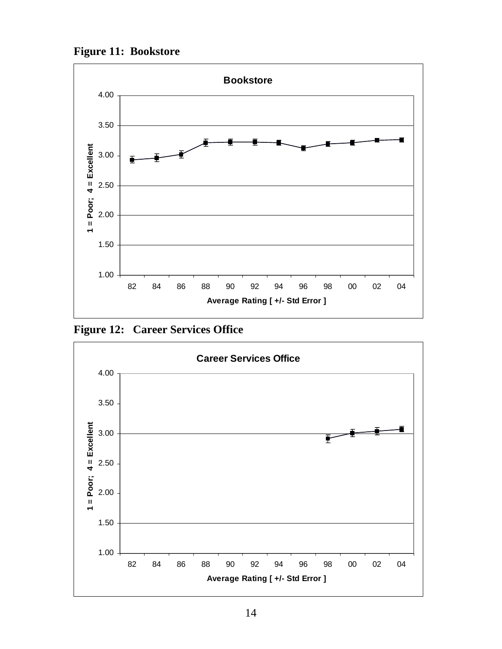**Figure 11: Bookstore** 



**Figure 12: Career Services Office** 

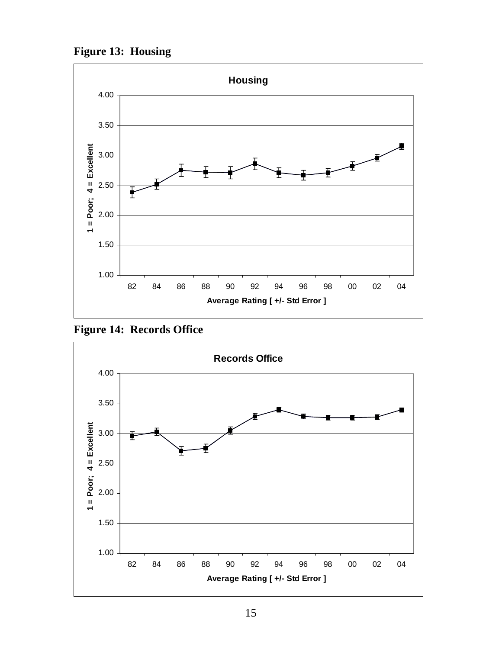**Figure 13: Housing** 



**Figure 14: Records Office** 

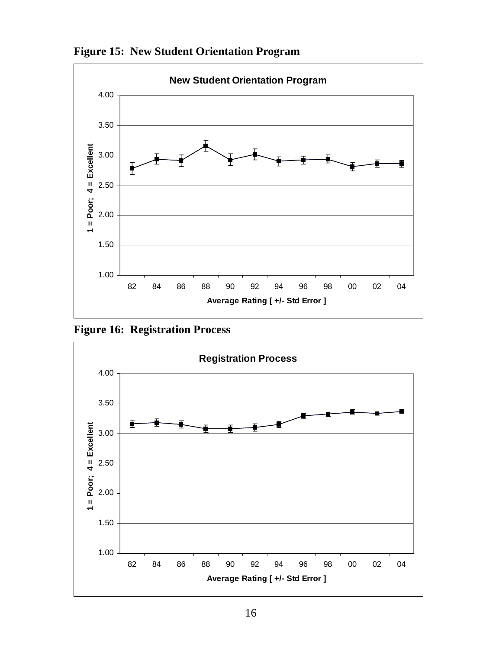



**Figure 16: Registration Process** 

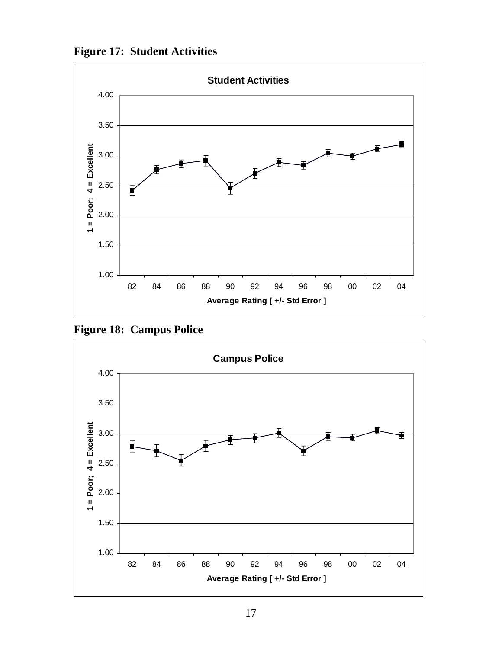**Figure 17: Student Activities** 



**Figure 18: Campus Police** 

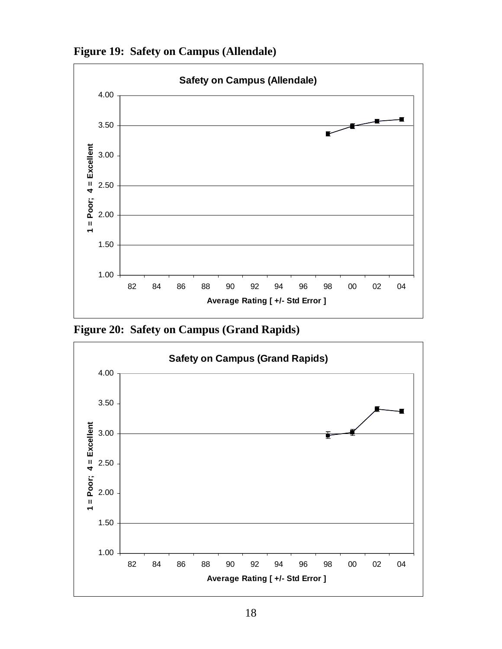



**Figure 20: Safety on Campus (Grand Rapids)** 

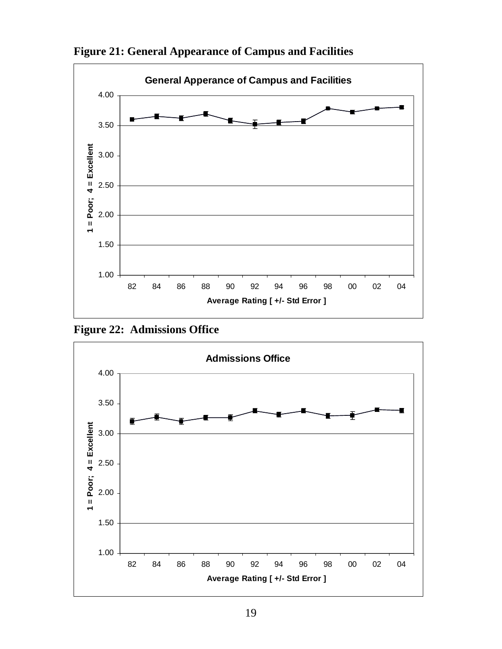

**Figure 21: General Appearance of Campus and Facilities** 

**Figure 22: Admissions Office** 

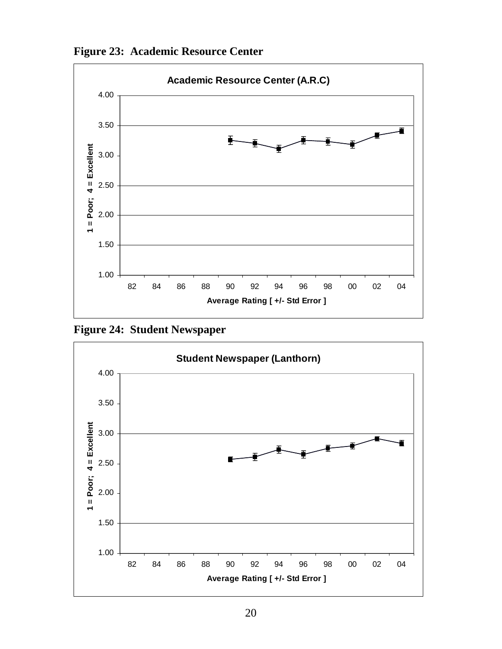



**Figure 24: Student Newspaper** 

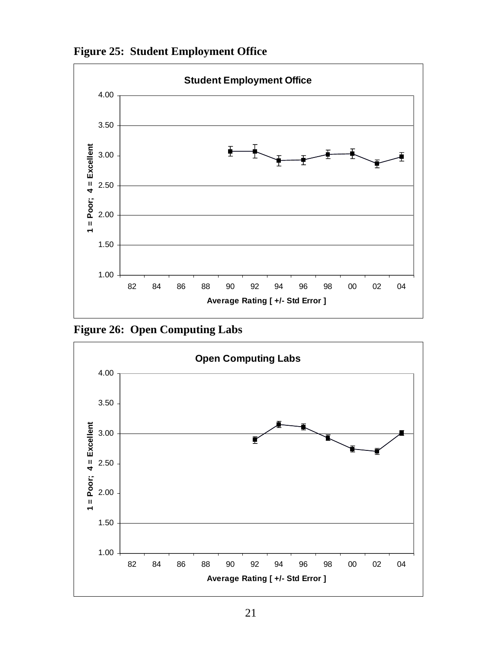



**Figure 26: Open Computing Labs** 

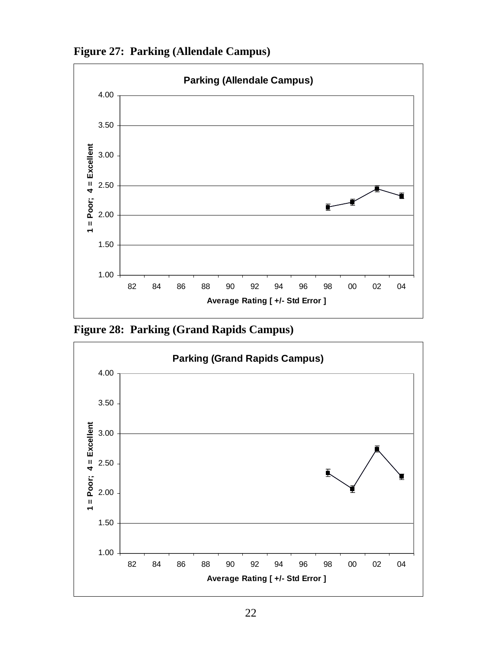



**Figure 28: Parking (Grand Rapids Campus)** 

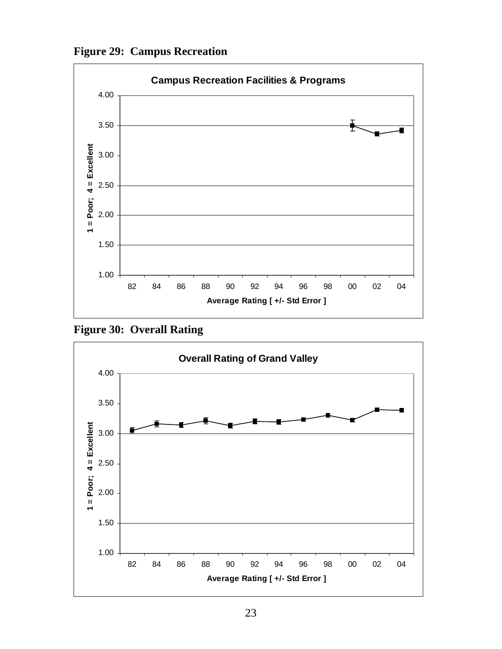**Figure 29: Campus Recreation** 



**Figure 30: Overall Rating** 

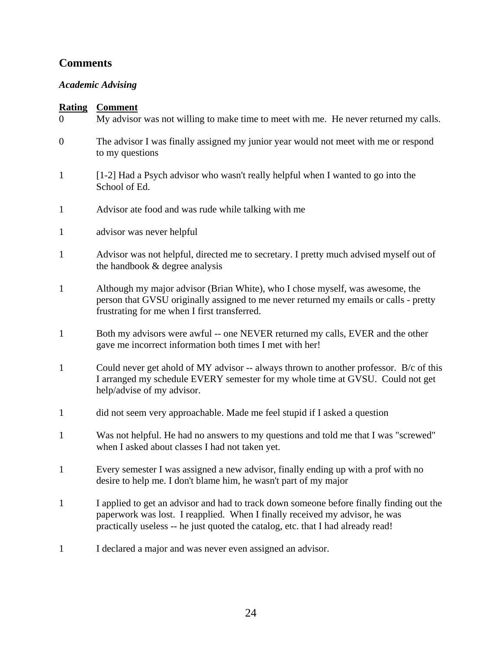## <span id="page-23-0"></span>**Comments**

## *Academic Advising*

| $\sim$ $\sim$ $\sim$<br>$\overline{0}$ | My advisor was not willing to make time to meet with me. He never returned my calls.                                                                                                                                                                        |
|----------------------------------------|-------------------------------------------------------------------------------------------------------------------------------------------------------------------------------------------------------------------------------------------------------------|
| $\boldsymbol{0}$                       | The advisor I was finally assigned my junior year would not meet with me or respond<br>to my questions                                                                                                                                                      |
| $\mathbf{1}$                           | [1-2] Had a Psych advisor who wasn't really helpful when I wanted to go into the<br>School of Ed.                                                                                                                                                           |
| $\mathbf{1}$                           | Advisor ate food and was rude while talking with me                                                                                                                                                                                                         |
| $\mathbf{1}$                           | advisor was never helpful                                                                                                                                                                                                                                   |
| $\mathbf{1}$                           | Advisor was not helpful, directed me to secretary. I pretty much advised myself out of<br>the handbook & degree analysis                                                                                                                                    |
| $\mathbf{1}$                           | Although my major advisor (Brian White), who I chose myself, was awesome, the<br>person that GVSU originally assigned to me never returned my emails or calls - pretty<br>frustrating for me when I first transferred.                                      |
| $\mathbf{1}$                           | Both my advisors were awful -- one NEVER returned my calls, EVER and the other<br>gave me incorrect information both times I met with her!                                                                                                                  |
| $\mathbf{1}$                           | Could never get ahold of MY advisor -- always thrown to another professor. B/c of this<br>I arranged my schedule EVERY semester for my whole time at GVSU. Could not get<br>help/advise of my advisor.                                                      |
| $\mathbf{1}$                           | did not seem very approachable. Made me feel stupid if I asked a question                                                                                                                                                                                   |
| $\mathbf{1}$                           | Was not helpful. He had no answers to my questions and told me that I was "screwed"<br>when I asked about classes I had not taken yet.                                                                                                                      |
| $\mathbf{1}$                           | Every semester I was assigned a new advisor, finally ending up with a prof with no<br>desire to help me. I don't blame him, he wasn't part of my major                                                                                                      |
| $\mathbf{1}$                           | I applied to get an advisor and had to track down someone before finally finding out the<br>paperwork was lost. I reapplied. When I finally received my advisor, he was<br>practically useless -- he just quoted the catalog, etc. that I had already read! |
| 1                                      | I declared a major and was never even assigned an advisor.                                                                                                                                                                                                  |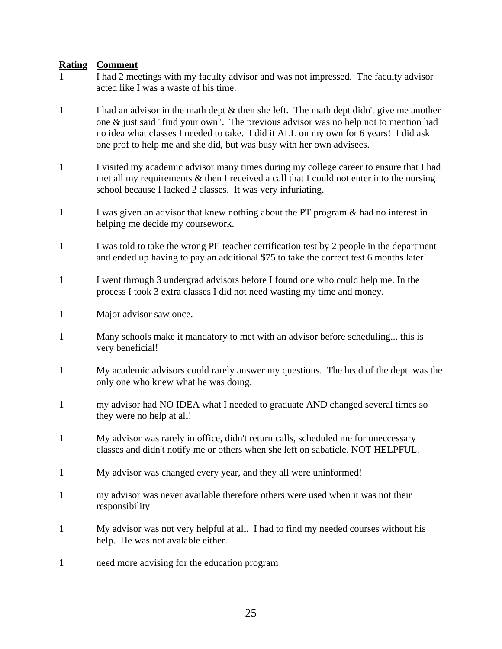- 1 I had 2 meetings with my faculty advisor and was not impressed. The faculty advisor acted like I was a waste of his time.
- 1 I had an advisor in the math dept  $\&$  then she left. The math dept didn't give me another one & just said "find your own". The previous advisor was no help not to mention had no idea what classes I needed to take. I did it ALL on my own for 6 years! I did ask one prof to help me and she did, but was busy with her own advisees.
- 1 I visited my academic advisor many times during my college career to ensure that I had met all my requirements & then I received a call that I could not enter into the nursing school because I lacked 2 classes. It was very infuriating.
- 1 I was given an advisor that knew nothing about the PT program & had no interest in helping me decide my coursework.
- 1 I was told to take the wrong PE teacher certification test by 2 people in the department and ended up having to pay an additional \$75 to take the correct test 6 months later!
- 1 I went through 3 undergrad advisors before I found one who could help me. In the process I took 3 extra classes I did not need wasting my time and money.
- 1 Major advisor saw once.
- 1 Many schools make it mandatory to met with an advisor before scheduling... this is very beneficial!
- 1 My academic advisors could rarely answer my questions. The head of the dept. was the only one who knew what he was doing.
- 1 my advisor had NO IDEA what I needed to graduate AND changed several times so they were no help at all!
- 1 My advisor was rarely in office, didn't return calls, scheduled me for uneccessary classes and didn't notify me or others when she left on sabaticle. NOT HELPFUL.
- 1 My advisor was changed every year, and they all were uninformed!
- 1 my advisor was never available therefore others were used when it was not their responsibility
- 1 My advisor was not very helpful at all. I had to find my needed courses without his help. He was not avalable either.
- 1 need more advising for the education program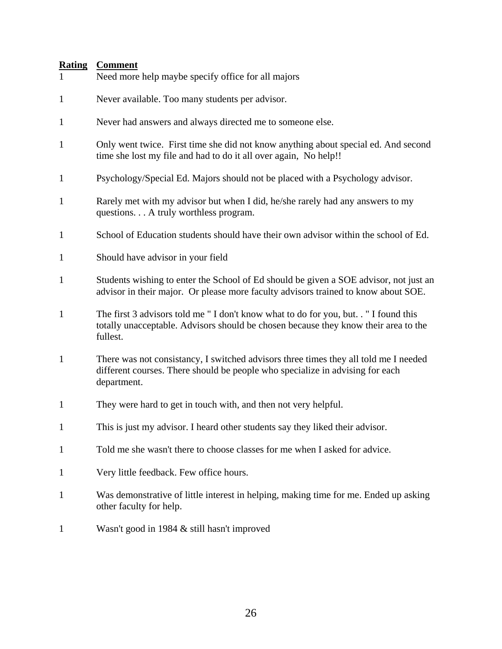| $\mathbf{1}$ | Need more help maybe specify office for all majors                                                                                                                                     |
|--------------|----------------------------------------------------------------------------------------------------------------------------------------------------------------------------------------|
| $\mathbf{1}$ | Never available. Too many students per advisor.                                                                                                                                        |
| $\mathbf{1}$ | Never had answers and always directed me to someone else.                                                                                                                              |
| $\mathbf{1}$ | Only went twice. First time she did not know anything about special ed. And second<br>time she lost my file and had to do it all over again, No help!!                                 |
| $\mathbf{1}$ | Psychology/Special Ed. Majors should not be placed with a Psychology advisor.                                                                                                          |
| $\mathbf{1}$ | Rarely met with my advisor but when I did, he/she rarely had any answers to my<br>questions A truly worthless program.                                                                 |
| $\mathbf{1}$ | School of Education students should have their own advisor within the school of Ed.                                                                                                    |
| $\mathbf{1}$ | Should have advisor in your field                                                                                                                                                      |
| $\mathbf{1}$ | Students wishing to enter the School of Ed should be given a SOE advisor, not just an<br>advisor in their major. Or please more faculty advisors trained to know about SOE.            |
| $\mathbf{1}$ | The first 3 advisors told me "I don't know what to do for you, but. . "I found this<br>totally unacceptable. Advisors should be chosen because they know their area to the<br>fullest. |
| $\mathbf{1}$ | There was not consistancy, I switched advisors three times they all told me I needed<br>different courses. There should be people who specialize in advising for each<br>department.   |
| $\mathbf{1}$ | They were hard to get in touch with, and then not very helpful.                                                                                                                        |
| $\mathbf{1}$ | This is just my advisor. I heard other students say they liked their advisor.                                                                                                          |
| $\mathbf{1}$ | Told me she wasn't there to choose classes for me when I asked for advice.                                                                                                             |
| $\mathbf{1}$ | Very little feedback. Few office hours.                                                                                                                                                |
| 1            | Was demonstrative of little interest in helping, making time for me. Ended up asking<br>other faculty for help.                                                                        |
| $\mathbf{1}$ | Wasn't good in 1984 & still hasn't improved                                                                                                                                            |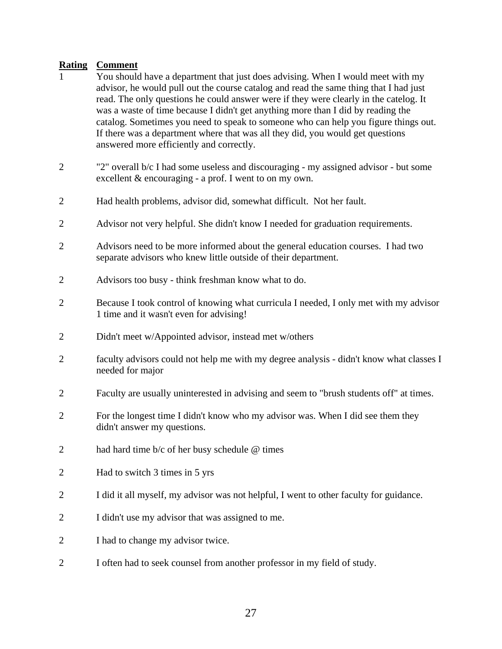- 1 You should have a department that just does advising. When I would meet with my advisor, he would pull out the course catalog and read the same thing that I had just read. The only questions he could answer were if they were clearly in the catelog. It was a waste of time because I didn't get anything more than I did by reading the catalog. Sometimes you need to speak to someone who can help you figure things out. If there was a department where that was all they did, you would get questions answered more efficiently and correctly.
- 2 "2" overall b/c I had some useless and discouraging my assigned advisor but some excellent & encouraging - a prof. I went to on my own.
- 2 Had health problems, advisor did, somewhat difficult. Not her fault.
- 2 Advisor not very helpful. She didn't know I needed for graduation requirements.
- 2 Advisors need to be more informed about the general education courses. I had two separate advisors who knew little outside of their department.
- 2 Advisors too busy think freshman know what to do.
- 2 Because I took control of knowing what curricula I needed, I only met with my advisor 1 time and it wasn't even for advising!
- 2 Didn't meet w/Appointed advisor, instead met w/others
- 2 faculty advisors could not help me with my degree analysis didn't know what classes I needed for major
- 2 Faculty are usually uninterested in advising and seem to "brush students off" at times.
- 2 For the longest time I didn't know who my advisor was. When I did see them they didn't answer my questions.
- 2 had hard time b/c of her busy schedule @ times
- 2 Had to switch 3 times in 5 yrs
- 2 I did it all myself, my advisor was not helpful, I went to other faculty for guidance.
- 2 I didn't use my advisor that was assigned to me.
- 2 I had to change my advisor twice.
- 2 I often had to seek counsel from another professor in my field of study.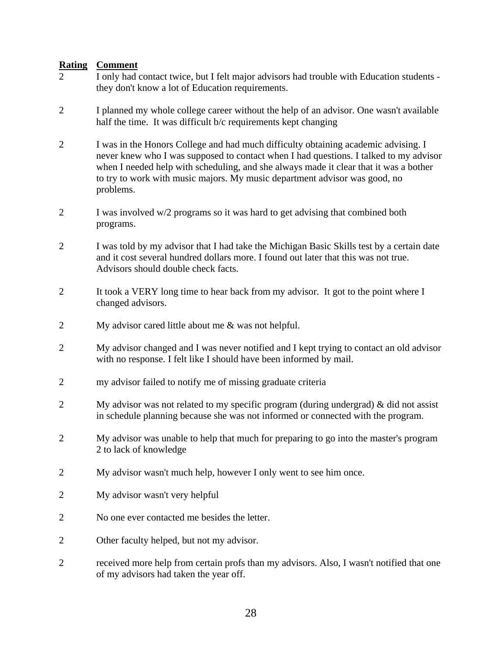- 2 I only had contact twice, but I felt major advisors had trouble with Education students they don't know a lot of Education requirements.
- 2 I planned my whole college career without the help of an advisor. One wasn't available half the time. It was difficult b/c requirements kept changing
- 2 I was in the Honors College and had much difficulty obtaining academic advising. I never knew who I was supposed to contact when I had questions. I talked to my advisor when I needed help with scheduling, and she always made it clear that it was a bother to try to work with music majors. My music department advisor was good, no problems.
- 2 I was involved w/2 programs so it was hard to get advising that combined both programs.
- 2 I was told by my advisor that I had take the Michigan Basic Skills test by a certain date and it cost several hundred dollars more. I found out later that this was not true. Advisors should double check facts.
- 2 It took a VERY long time to hear back from my advisor. It got to the point where I changed advisors.
- 2 My advisor cared little about me & was not helpful.
- 2 My advisor changed and I was never notified and I kept trying to contact an old advisor with no response. I felt like I should have been informed by mail.
- 2 my advisor failed to notify me of missing graduate criteria
- 2 My advisor was not related to my specific program (during undergrad) & did not assist in schedule planning because she was not informed or connected with the program.
- 2 My advisor was unable to help that much for preparing to go into the master's program 2 to lack of knowledge
- 2 My advisor wasn't much help, however I only went to see him once.
- 2 My advisor wasn't very helpful
- 2 No one ever contacted me besides the letter.
- 2 Other faculty helped, but not my advisor.
- 2 received more help from certain profs than my advisors. Also, I wasn't notified that one of my advisors had taken the year off.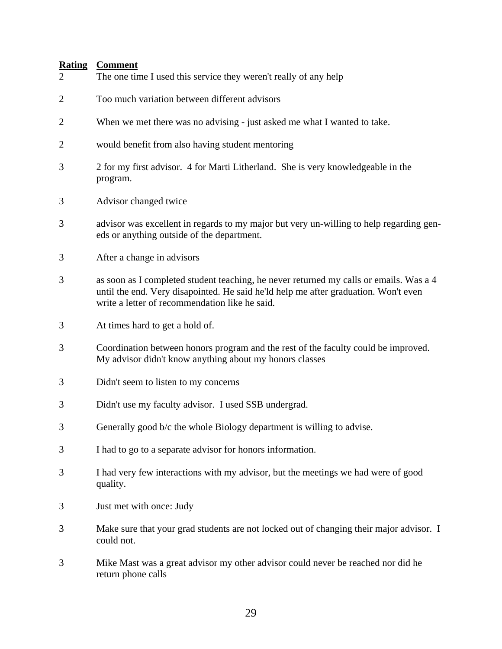| $\overline{2}$ | The one time I used this service they weren't really of any help                                                                                                                                                                |
|----------------|---------------------------------------------------------------------------------------------------------------------------------------------------------------------------------------------------------------------------------|
| $\overline{2}$ | Too much variation between different advisors                                                                                                                                                                                   |
| $\overline{2}$ | When we met there was no advising - just asked me what I wanted to take.                                                                                                                                                        |
| $\overline{2}$ | would benefit from also having student mentoring                                                                                                                                                                                |
| 3              | 2 for my first advisor. 4 for Marti Litherland. She is very knowledgeable in the<br>program.                                                                                                                                    |
| 3              | Advisor changed twice                                                                                                                                                                                                           |
| 3              | advisor was excellent in regards to my major but very un-willing to help regarding gen-<br>eds or anything outside of the department.                                                                                           |
| 3              | After a change in advisors                                                                                                                                                                                                      |
| 3              | as soon as I completed student teaching, he never returned my calls or emails. Was a 4<br>until the end. Very disapointed. He said he'ld help me after graduation. Won't even<br>write a letter of recommendation like he said. |
| 3              | At times hard to get a hold of.                                                                                                                                                                                                 |
| 3              | Coordination between honors program and the rest of the faculty could be improved.<br>My advisor didn't know anything about my honors classes                                                                                   |
| 3              | Didn't seem to listen to my concerns                                                                                                                                                                                            |
| 3              | Didn't use my faculty advisor. I used SSB undergrad.                                                                                                                                                                            |
| 3              | Generally good b/c the whole Biology department is willing to advise.                                                                                                                                                           |
| 3              | I had to go to a separate advisor for honors information.                                                                                                                                                                       |
| 3              | I had very few interactions with my advisor, but the meetings we had were of good<br>quality.                                                                                                                                   |
| 3              | Just met with once: Judy                                                                                                                                                                                                        |
| 3              | Make sure that your grad students are not locked out of changing their major advisor. I<br>could not.                                                                                                                           |
| 3              | Mike Mast was a great advisor my other advisor could never be reached nor did he<br>return phone calls                                                                                                                          |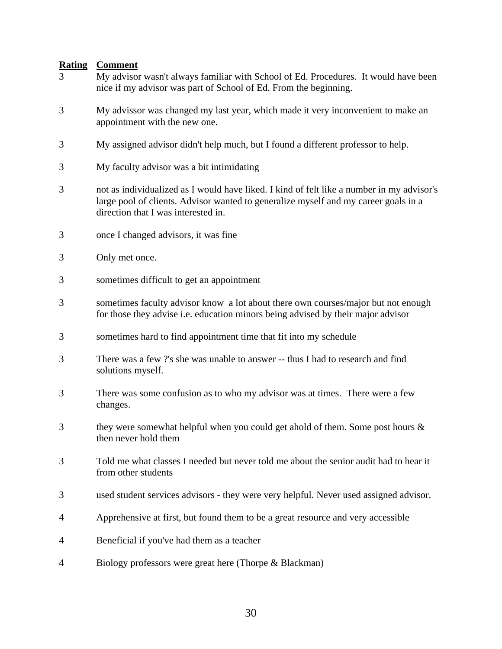- 3 My advisor wasn't always familiar with School of Ed. Procedures. It would have been nice if my advisor was part of School of Ed. From the beginning.
- 3 My advissor was changed my last year, which made it very inconvenient to make an appointment with the new one.
- 3 My assigned advisor didn't help much, but I found a different professor to help.
- 3 My faculty advisor was a bit intimidating
- 3 not as individualized as I would have liked. I kind of felt like a number in my advisor's large pool of clients. Advisor wanted to generalize myself and my career goals in a direction that I was interested in.
- 3 once I changed advisors, it was fine
- 3 Only met once.
- 3 sometimes difficult to get an appointment
- 3 sometimes faculty advisor know a lot about there own courses/major but not enough for those they advise i.e. education minors being advised by their major advisor
- 3 sometimes hard to find appointment time that fit into my schedule
- 3 There was a few ?'s she was unable to answer -- thus I had to research and find solutions myself.
- 3 There was some confusion as to who my advisor was at times. There were a few changes.
- 3 they were somewhat helpful when you could get ahold of them. Some post hours  $\&$ then never hold them
- 3 Told me what classes I needed but never told me about the senior audit had to hear it from other students
- 3 used student services advisors they were very helpful. Never used assigned advisor.
- 4 Apprehensive at first, but found them to be a great resource and very accessible
- 4 Beneficial if you've had them as a teacher
- 4 Biology professors were great here (Thorpe & Blackman)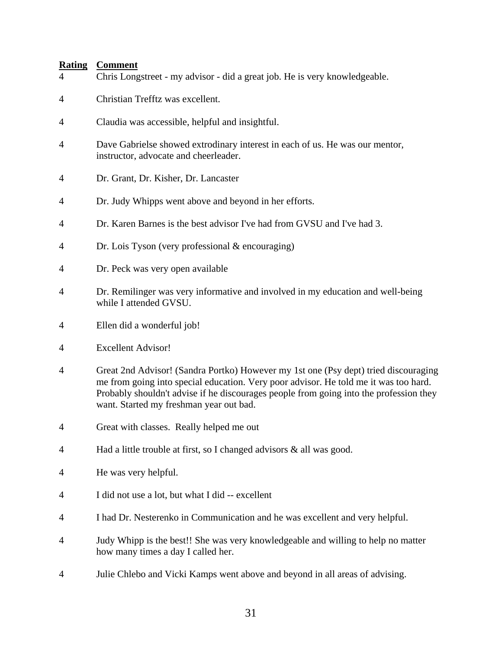| $\overline{4}$ | Chris Longstreet - my advisor - did a great job. He is very knowledgeable.                                                                                                                                                                                                                                       |
|----------------|------------------------------------------------------------------------------------------------------------------------------------------------------------------------------------------------------------------------------------------------------------------------------------------------------------------|
| 4              | Christian Trefftz was excellent.                                                                                                                                                                                                                                                                                 |
| 4              | Claudia was accessible, helpful and insightful.                                                                                                                                                                                                                                                                  |
| 4              | Dave Gabrielse showed extrodinary interest in each of us. He was our mentor,<br>instructor, advocate and cheerleader.                                                                                                                                                                                            |
| 4              | Dr. Grant, Dr. Kisher, Dr. Lancaster                                                                                                                                                                                                                                                                             |
| 4              | Dr. Judy Whipps went above and beyond in her efforts.                                                                                                                                                                                                                                                            |
| 4              | Dr. Karen Barnes is the best advisor I've had from GVSU and I've had 3.                                                                                                                                                                                                                                          |
| 4              | Dr. Lois Tyson (very professional $&$ encouraging)                                                                                                                                                                                                                                                               |
| 4              | Dr. Peck was very open available                                                                                                                                                                                                                                                                                 |
| 4              | Dr. Remilinger was very informative and involved in my education and well-being<br>while I attended GVSU.                                                                                                                                                                                                        |
| 4              | Ellen did a wonderful job!                                                                                                                                                                                                                                                                                       |
| 4              | <b>Excellent Advisor!</b>                                                                                                                                                                                                                                                                                        |
| 4              | Great 2nd Advisor! (Sandra Portko) However my 1st one (Psy dept) tried discouraging<br>me from going into special education. Very poor advisor. He told me it was too hard.<br>Probably shouldn't advise if he discourages people from going into the profession they<br>want. Started my freshman year out bad. |
| 4              | Great with classes. Really helped me out                                                                                                                                                                                                                                                                         |
| 4              | Had a little trouble at first, so I changed advisors $\&$ all was good.                                                                                                                                                                                                                                          |
| 4              | He was very helpful.                                                                                                                                                                                                                                                                                             |
| 4              | I did not use a lot, but what I did -- excellent                                                                                                                                                                                                                                                                 |
| 4              | I had Dr. Nesterenko in Communication and he was excellent and very helpful.                                                                                                                                                                                                                                     |
| 4              | Judy Whipp is the best!! She was very knowledgeable and willing to help no matter<br>how many times a day I called her.                                                                                                                                                                                          |
| 4              | Julie Chlebo and Vicki Kamps went above and beyond in all areas of advising.                                                                                                                                                                                                                                     |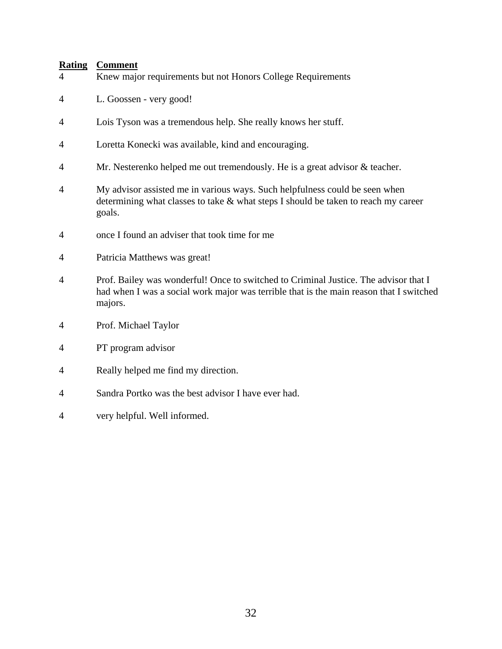- 4 Knew major requirements but not Honors College Requirements
- 4 L. Goossen very good!
- 4 Lois Tyson was a tremendous help. She really knows her stuff.
- 4 Loretta Konecki was available, kind and encouraging.
- 4 Mr. Nesterenko helped me out tremendously. He is a great advisor & teacher.
- 4 My advisor assisted me in various ways. Such helpfulness could be seen when determining what classes to take  $&$  what steps I should be taken to reach my career goals.
- 4 once I found an adviser that took time for me
- 4 Patricia Matthews was great!
- 4 Prof. Bailey was wonderful! Once to switched to Criminal Justice. The advisor that I had when I was a social work major was terrible that is the main reason that I switched majors.
- 4 Prof. Michael Taylor
- 4 PT program advisor
- 4 Really helped me find my direction.
- 4 Sandra Portko was the best advisor I have ever had.
- 4 very helpful. Well informed.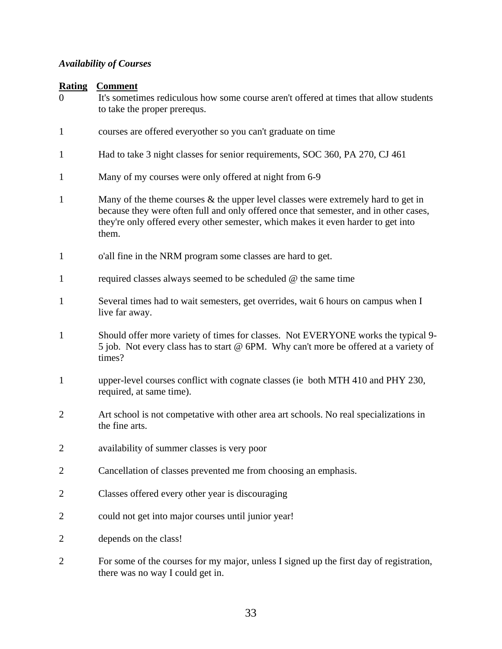## <span id="page-32-0"></span>*Availability of Courses*

| It's sometimes rediculous how some course aren't offered at times that allow students                                                                                     |
|---------------------------------------------------------------------------------------------------------------------------------------------------------------------------|
|                                                                                                                                                                           |
|                                                                                                                                                                           |
|                                                                                                                                                                           |
| because they were often full and only offered once that semester, and in other cases,                                                                                     |
|                                                                                                                                                                           |
|                                                                                                                                                                           |
|                                                                                                                                                                           |
| Should offer more variety of times for classes. Not EVERYONE works the typical 9-<br>5 job. Not every class has to start @ 6PM. Why can't more be offered at a variety of |
|                                                                                                                                                                           |
|                                                                                                                                                                           |
|                                                                                                                                                                           |
|                                                                                                                                                                           |
|                                                                                                                                                                           |

- 2 Classes offered every other year is discouraging
- 2 could not get into major courses until junior year!
- 2 depends on the class!
- 2 For some of the courses for my major, unless I signed up the first day of registration, there was no way I could get in.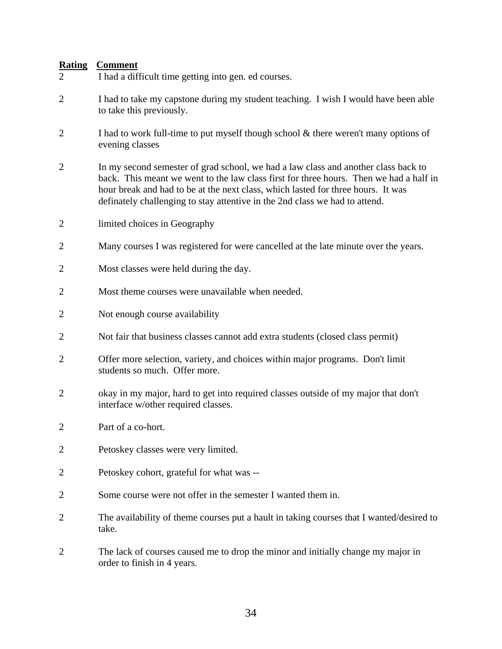- 2 I had a difficult time getting into gen. ed courses.
- 2 I had to take my capstone during my student teaching. I wish I would have been able to take this previously.
- 2 I had to work full-time to put myself though school & there weren't many options of evening classes
- 2 In my second semester of grad school, we had a law class and another class back to back. This meant we went to the law class first for three hours. Then we had a half in hour break and had to be at the next class, which lasted for three hours. It was definately challenging to stay attentive in the 2nd class we had to attend.
- 2 limited choices in Geography
- 2 Many courses I was registered for were cancelled at the late minute over the years.
- 2 Most classes were held during the day.
- 2 Most theme courses were unavailable when needed.
- 2 Not enough course availability
- 2 Not fair that business classes cannot add extra students (closed class permit)
- 2 Offer more selection, variety, and choices within major programs. Don't limit students so much. Offer more.
- 2 okay in my major, hard to get into required classes outside of my major that don't interface w/other required classes.
- 2 Part of a co-hort.
- 2 Petoskey classes were very limited.
- 2 Petoskey cohort, grateful for what was --
- 2 Some course were not offer in the semester I wanted them in.
- 2 The availability of theme courses put a hault in taking courses that I wanted/desired to take.
- 2 The lack of courses caused me to drop the minor and initially change my major in order to finish in 4 years.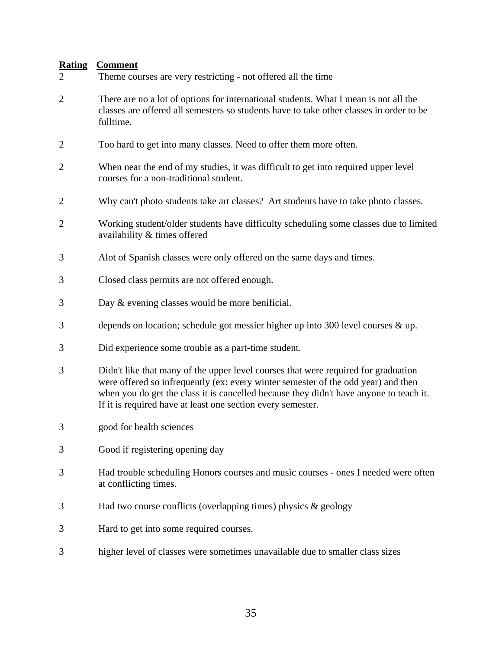| $\overline{2}$ | Theme courses are very restricting - not offered all the time                                                                                                                                                                                                                                                                    |
|----------------|----------------------------------------------------------------------------------------------------------------------------------------------------------------------------------------------------------------------------------------------------------------------------------------------------------------------------------|
| $\overline{2}$ | There are no a lot of options for international students. What I mean is not all the<br>classes are offered all semesters so students have to take other classes in order to be<br>fulltime.                                                                                                                                     |
| $\overline{2}$ | Too hard to get into many classes. Need to offer them more often.                                                                                                                                                                                                                                                                |
| $\overline{c}$ | When near the end of my studies, it was difficult to get into required upper level<br>courses for a non-traditional student.                                                                                                                                                                                                     |
| $\overline{2}$ | Why can't photo students take art classes? Art students have to take photo classes.                                                                                                                                                                                                                                              |
| $\overline{2}$ | Working student/older students have difficulty scheduling some classes due to limited<br>availability & times offered                                                                                                                                                                                                            |
| 3              | Alot of Spanish classes were only offered on the same days and times.                                                                                                                                                                                                                                                            |
| 3              | Closed class permits are not offered enough.                                                                                                                                                                                                                                                                                     |
| 3              | Day & evening classes would be more benificial.                                                                                                                                                                                                                                                                                  |
| 3              | depends on location; schedule got messier higher up into 300 level courses & up.                                                                                                                                                                                                                                                 |
| 3              | Did experience some trouble as a part-time student.                                                                                                                                                                                                                                                                              |
| 3              | Didn't like that many of the upper level courses that were required for graduation<br>were offered so infrequently (ex: every winter semester of the odd year) and then<br>when you do get the class it is cancelled because they didn't have anyone to teach it.<br>If it is required have at least one section every semester. |
| 3              | good for health sciences                                                                                                                                                                                                                                                                                                         |
| 3              | Good if registering opening day                                                                                                                                                                                                                                                                                                  |
| 3              | Had trouble scheduling Honors courses and music courses - ones I needed were often<br>at conflicting times.                                                                                                                                                                                                                      |
| 3              | Had two course conflicts (overlapping times) physics $\&$ geology                                                                                                                                                                                                                                                                |
| 3              | Hard to get into some required courses.                                                                                                                                                                                                                                                                                          |
| 3              | higher level of classes were sometimes unavailable due to smaller class sizes                                                                                                                                                                                                                                                    |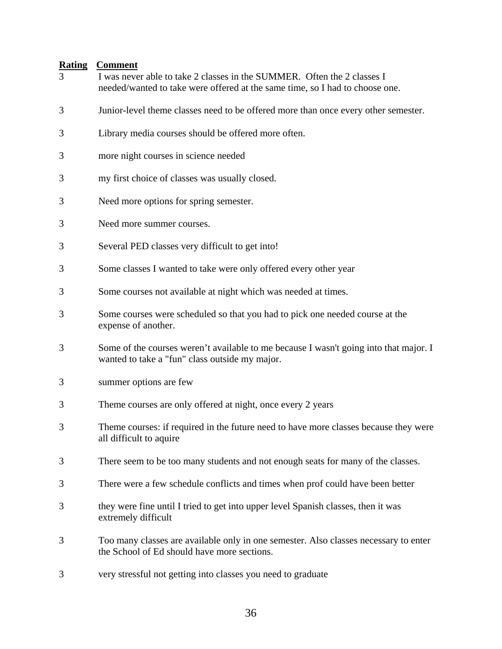- 3 I was never able to take 2 classes in the SUMMER. Often the 2 classes I needed/wanted to take were offered at the same time, so I had to choose one.
- 3 Junior-level theme classes need to be offered more than once every other semester.
- 3 Library media courses should be offered more often.
- 3 more night courses in science needed
- 3 my first choice of classes was usually closed.
- 3 Need more options for spring semester.
- 3 Need more summer courses.
- 3 Several PED classes very difficult to get into!
- 3 Some classes I wanted to take were only offered every other year
- 3 Some courses not available at night which was needed at times.
- 3 Some courses were scheduled so that you had to pick one needed course at the expense of another.
- 3 Some of the courses weren't available to me because I wasn't going into that major. I wanted to take a "fun" class outside my major.
- 3 summer options are few
- 3 Theme courses are only offered at night, once every 2 years
- 3 Theme courses: if required in the future need to have more classes because they were all difficult to aquire
- 3 There seem to be too many students and not enough seats for many of the classes.
- 3 There were a few schedule conflicts and times when prof could have been better
- 3 they were fine until I tried to get into upper level Spanish classes, then it was extremely difficult
- 3 Too many classes are available only in one semester. Also classes necessary to enter the School of Ed should have more sections.
- 3 very stressful not getting into classes you need to graduate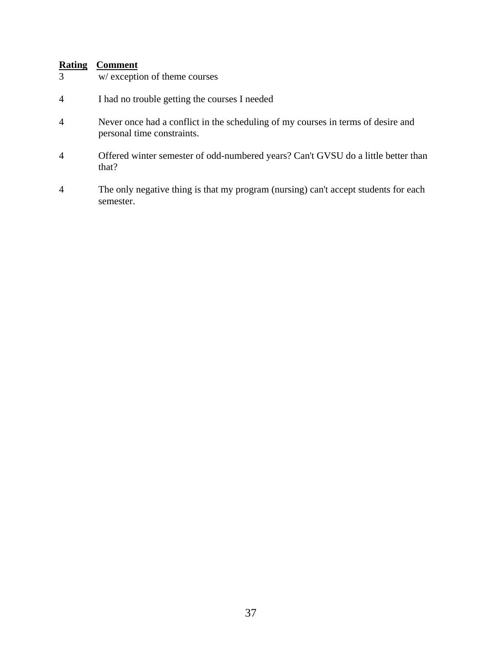- 3 w/ exception of theme courses
- 4 I had no trouble getting the courses I needed
- 4 Never once had a conflict in the scheduling of my courses in terms of desire and personal time constraints.
- 4 Offered winter semester of odd-numbered years? Can't GVSU do a little better than that?
- 4 The only negative thing is that my program (nursing) can't accept students for each semester.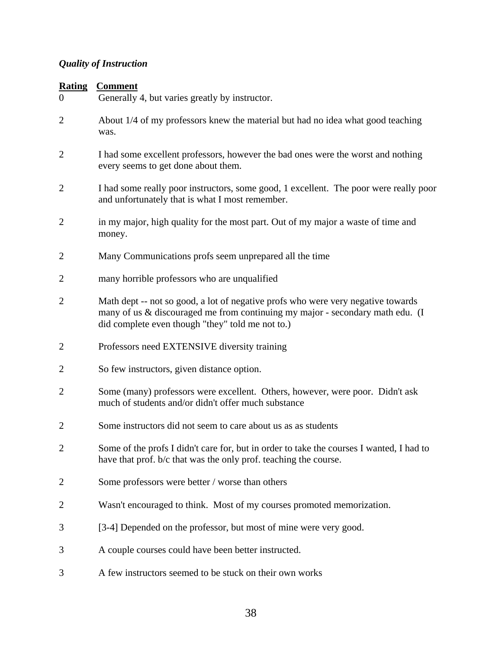# *Quality of Instruction*

| <b>Rating</b><br>$\Omega$ | <b>Comment</b><br>Generally 4, but varies greatly by instructor.                                                                                                                                                      |
|---------------------------|-----------------------------------------------------------------------------------------------------------------------------------------------------------------------------------------------------------------------|
| $\overline{2}$            | About 1/4 of my professors knew the material but had no idea what good teaching<br>was.                                                                                                                               |
| 2                         | I had some excellent professors, however the bad ones were the worst and nothing<br>every seems to get done about them.                                                                                               |
| $\overline{2}$            | I had some really poor instructors, some good, 1 excellent. The poor were really poor<br>and unfortunately that is what I most remember.                                                                              |
| $\overline{2}$            | in my major, high quality for the most part. Out of my major a waste of time and<br>money.                                                                                                                            |
| $\overline{2}$            | Many Communications profs seem unprepared all the time                                                                                                                                                                |
| 2                         | many horrible professors who are unqualified                                                                                                                                                                          |
| $\overline{2}$            | Math dept -- not so good, a lot of negative profs who were very negative towards<br>many of us & discouraged me from continuing my major - secondary math edu. (I<br>did complete even though "they" told me not to.) |
| 2                         | Professors need EXTENSIVE diversity training                                                                                                                                                                          |
| $\overline{2}$            | So few instructors, given distance option.                                                                                                                                                                            |
| 2                         | Some (many) professors were excellent. Others, however, were poor. Didn't ask<br>much of students and/or didn't offer much substance                                                                                  |
| 2                         | Some instructors did not seem to care about us as as students                                                                                                                                                         |
| $\overline{2}$            | Some of the profs I didn't care for, but in order to take the courses I wanted, I had to<br>have that prof. b/c that was the only prof. teaching the course.                                                          |
| $\overline{2}$            | Some professors were better / worse than others                                                                                                                                                                       |
| 2                         | Wasn't encouraged to think. Most of my courses promoted memorization.                                                                                                                                                 |
| 3                         | [3-4] Depended on the professor, but most of mine were very good.                                                                                                                                                     |
| 3                         | A couple courses could have been better instructed.                                                                                                                                                                   |
| 3                         | A few instructors seemed to be stuck on their own works                                                                                                                                                               |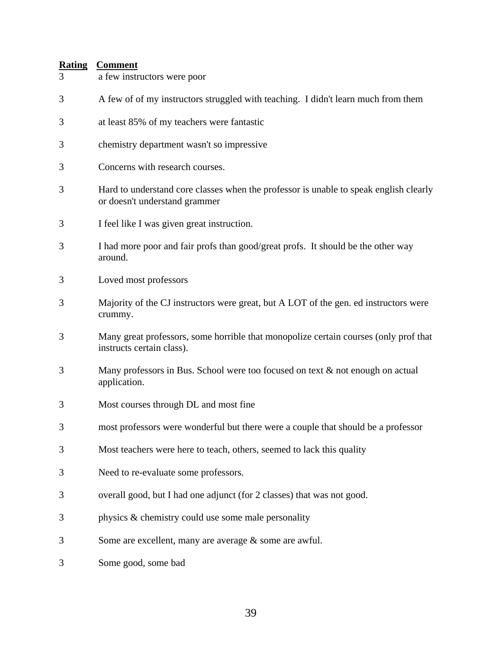| 3 | a few instructors were poor                                                                                            |
|---|------------------------------------------------------------------------------------------------------------------------|
| 3 | A few of of my instructors struggled with teaching. I didn't learn much from them                                      |
| 3 | at least 85% of my teachers were fantastic                                                                             |
| 3 | chemistry department wasn't so impressive                                                                              |
| 3 | Concerns with research courses.                                                                                        |
| 3 | Hard to understand core classes when the professor is unable to speak english clearly<br>or doesn't understand grammer |
| 3 | I feel like I was given great instruction.                                                                             |
| 3 | I had more poor and fair profs than good/great profs. It should be the other way<br>around.                            |
| 3 | Loved most professors                                                                                                  |
| 3 | Majority of the CJ instructors were great, but A LOT of the gen. ed instructors were<br>crummy.                        |
| 3 | Many great professors, some horrible that monopolize certain courses (only prof that<br>instructs certain class).      |
| 3 | Many professors in Bus. School were too focused on text & not enough on actual<br>application.                         |
| 3 | Most courses through DL and most fine                                                                                  |
| 3 | most professors were wonderful but there were a couple that should be a professor                                      |
| 3 | Most teachers were here to teach, others, seemed to lack this quality                                                  |
| 3 | Need to re-evaluate some professors.                                                                                   |
| 3 | overall good, but I had one adjunct (for 2 classes) that was not good.                                                 |
| 3 | physics & chemistry could use some male personality                                                                    |
| 3 | Some are excellent, many are average & some are awful.                                                                 |
| 3 | Some good, some bad                                                                                                    |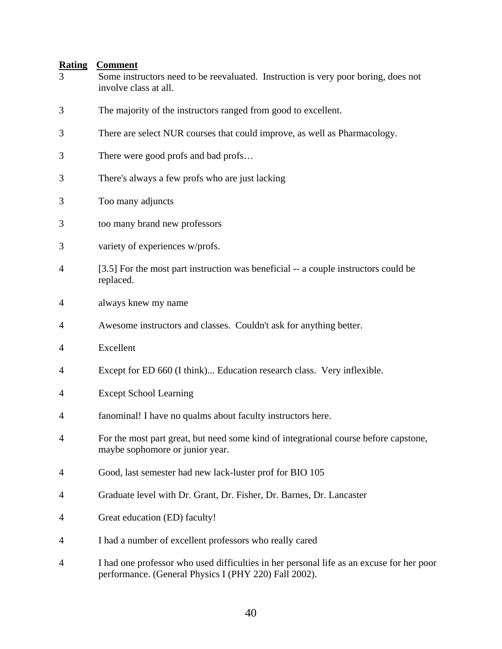| <u>Kating</u><br>3 | <u>Comment</u><br>Some instructors need to be reevaluated. Instruction is very poor boring, does not<br>involve class at all. |
|--------------------|-------------------------------------------------------------------------------------------------------------------------------|
| 3                  | The majority of the instructors ranged from good to excellent.                                                                |
| 3                  | There are select NUR courses that could improve, as well as Pharmacology.                                                     |
| 3                  | There were good profs and bad profs                                                                                           |
| 3                  | There's always a few profs who are just lacking                                                                               |
| 3                  | Too many adjuncts                                                                                                             |
| 3                  | too many brand new professors                                                                                                 |
| 3                  | variety of experiences w/profs.                                                                                               |
| 4                  | [3.5] For the most part instruction was beneficial -- a couple instructors could be<br>replaced.                              |
| 4                  | always knew my name                                                                                                           |
| 4                  | Awesome instructors and classes. Couldn't ask for anything better.                                                            |
| 4                  | Excellent                                                                                                                     |
| 4                  | Except for ED 660 (I think) Education research class. Very inflexible.                                                        |
| 4                  | <b>Except School Learning</b>                                                                                                 |
| 4                  | fanominal! I have no qualms about faculty instructors here.                                                                   |
| 4                  | For the most part great, but need some kind of integrational course before capstone,<br>maybe sophomore or junior year.       |
| 4                  | Good, last semester had new lack-luster prof for BIO 105                                                                      |
| 4                  | Graduate level with Dr. Grant, Dr. Fisher, Dr. Barnes, Dr. Lancaster                                                          |
| 4                  | Great education (ED) faculty!                                                                                                 |
| 4                  | I had a number of excellent professors who really cared                                                                       |

4 I had one professor who used difficulties in her personal life as an excuse for her poor performance. (General Physics I (PHY 220) Fall 2002).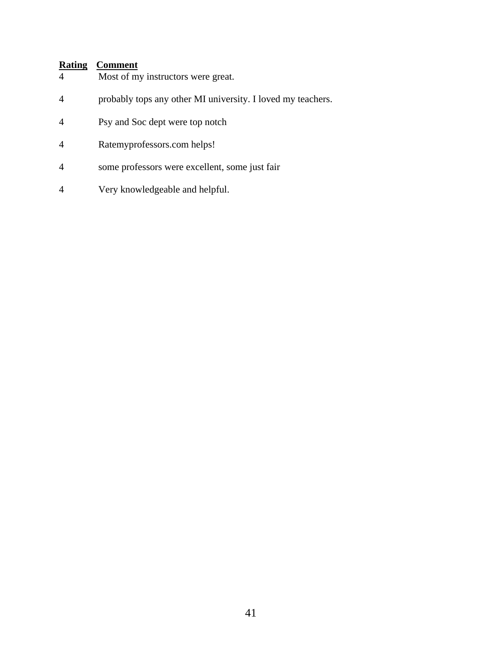- 4 Most of my instructors were great.
- 4 probably tops any other MI university. I loved my teachers.
- 4 Psy and Soc dept were top notch
- 4 Ratemyprofessors.com helps!
- 4 some professors were excellent, some just fair
- 4 Very knowledgeable and helpful.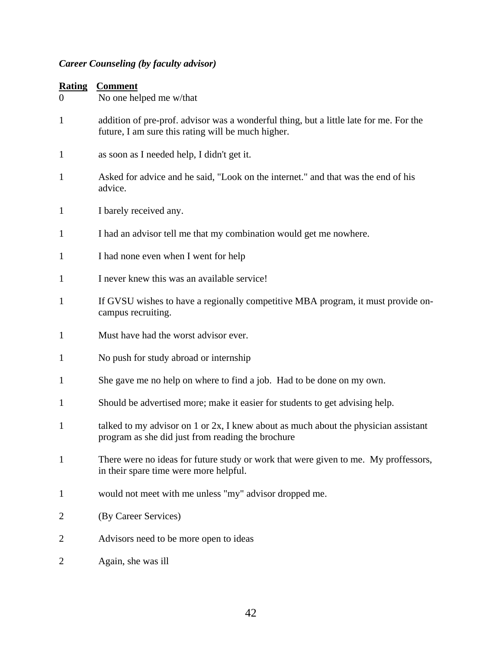# *Career Counseling (by faculty advisor)*

| Rating | Comment |
|--------|---------|
|        |         |

| $\overline{0}$ | No one helped me w/that                                                                                                                      |
|----------------|----------------------------------------------------------------------------------------------------------------------------------------------|
| $\mathbf{1}$   | addition of pre-prof. advisor was a wonderful thing, but a little late for me. For the<br>future, I am sure this rating will be much higher. |
| $\mathbf{1}$   | as soon as I needed help, I didn't get it.                                                                                                   |
| 1              | Asked for advice and he said, "Look on the internet." and that was the end of his<br>advice.                                                 |
| $\mathbf{1}$   | I barely received any.                                                                                                                       |
| $\mathbf{1}$   | I had an advisor tell me that my combination would get me nowhere.                                                                           |
| $\mathbf{1}$   | I had none even when I went for help                                                                                                         |
| $\mathbf{1}$   | I never knew this was an available service!                                                                                                  |
| $\mathbf{1}$   | If GVSU wishes to have a regionally competitive MBA program, it must provide on-<br>campus recruiting.                                       |
| $\mathbf{1}$   | Must have had the worst advisor ever.                                                                                                        |
| $\mathbf{1}$   | No push for study abroad or internship                                                                                                       |
| $\mathbf{1}$   | She gave me no help on where to find a job. Had to be done on my own.                                                                        |
| $\mathbf{1}$   | Should be advertised more; make it easier for students to get advising help.                                                                 |
| $\mathbf{1}$   | talked to my advisor on 1 or 2x, I knew about as much about the physician assistant<br>program as she did just from reading the brochure     |
|                | There were no ideas for future study or work that were given to me. My proffessors,<br>in their spare time were more helpful.                |
| $\mathbf{1}$   | would not meet with me unless "my" advisor dropped me.                                                                                       |
| 2              | (By Career Services)                                                                                                                         |
| 2              | Advisors need to be more open to ideas                                                                                                       |
| 2              | Again, she was ill                                                                                                                           |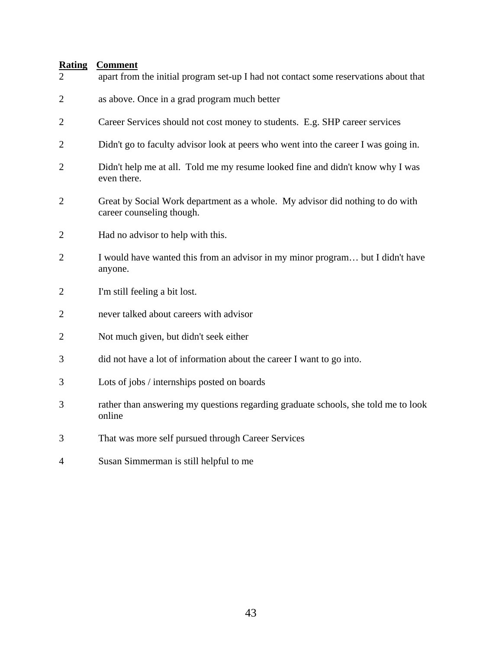| $\overline{2}$ | apart from the initial program set-up I had not contact some reservations about that                       |
|----------------|------------------------------------------------------------------------------------------------------------|
| $\overline{2}$ | as above. Once in a grad program much better                                                               |
| 2              | Career Services should not cost money to students. E.g. SHP career services                                |
| $\overline{2}$ | Didn't go to faculty advisor look at peers who went into the career I was going in.                        |
| $\overline{2}$ | Didn't help me at all. Told me my resume looked fine and didn't know why I was<br>even there.              |
| $\overline{2}$ | Great by Social Work department as a whole. My advisor did nothing to do with<br>career counseling though. |
| 2              | Had no advisor to help with this.                                                                          |
| $\overline{2}$ | I would have wanted this from an advisor in my minor program but I didn't have<br>anyone.                  |
| $\overline{2}$ | I'm still feeling a bit lost.                                                                              |
| $\overline{2}$ | never talked about careers with advisor                                                                    |
| $\overline{2}$ | Not much given, but didn't seek either                                                                     |
| 3              | did not have a lot of information about the career I want to go into.                                      |
| 3              | Lots of jobs / internships posted on boards                                                                |
| 3              | rather than answering my questions regarding graduate schools, she told me to look<br>online               |
| 3              | That was more self pursued through Career Services                                                         |
| 4              | Susan Simmerman is still helpful to me                                                                     |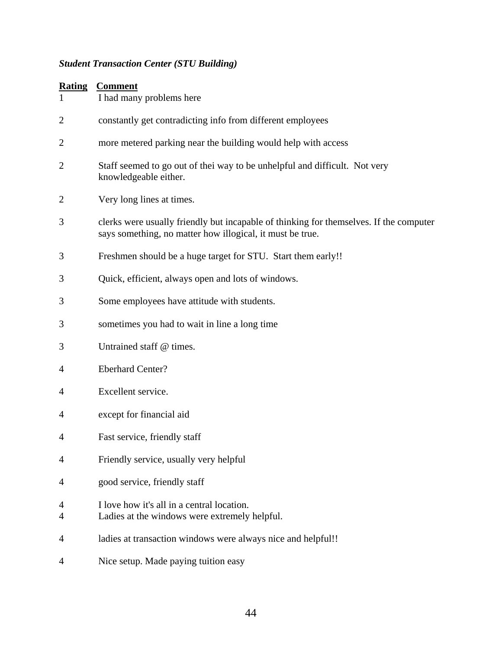# *Student Transaction Center (STU Building)*

| <b>Rating</b> | <b>Comment</b> |
|---------------|----------------|
|               |                |

| <u>ivating</u><br>1 | <u>Communi</u><br>I had many problems here                                                                                                          |
|---------------------|-----------------------------------------------------------------------------------------------------------------------------------------------------|
| 2                   | constantly get contradicting info from different employees                                                                                          |
| 2                   | more metered parking near the building would help with access                                                                                       |
| $\overline{2}$      | Staff seemed to go out of thei way to be unhelpful and difficult. Not very<br>knowledgeable either.                                                 |
| 2                   | Very long lines at times.                                                                                                                           |
| 3                   | clerks were usually friendly but incapable of thinking for themselves. If the computer<br>says something, no matter how illogical, it must be true. |
| 3                   | Freshmen should be a huge target for STU. Start them early!!                                                                                        |
| 3                   | Quick, efficient, always open and lots of windows.                                                                                                  |
| 3                   | Some employees have attitude with students.                                                                                                         |
| 3                   | sometimes you had to wait in line a long time                                                                                                       |
| 3                   | Untrained staff @ times.                                                                                                                            |
| 4                   | <b>Eberhard Center?</b>                                                                                                                             |
| 4                   | Excellent service.                                                                                                                                  |
| 4                   | except for financial aid                                                                                                                            |
| 4                   | Fast service, friendly staff                                                                                                                        |
| $\overline{4}$      | Friendly service, usually very helpful                                                                                                              |
| 4                   | good service, friendly staff                                                                                                                        |
| 4<br>4              | I love how it's all in a central location.<br>Ladies at the windows were extremely helpful.                                                         |
| 4                   | ladies at transaction windows were always nice and helpful!!                                                                                        |
| 4                   | Nice setup. Made paying tuition easy                                                                                                                |
|                     |                                                                                                                                                     |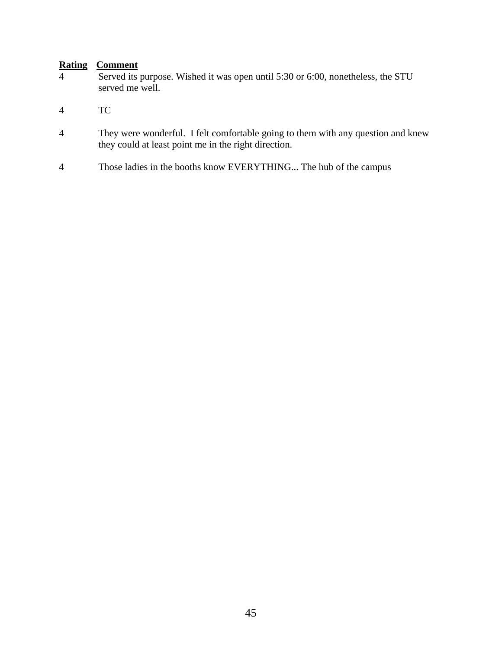- 4 Served its purpose. Wished it was open until 5:30 or 6:00, nonetheless, the STU served me well.
- 4 TC
- 4 They were wonderful. I felt comfortable going to them with any question and knew they could at least point me in the right direction.
- 4 Those ladies in the booths know EVERYTHING... The hub of the campus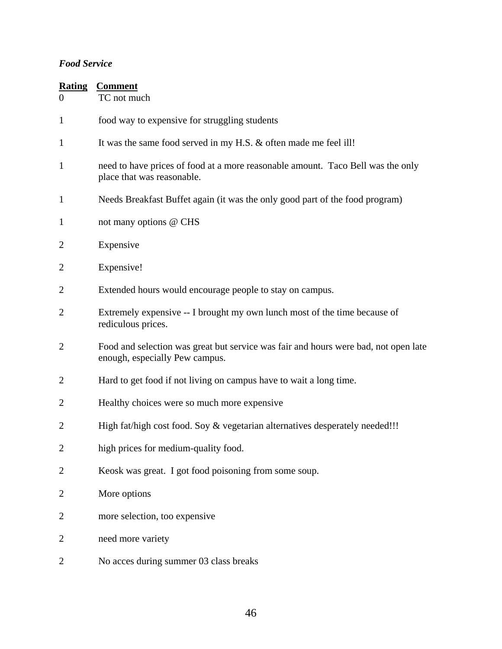#### *Food Service*

| <b>Rating</b><br>$\Omega$ | <b>Comment</b><br>TC not much                                                                                         |
|---------------------------|-----------------------------------------------------------------------------------------------------------------------|
| $\mathbf{1}$              | food way to expensive for struggling students                                                                         |
| $\mathbf{1}$              | It was the same food served in my H.S. & often made me feel ill!                                                      |
| $\mathbf{1}$              | need to have prices of food at a more reasonable amount. Taco Bell was the only<br>place that was reasonable.         |
| $\mathbf{1}$              | Needs Breakfast Buffet again (it was the only good part of the food program)                                          |
| $\mathbf{1}$              | not many options @ CHS                                                                                                |
| $\overline{2}$            | Expensive                                                                                                             |
| $\overline{2}$            | Expensive!                                                                                                            |
| $\overline{2}$            | Extended hours would encourage people to stay on campus.                                                              |
| $\overline{2}$            | Extremely expensive -- I brought my own lunch most of the time because of<br>rediculous prices.                       |
| $\overline{2}$            | Food and selection was great but service was fair and hours were bad, not open late<br>enough, especially Pew campus. |
| $\overline{2}$            | Hard to get food if not living on campus have to wait a long time.                                                    |
| $\overline{2}$            | Healthy choices were so much more expensive                                                                           |
| $\overline{2}$            | High fat/high cost food. Soy & vegetarian alternatives desperately needed!!!                                          |
| $\overline{2}$            | high prices for medium-quality food.                                                                                  |
| $\overline{2}$            | Keosk was great. I got food poisoning from some soup.                                                                 |
| $\overline{2}$            | More options                                                                                                          |
| 2                         | more selection, too expensive                                                                                         |
| $\overline{c}$            | need more variety                                                                                                     |
| 2                         | No acces during summer 03 class breaks                                                                                |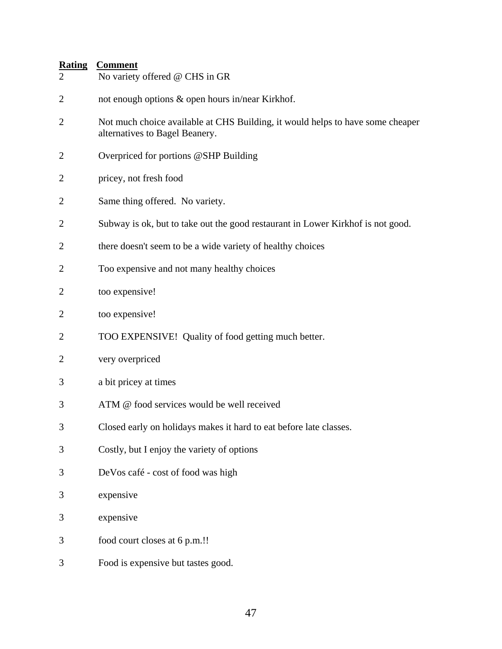| $\overline{2}$ | No variety offered @ CHS in GR                                                                                   |
|----------------|------------------------------------------------------------------------------------------------------------------|
| $\overline{2}$ | not enough options & open hours in/near Kirkhof.                                                                 |
| $\overline{2}$ | Not much choice available at CHS Building, it would helps to have some cheaper<br>alternatives to Bagel Beanery. |
| 2              | Overpriced for portions @SHP Building                                                                            |
| $\overline{2}$ | pricey, not fresh food                                                                                           |
| $\overline{2}$ | Same thing offered. No variety.                                                                                  |
| $\overline{2}$ | Subway is ok, but to take out the good restaurant in Lower Kirkhof is not good.                                  |
| $\overline{2}$ | there doesn't seem to be a wide variety of healthy choices                                                       |
| $\overline{2}$ | Too expensive and not many healthy choices                                                                       |
| $\overline{2}$ | too expensive!                                                                                                   |
| $\overline{2}$ | too expensive!                                                                                                   |
| $\overline{2}$ | TOO EXPENSIVE! Quality of food getting much better.                                                              |
| $\overline{2}$ | very overpriced                                                                                                  |
| 3              | a bit pricey at times                                                                                            |
| 3              | ATM @ food services would be well received                                                                       |
| 3              | Closed early on holidays makes it hard to eat before late classes.                                               |
| 3              | Costly, but I enjoy the variety of options                                                                       |
| 3              | DeVos café - cost of food was high                                                                               |
| 3              | expensive                                                                                                        |
| 3              | expensive                                                                                                        |
| 3              | food court closes at 6 p.m.!!                                                                                    |
| 3              | Food is expensive but tastes good.                                                                               |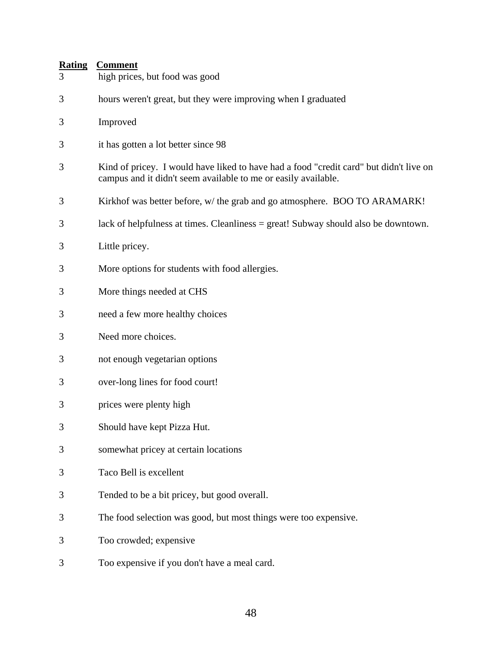| 3 | high prices, but food was good                                                                                                                           |
|---|----------------------------------------------------------------------------------------------------------------------------------------------------------|
| 3 | hours weren't great, but they were improving when I graduated                                                                                            |
| 3 | Improved                                                                                                                                                 |
| 3 | it has gotten a lot better since 98                                                                                                                      |
| 3 | Kind of pricey. I would have liked to have had a food "credit card" but didn't live on<br>campus and it didn't seem available to me or easily available. |
| 3 | Kirkhof was better before, w/ the grab and go atmosphere. BOO TO ARAMARK!                                                                                |
| 3 | lack of helpfulness at times. Cleanliness = great! Subway should also be downtown.                                                                       |
| 3 | Little pricey.                                                                                                                                           |
| 3 | More options for students with food allergies.                                                                                                           |
| 3 | More things needed at CHS                                                                                                                                |
| 3 | need a few more healthy choices                                                                                                                          |
| 3 | Need more choices.                                                                                                                                       |
| 3 | not enough vegetarian options                                                                                                                            |
| 3 | over-long lines for food court!                                                                                                                          |
| 3 | prices were plenty high                                                                                                                                  |
| 3 | Should have kept Pizza Hut.                                                                                                                              |
| 3 | somewhat pricey at certain locations                                                                                                                     |
| 3 | Taco Bell is excellent                                                                                                                                   |
| 3 | Tended to be a bit pricey, but good overall.                                                                                                             |
| 3 | The food selection was good, but most things were too expensive.                                                                                         |
| 3 | Too crowded; expensive                                                                                                                                   |
| 3 | Too expensive if you don't have a meal card.                                                                                                             |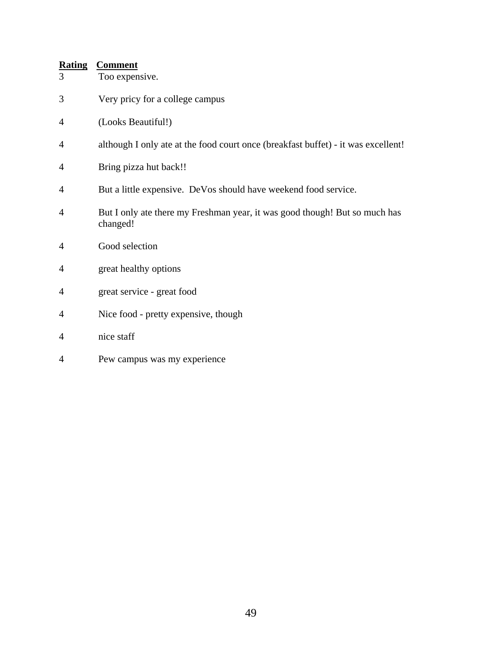| <b>Rating</b><br>3 | <b>Comment</b><br>Too expensive.                                                       |
|--------------------|----------------------------------------------------------------------------------------|
| 3                  | Very pricy for a college campus                                                        |
| $\overline{4}$     | (Looks Beautiful!)                                                                     |
| 4                  | although I only ate at the food court once (breakfast buffet) - it was excellent!      |
| $\overline{4}$     | Bring pizza hut back!!                                                                 |
| $\overline{4}$     | But a little expensive. DeVos should have weekend food service.                        |
| $\overline{4}$     | But I only ate there my Freshman year, it was good though! But so much has<br>changed! |
| $\overline{4}$     | Good selection                                                                         |
| $\overline{4}$     | great healthy options                                                                  |
| 4                  | great service - great food                                                             |
| $\overline{4}$     | Nice food - pretty expensive, though                                                   |
| 4                  | nice staff                                                                             |
|                    |                                                                                        |

4 Pew campus was my experience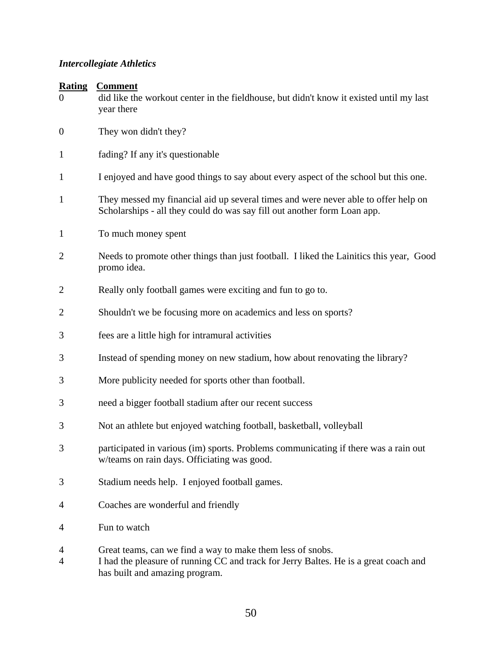#### *Intercollegiate Athletics*

| <b>Rating</b><br>$\theta$ | <b>Comment</b><br>did like the workout center in the fieldhouse, but didn't know it existed until my last<br>year there                                        |  |
|---------------------------|----------------------------------------------------------------------------------------------------------------------------------------------------------------|--|
| $\boldsymbol{0}$          | They won didn't they?                                                                                                                                          |  |
| 1                         | fading? If any it's questionable                                                                                                                               |  |
| 1                         | I enjoyed and have good things to say about every aspect of the school but this one.                                                                           |  |
| $\mathbf 1$               | They messed my financial aid up several times and were never able to offer help on<br>Scholarships - all they could do was say fill out another form Loan app. |  |
| 1                         | To much money spent                                                                                                                                            |  |
| $\overline{2}$            | Needs to promote other things than just football. I liked the Lainitics this year, Good<br>promo idea.                                                         |  |
| $\overline{2}$            | Really only football games were exciting and fun to go to.                                                                                                     |  |
| 2                         | Shouldn't we be focusing more on academics and less on sports?                                                                                                 |  |
| 3                         | fees are a little high for intramural activities                                                                                                               |  |
| 3                         | Instead of spending money on new stadium, how about renovating the library?                                                                                    |  |
| 3                         | More publicity needed for sports other than football.                                                                                                          |  |
| 3                         | need a bigger football stadium after our recent success                                                                                                        |  |
| 3                         | Not an athlete but enjoyed watching football, basketball, volleyball                                                                                           |  |
| 3                         | participated in various (im) sports. Problems communicating if there was a rain out<br>w/teams on rain days. Officiating was good.                             |  |
| 3                         | Stadium needs help. I enjoyed football games.                                                                                                                  |  |
| 4                         | Coaches are wonderful and friendly                                                                                                                             |  |
| 4                         | Fun to watch                                                                                                                                                   |  |
| 4                         | Great teams, can we find a way to make them less of snobs.                                                                                                     |  |

4 I had the pleasure of running CC and track for Jerry Baltes. He is a great coach and has built and amazing program.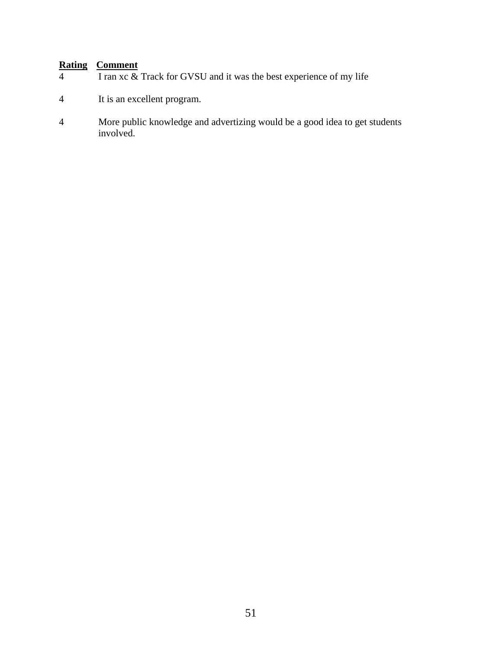- $\frac{1}{4}$  I ran xc & Track for GVSU and it was the best experience of my life
- 4 It is an excellent program.
- 4 More public knowledge and advertizing would be a good idea to get students involved.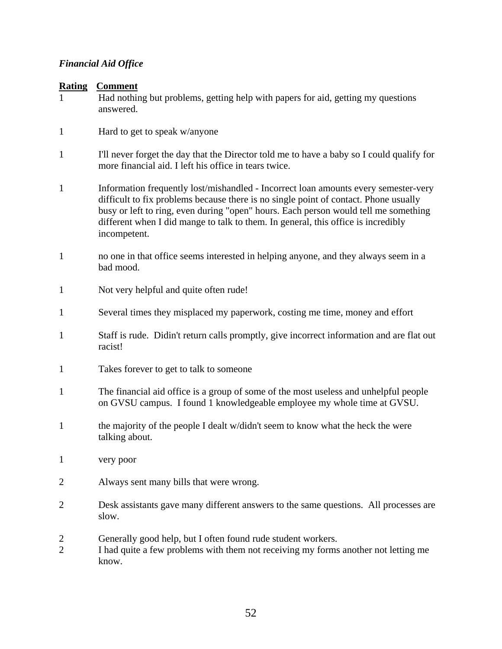#### *Financial Aid Office*

#### **Rating Comment**

1 Had nothing but problems, getting help with papers for aid, getting my questions answered.

- 1 Hard to get to speak w/anyone
- 1 I'll never forget the day that the Director told me to have a baby so I could qualify for more financial aid. I left his office in tears twice.
- 1 Information frequently lost/mishandled Incorrect loan amounts every semester-very difficult to fix problems because there is no single point of contact. Phone usually busy or left to ring, even during "open" hours. Each person would tell me something different when I did mange to talk to them. In general, this office is incredibly incompetent.
- 1 no one in that office seems interested in helping anyone, and they always seem in a bad mood.
- 1 Not very helpful and quite often rude!
- 1 Several times they misplaced my paperwork, costing me time, money and effort
- 1 Staff is rude. Didin't return calls promptly, give incorrect information and are flat out racist!
- 1 Takes forever to get to talk to someone
- 1 The financial aid office is a group of some of the most useless and unhelpful people on GVSU campus. I found 1 knowledgeable employee my whole time at GVSU.
- 1 the majority of the people I dealt w/didn't seem to know what the heck the were talking about.
- 1 very poor
- 2 Always sent many bills that were wrong.
- 2 Desk assistants gave many different answers to the same questions. All processes are slow.
- 2 Generally good help, but I often found rude student workers.
- 2 I had quite a few problems with them not receiving my forms another not letting me know.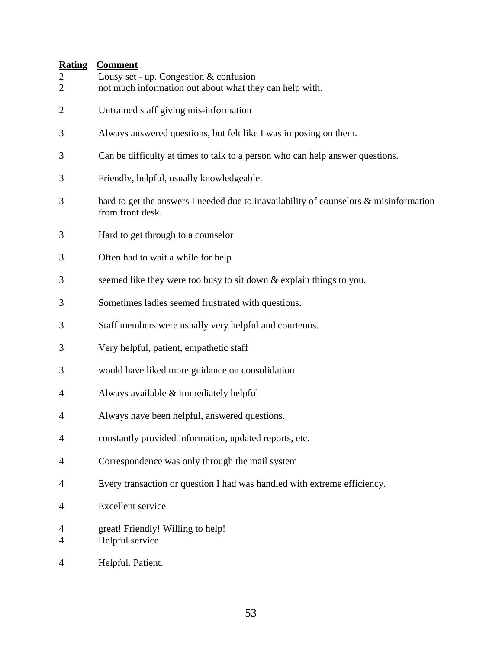- 2 Lousy set up. Congestion & confusion
- 2 not much information out about what they can help with.
- 2 Untrained staff giving mis-information
- 3 Always answered questions, but felt like I was imposing on them.
- 3 Can be difficulty at times to talk to a person who can help answer questions.
- 3 Friendly, helpful, usually knowledgeable.
- 3 hard to get the answers I needed due to inavailability of counselors & misinformation from front desk.
- 3 Hard to get through to a counselor
- 3 Often had to wait a while for help
- 3 seemed like they were too busy to sit down & explain things to you.
- 3 Sometimes ladies seemed frustrated with questions.
- 3 Staff members were usually very helpful and courteous.
- 3 Very helpful, patient, empathetic staff
- 3 would have liked more guidance on consolidation
- 4 Always available & immediately helpful
- 4 Always have been helpful, answered questions.
- 4 constantly provided information, updated reports, etc.
- 4 Correspondence was only through the mail system
- 4 Every transaction or question I had was handled with extreme efficiency.
- 4 Excellent service
- 4 great! Friendly! Willing to help!
- 4 Helpful service
- 4 Helpful. Patient.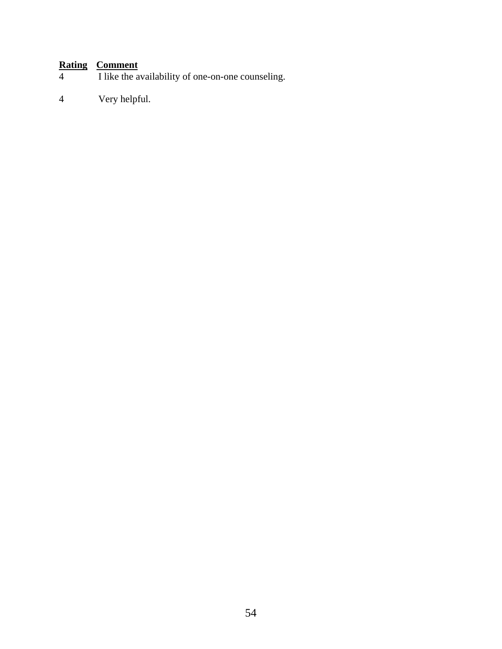# **Rating Comment**<br>I like the a

- I like the availability of one-on-one counseling.
- 4 Very helpful.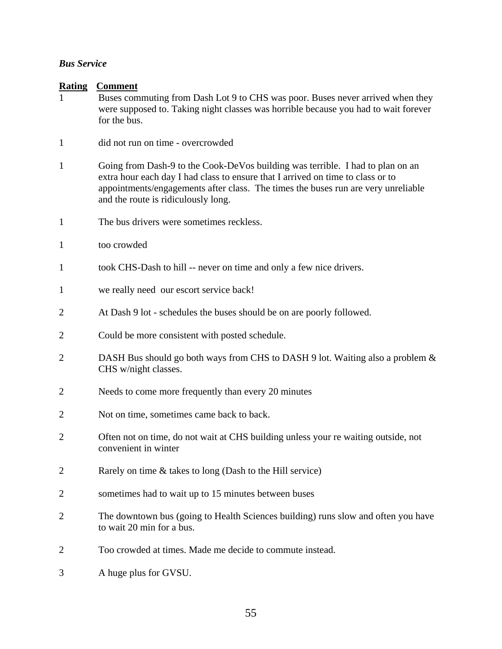## *Bus Service*

| <b>Rating</b>  | <b>Comment</b>                                                                                                                                                                                                                                                                                |  |
|----------------|-----------------------------------------------------------------------------------------------------------------------------------------------------------------------------------------------------------------------------------------------------------------------------------------------|--|
|                | Buses commuting from Dash Lot 9 to CHS was poor. Buses never arrived when they<br>were supposed to. Taking night classes was horrible because you had to wait forever<br>for the bus.                                                                                                         |  |
|                |                                                                                                                                                                                                                                                                                               |  |
| $\mathbf{1}$   | did not run on time - overcrowded                                                                                                                                                                                                                                                             |  |
| $\mathbf{1}$   | Going from Dash-9 to the Cook-DeVos building was terrible. I had to plan on an<br>extra hour each day I had class to ensure that I arrived on time to class or to<br>appointments/engagements after class. The times the buses run are very unreliable<br>and the route is ridiculously long. |  |
| $\mathbf{1}$   | The bus drivers were sometimes reckless.                                                                                                                                                                                                                                                      |  |
| $\mathbf{1}$   | too crowded                                                                                                                                                                                                                                                                                   |  |
| $\mathbf{1}$   | took CHS-Dash to hill -- never on time and only a few nice drivers.                                                                                                                                                                                                                           |  |
| $\mathbf{1}$   | we really need our escort service back!                                                                                                                                                                                                                                                       |  |
| $\overline{2}$ | At Dash 9 lot - schedules the buses should be on are poorly followed.                                                                                                                                                                                                                         |  |
| 2              | Could be more consistent with posted schedule.                                                                                                                                                                                                                                                |  |
| $\overline{2}$ | DASH Bus should go both ways from CHS to DASH 9 lot. Waiting also a problem &<br>CHS w/night classes.                                                                                                                                                                                         |  |
| 2              | Needs to come more frequently than every 20 minutes                                                                                                                                                                                                                                           |  |
| $\overline{2}$ | Not on time, sometimes came back to back.                                                                                                                                                                                                                                                     |  |
| $\overline{2}$ | Often not on time, do not wait at CHS building unless your re waiting outside, not<br>convenient in winter                                                                                                                                                                                    |  |
| $\overline{2}$ | Rarely on time & takes to long (Dash to the Hill service)                                                                                                                                                                                                                                     |  |
| 2              | sometimes had to wait up to 15 minutes between buses                                                                                                                                                                                                                                          |  |
| 2              | The downtown bus (going to Health Sciences building) runs slow and often you have<br>to wait 20 min for a bus.                                                                                                                                                                                |  |
| $\overline{2}$ | Too crowded at times. Made me decide to commute instead.                                                                                                                                                                                                                                      |  |
| 3              | A huge plus for GVSU.                                                                                                                                                                                                                                                                         |  |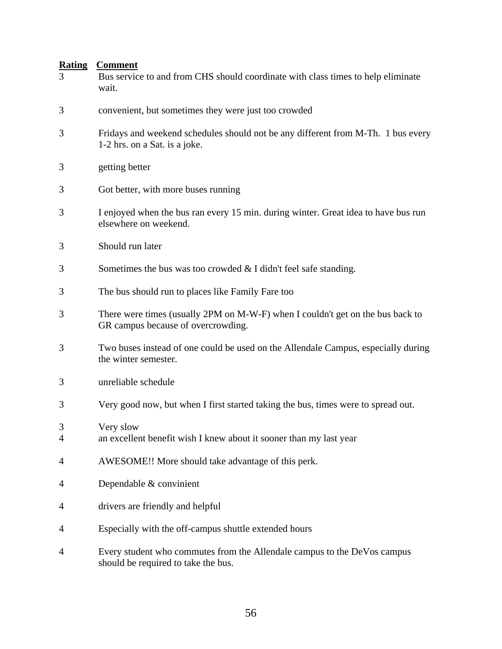| <b>Rating</b><br>3 | <b>Comment</b><br>Bus service to and from CHS should coordinate with class times to help eliminate<br>wait.          |  |
|--------------------|----------------------------------------------------------------------------------------------------------------------|--|
| 3                  | convenient, but sometimes they were just too crowded                                                                 |  |
| 3                  | Fridays and weekend schedules should not be any different from M-Th. 1 bus every<br>1-2 hrs. on a Sat. is a joke.    |  |
| 3                  | getting better                                                                                                       |  |
| 3                  | Got better, with more buses running                                                                                  |  |
| 3                  | I enjoyed when the bus ran every 15 min. during winter. Great idea to have bus run<br>elsewhere on weekend.          |  |
| 3                  | Should run later                                                                                                     |  |
| 3                  | Sometimes the bus was too crowded $&$ I didn't feel safe standing.                                                   |  |
| 3                  | The bus should run to places like Family Fare too                                                                    |  |
| 3                  | There were times (usually 2PM on M-W-F) when I couldn't get on the bus back to<br>GR campus because of overcrowding. |  |
| 3                  | Two buses instead of one could be used on the Allendale Campus, especially during<br>the winter semester.            |  |
| 3                  | unreliable schedule                                                                                                  |  |
| 3                  | Very good now, but when I first started taking the bus, times were to spread out.                                    |  |
| 3<br>4             | Very slow<br>an excellent benefit wish I knew about it sooner than my last year                                      |  |
| 4                  | AWESOME!! More should take advantage of this perk.                                                                   |  |
| 4                  | Dependable & convinient                                                                                              |  |
| 4                  | drivers are friendly and helpful                                                                                     |  |
| 4                  | Especially with the off-campus shuttle extended hours                                                                |  |
| 4                  | Every student who commutes from the Allendale campus to the DeVos campus<br>should be required to take the bus.      |  |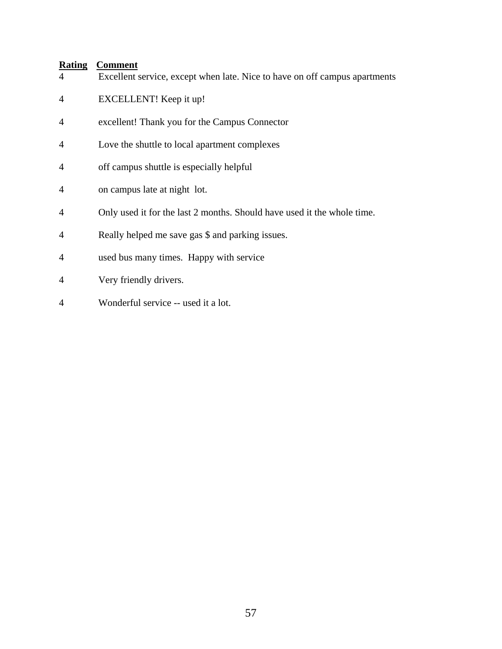| $\overline{4}$ | Excellent service, except when late. Nice to have on off campus apartments |
|----------------|----------------------------------------------------------------------------|
| $\overline{4}$ | EXCELLENT! Keep it up!                                                     |
| $\overline{4}$ | excellent! Thank you for the Campus Connector                              |
| $\overline{4}$ | Love the shuttle to local apartment complexes                              |
| $\overline{4}$ | off campus shuttle is especially helpful                                   |
| $\overline{A}$ | on campus late at night lot.                                               |
| $\overline{4}$ | Only used it for the last 2 months. Should have used it the whole time.    |
| $\overline{4}$ | Really helped me save gas \$ and parking issues.                           |
| $\overline{4}$ | used bus many times. Happy with service                                    |
| $\overline{4}$ | Very friendly drivers.                                                     |
| $\overline{4}$ | Wonderful service -- used it a lot.                                        |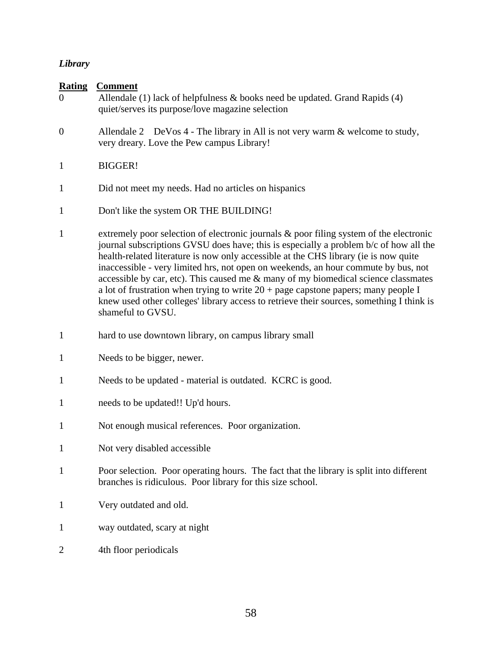# *Library*

| <b>Rating</b><br>$\overline{0}$ | <b>Comment</b><br>Allendale (1) lack of helpfulness $\&$ books need be updated. Grand Rapids (4)<br>quiet/serves its purpose/love magazine selection                                                                                                                                                                                                                                                                                                                                                                                                                                                                                                         |
|---------------------------------|--------------------------------------------------------------------------------------------------------------------------------------------------------------------------------------------------------------------------------------------------------------------------------------------------------------------------------------------------------------------------------------------------------------------------------------------------------------------------------------------------------------------------------------------------------------------------------------------------------------------------------------------------------------|
| $\boldsymbol{0}$                | Allendale 2 DeVos 4 - The library in All is not very warm $\&$ welcome to study,<br>very dreary. Love the Pew campus Library!                                                                                                                                                                                                                                                                                                                                                                                                                                                                                                                                |
| 1                               | <b>BIGGER!</b>                                                                                                                                                                                                                                                                                                                                                                                                                                                                                                                                                                                                                                               |
| 1                               | Did not meet my needs. Had no articles on hispanics                                                                                                                                                                                                                                                                                                                                                                                                                                                                                                                                                                                                          |
| 1                               | Don't like the system OR THE BUILDING!                                                                                                                                                                                                                                                                                                                                                                                                                                                                                                                                                                                                                       |
| 1                               | extremely poor selection of electronic journals & poor filing system of the electronic<br>journal subscriptions GVSU does have; this is especially a problem b/c of how all the<br>health-related literature is now only accessible at the CHS library (ie is now quite<br>inaccessible - very limited hrs, not open on weekends, an hour commute by bus, not<br>accessible by car, etc). This caused me & many of my biomedical science classmates<br>a lot of frustration when trying to write $20 + page$ capstone papers; many people I<br>knew used other colleges' library access to retrieve their sources, something I think is<br>shameful to GVSU. |
| $\mathbf{1}$                    | hard to use downtown library, on campus library small                                                                                                                                                                                                                                                                                                                                                                                                                                                                                                                                                                                                        |
| 1                               | Needs to be bigger, newer.                                                                                                                                                                                                                                                                                                                                                                                                                                                                                                                                                                                                                                   |
| 1                               | Needs to be updated - material is outdated. KCRC is good.                                                                                                                                                                                                                                                                                                                                                                                                                                                                                                                                                                                                    |
| 1                               | needs to be updated!! Up'd hours.                                                                                                                                                                                                                                                                                                                                                                                                                                                                                                                                                                                                                            |
| 1                               | Not enough musical references. Poor organization.                                                                                                                                                                                                                                                                                                                                                                                                                                                                                                                                                                                                            |
| 1                               | Not very disabled accessible                                                                                                                                                                                                                                                                                                                                                                                                                                                                                                                                                                                                                                 |
| $\mathbf{1}$                    | Poor selection. Poor operating hours. The fact that the library is split into different<br>branches is ridiculous. Poor library for this size school.                                                                                                                                                                                                                                                                                                                                                                                                                                                                                                        |
| $\mathbf{1}$                    | Very outdated and old.                                                                                                                                                                                                                                                                                                                                                                                                                                                                                                                                                                                                                                       |
| 1                               | way outdated, scary at night                                                                                                                                                                                                                                                                                                                                                                                                                                                                                                                                                                                                                                 |
| 2                               | 4th floor periodicals                                                                                                                                                                                                                                                                                                                                                                                                                                                                                                                                                                                                                                        |
|                                 |                                                                                                                                                                                                                                                                                                                                                                                                                                                                                                                                                                                                                                                              |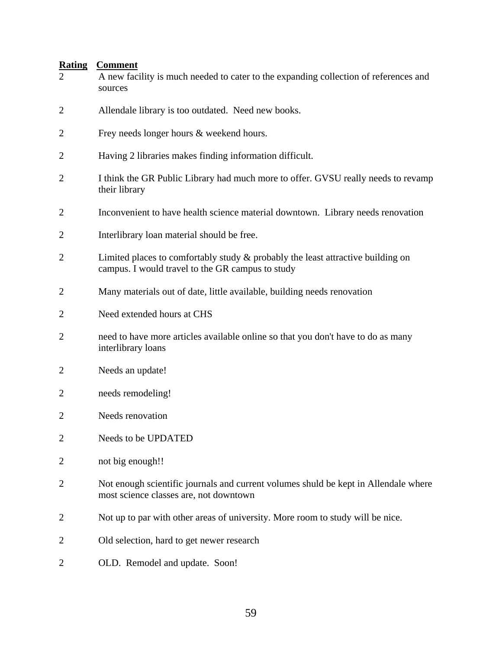| $\overline{2}$ | A new facility is much needed to cater to the expanding collection of references and<br>sources                                        |  |
|----------------|----------------------------------------------------------------------------------------------------------------------------------------|--|
| $\overline{2}$ | Allendale library is too outdated. Need new books.                                                                                     |  |
| $\overline{2}$ | Frey needs longer hours & weekend hours.                                                                                               |  |
| 2              | Having 2 libraries makes finding information difficult.                                                                                |  |
| $\overline{2}$ | I think the GR Public Library had much more to offer. GVSU really needs to revamp<br>their library                                     |  |
| $\overline{2}$ | Inconvenient to have health science material downtown. Library needs renovation                                                        |  |
| $\overline{2}$ | Interlibrary loan material should be free.                                                                                             |  |
| $\overline{2}$ | Limited places to comfortably study $\&$ probably the least attractive building on<br>campus. I would travel to the GR campus to study |  |
| 2              | Many materials out of date, little available, building needs renovation                                                                |  |
| $\overline{2}$ | Need extended hours at CHS                                                                                                             |  |
| 2              | need to have more articles available online so that you don't have to do as many<br>interlibrary loans                                 |  |
| 2              | Needs an update!                                                                                                                       |  |
| 2              | needs remodeling!                                                                                                                      |  |
| 2              | Needs renovation                                                                                                                       |  |
| $\mathbf{2}$   | Needs to be UPDATED                                                                                                                    |  |
| $\overline{2}$ | not big enough!!                                                                                                                       |  |
| $\overline{2}$ | Not enough scientific journals and current volumes shuld be kept in Allendale where<br>most science classes are, not downtown          |  |
| $\overline{2}$ | Not up to par with other areas of university. More room to study will be nice.                                                         |  |
| 2              | Old selection, hard to get newer research                                                                                              |  |
| 2              | OLD. Remodel and update. Soon!                                                                                                         |  |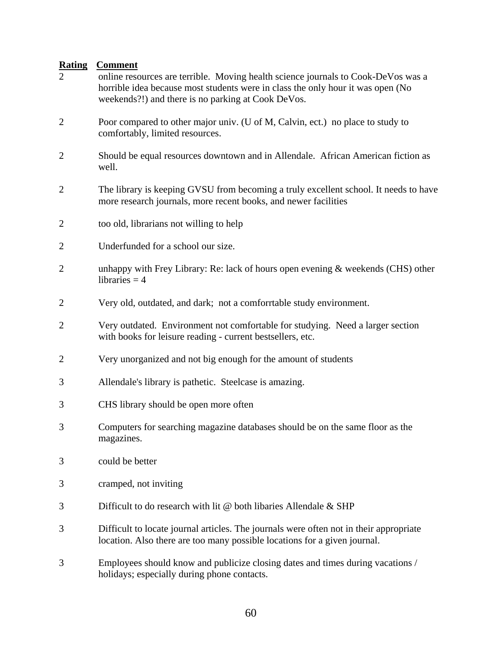| $\overline{2}$ | online resources are terrible. Moving health science journals to Cook-DeVos was a<br>horrible idea because most students were in class the only hour it was open (No<br>weekends?!) and there is no parking at Cook DeVos. |  |
|----------------|----------------------------------------------------------------------------------------------------------------------------------------------------------------------------------------------------------------------------|--|
| $\overline{2}$ | Poor compared to other major univ. (U of M, Calvin, ect.) no place to study to<br>comfortably, limited resources.                                                                                                          |  |
| $\overline{2}$ | Should be equal resources downtown and in Allendale. African American fiction as<br>well.                                                                                                                                  |  |
| $\overline{2}$ | The library is keeping GVSU from becoming a truly excellent school. It needs to have<br>more research journals, more recent books, and newer facilities                                                                    |  |
| $\overline{2}$ | too old, librarians not willing to help                                                                                                                                                                                    |  |
| 2              | Underfunded for a school our size.                                                                                                                                                                                         |  |
| $\overline{2}$ | unhappy with Frey Library: Re: lack of hours open evening & weekends (CHS) other<br>libraries $=$ 4                                                                                                                        |  |
| $\overline{2}$ | Very old, outdated, and dark; not a comforrtable study environment.                                                                                                                                                        |  |
| $\overline{2}$ | Very outdated. Environment not comfortable for studying. Need a larger section<br>with books for leisure reading - current bestsellers, etc.                                                                               |  |
| $\overline{2}$ | Very unorganized and not big enough for the amount of students                                                                                                                                                             |  |
| 3              | Allendale's library is pathetic. Steelcase is amazing.                                                                                                                                                                     |  |
| 3              | CHS library should be open more often                                                                                                                                                                                      |  |
| 3              | Computers for searching magazine databases should be on the same floor as the<br>magazines.                                                                                                                                |  |
| 3              | could be better                                                                                                                                                                                                            |  |
| 3              | cramped, not inviting                                                                                                                                                                                                      |  |
| 3              | Difficult to do research with lit @ both libaries Allendale & SHP                                                                                                                                                          |  |
| 3              | Difficult to locate journal articles. The journals were often not in their appropriate<br>location. Also there are too many possible locations for a given journal.                                                        |  |
| 3              | Employees should know and publicize closing dates and times during vacations /<br>holidays; especially during phone contacts.                                                                                              |  |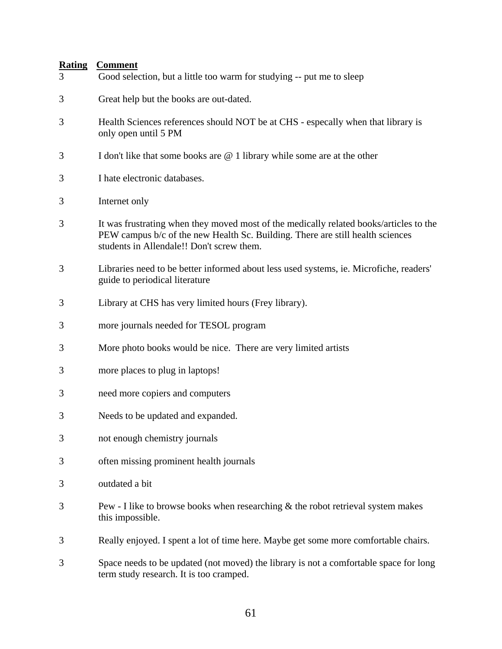| 3 | Good selection, but a little too warm for studying -- put me to sleep                                                                                                                                                 |  |
|---|-----------------------------------------------------------------------------------------------------------------------------------------------------------------------------------------------------------------------|--|
| 3 | Great help but the books are out-dated.                                                                                                                                                                               |  |
| 3 | Health Sciences references should NOT be at CHS - especally when that library is<br>only open until 5 PM                                                                                                              |  |
| 3 | I don't like that some books are $@$ 1 library while some are at the other                                                                                                                                            |  |
| 3 | I hate electronic databases.                                                                                                                                                                                          |  |
| 3 | Internet only                                                                                                                                                                                                         |  |
| 3 | It was frustrating when they moved most of the medically related books/articles to the<br>PEW campus b/c of the new Health Sc. Building. There are still health sciences<br>students in Allendale!! Don't screw them. |  |
| 3 | Libraries need to be better informed about less used systems, ie. Microfiche, readers'<br>guide to periodical literature                                                                                              |  |
| 3 | Library at CHS has very limited hours (Frey library).                                                                                                                                                                 |  |
| 3 | more journals needed for TESOL program                                                                                                                                                                                |  |
| 3 | More photo books would be nice. There are very limited artists                                                                                                                                                        |  |
| 3 | more places to plug in laptops!                                                                                                                                                                                       |  |
| 3 | need more copiers and computers                                                                                                                                                                                       |  |
| 3 | Needs to be updated and expanded.                                                                                                                                                                                     |  |
| 3 | not enough chemistry journals                                                                                                                                                                                         |  |
| 3 | often missing prominent health journals                                                                                                                                                                               |  |
| 3 | outdated a bit                                                                                                                                                                                                        |  |
| 3 | Pew - I like to browse books when researching $\&$ the robot retrieval system makes<br>this impossible.                                                                                                               |  |
| 3 | Really enjoyed. I spent a lot of time here. Maybe get some more comfortable chairs.                                                                                                                                   |  |
| 3 | Space needs to be updated (not moved) the library is not a comfortable space for long<br>term study research. It is too cramped.                                                                                      |  |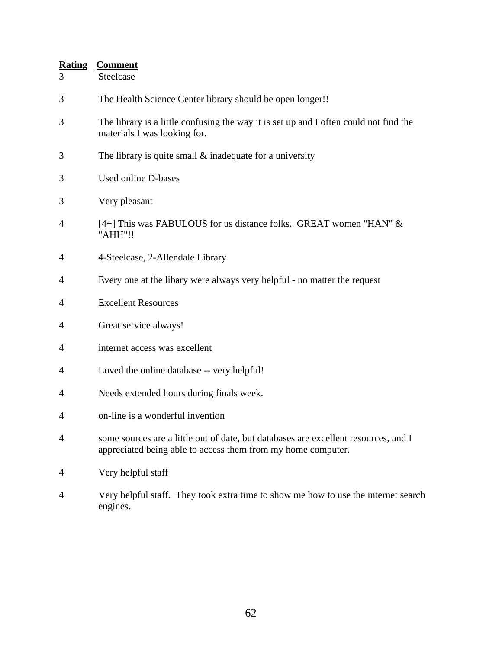| <b>Rating</b><br>3 | <b>Comment</b><br>Steelcase                                                                                                                         |  |
|--------------------|-----------------------------------------------------------------------------------------------------------------------------------------------------|--|
| 3                  | The Health Science Center library should be open longer!!                                                                                           |  |
| 3                  | The library is a little confusing the way it is set up and I often could not find the<br>materials I was looking for.                               |  |
| 3                  | The library is quite small $\&$ inadequate for a university                                                                                         |  |
| 3                  | Used online D-bases                                                                                                                                 |  |
| 3                  | Very pleasant                                                                                                                                       |  |
| 4                  | [4+] This was FABULOUS for us distance folks. GREAT women "HAN" &<br>"AHH"!!                                                                        |  |
| 4                  | 4-Steelcase, 2-Allendale Library                                                                                                                    |  |
| 4                  | Every one at the libary were always very helpful - no matter the request                                                                            |  |
| 4                  | <b>Excellent Resources</b>                                                                                                                          |  |
| 4                  | Great service always!                                                                                                                               |  |
| 4                  | internet access was excellent                                                                                                                       |  |
| 4                  | Loved the online database -- very helpful!                                                                                                          |  |
| 4                  | Needs extended hours during finals week.                                                                                                            |  |
| 4                  | on-line is a wonderful invention                                                                                                                    |  |
| $\overline{4}$     | some sources are a little out of date, but databases are excellent resources, and I<br>appreciated being able to access them from my home computer. |  |
| 4                  | Very helpful staff                                                                                                                                  |  |
| 4                  | Very helpful staff. They took extra time to show me how to use the internet search                                                                  |  |

engines.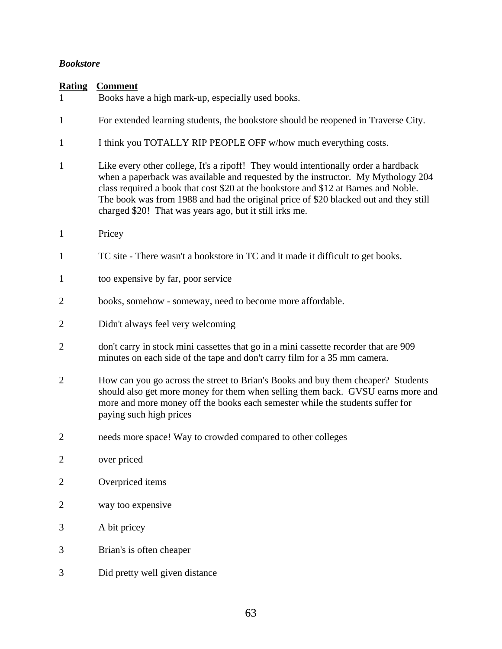#### *Bookstore*

| <b>Rating</b><br>1 | <b>Comment</b><br>Books have a high mark-up, especially used books.                                                                                                                                                                                                                                                                                                                                              |  |  |
|--------------------|------------------------------------------------------------------------------------------------------------------------------------------------------------------------------------------------------------------------------------------------------------------------------------------------------------------------------------------------------------------------------------------------------------------|--|--|
| $\mathbf{1}$       | For extended learning students, the bookstore should be reopened in Traverse City.                                                                                                                                                                                                                                                                                                                               |  |  |
| $\mathbf{1}$       | I think you TOTALLY RIP PEOPLE OFF w/how much everything costs.                                                                                                                                                                                                                                                                                                                                                  |  |  |
| 1                  | Like every other college, It's a ripoff! They would intentionally order a hardback<br>when a paperback was available and requested by the instructor. My Mythology 204<br>class required a book that cost \$20 at the bookstore and \$12 at Barnes and Noble.<br>The book was from 1988 and had the original price of \$20 blacked out and they still<br>charged \$20! That was years ago, but it still irks me. |  |  |
| $\mathbf{1}$       | Pricey                                                                                                                                                                                                                                                                                                                                                                                                           |  |  |
| $\mathbf{1}$       | TC site - There wasn't a bookstore in TC and it made it difficult to get books.                                                                                                                                                                                                                                                                                                                                  |  |  |
| $\mathbf{1}$       | too expensive by far, poor service                                                                                                                                                                                                                                                                                                                                                                               |  |  |
| $\overline{2}$     | books, somehow - someway, need to become more affordable.                                                                                                                                                                                                                                                                                                                                                        |  |  |
| $\overline{2}$     | Didn't always feel very welcoming                                                                                                                                                                                                                                                                                                                                                                                |  |  |
| $\overline{2}$     | don't carry in stock mini cassettes that go in a mini cassette recorder that are 909<br>minutes on each side of the tape and don't carry film for a 35 mm camera.                                                                                                                                                                                                                                                |  |  |
| $\overline{2}$     | How can you go across the street to Brian's Books and buy them cheaper? Students<br>should also get more money for them when selling them back. GVSU earns more and<br>more and more money off the books each semester while the students suffer for<br>paying such high prices                                                                                                                                  |  |  |
| $\overline{2}$     | needs more space! Way to crowded compared to other colleges                                                                                                                                                                                                                                                                                                                                                      |  |  |
| $\overline{2}$     | over priced                                                                                                                                                                                                                                                                                                                                                                                                      |  |  |
| $\overline{2}$     | Overpriced items                                                                                                                                                                                                                                                                                                                                                                                                 |  |  |
| $\overline{2}$     | way too expensive                                                                                                                                                                                                                                                                                                                                                                                                |  |  |
| 3                  | A bit pricey                                                                                                                                                                                                                                                                                                                                                                                                     |  |  |
| 3                  | Brian's is often cheaper                                                                                                                                                                                                                                                                                                                                                                                         |  |  |
| 3                  | Did pretty well given distance                                                                                                                                                                                                                                                                                                                                                                                   |  |  |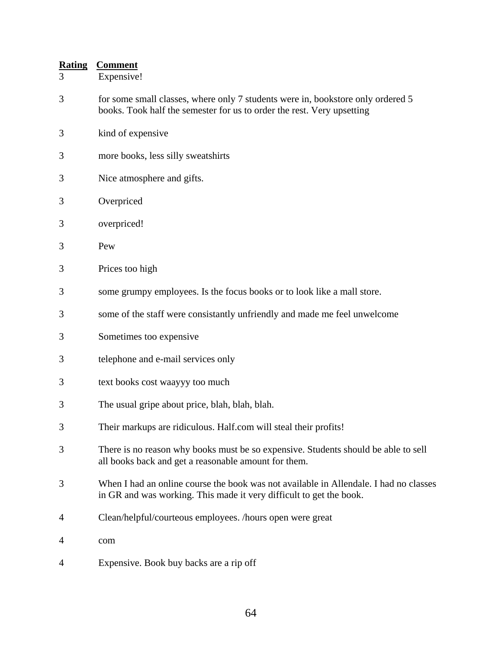- 3 Expensive!
- 3 for some small classes, where only 7 students were in, bookstore only ordered 5 books. Took half the semester for us to order the rest. Very upsetting
- 3 kind of expensive
- 3 more books, less silly sweatshirts
- 3 Nice atmosphere and gifts.
- 3 Overpriced
- 3 overpriced!
- 3 Pew
- 3 Prices too high
- 3 some grumpy employees. Is the focus books or to look like a mall store.
- 3 some of the staff were consistantly unfriendly and made me feel unwelcome
- 3 Sometimes too expensive
- 3 telephone and e-mail services only
- 3 text books cost waayyy too much
- 3 The usual gripe about price, blah, blah, blah.
- 3 Their markups are ridiculous. Half.com will steal their profits!
- 3 There is no reason why books must be so expensive. Students should be able to sell all books back and get a reasonable amount for them.
- 3 When I had an online course the book was not available in Allendale. I had no classes in GR and was working. This made it very difficult to get the book.
- 4 Clean/helpful/courteous employees. /hours open were great
- 4 com
- 4 Expensive. Book buy backs are a rip off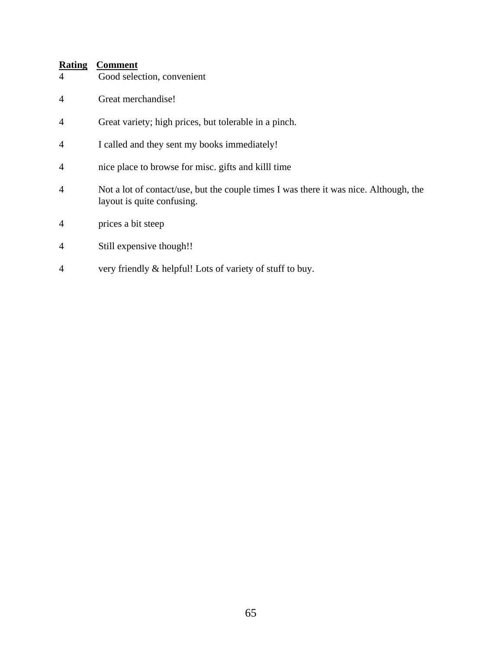| Good selection, convenient |
|----------------------------|
|                            |

- 4 Great merchandise!
- 4 Great variety; high prices, but tolerable in a pinch.
- 4 I called and they sent my books immediately!
- 4 nice place to browse for misc. gifts and killl time
- 4 Not a lot of contact/use, but the couple times I was there it was nice. Although, the layout is quite confusing.
- 4 prices a bit steep
- 4 Still expensive though!!
- 4 very friendly & helpful! Lots of variety of stuff to buy.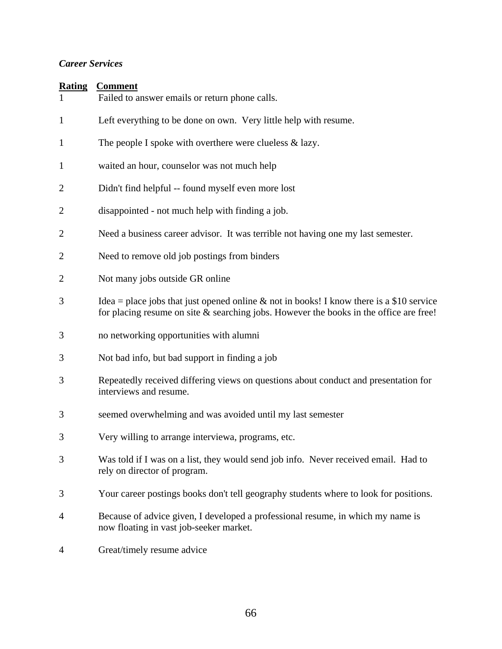## *Career Services*

| <b>Rating</b>  | <b>Comment</b><br>Failed to answer emails or return phone calls.                                                                                                                      |  |
|----------------|---------------------------------------------------------------------------------------------------------------------------------------------------------------------------------------|--|
| $\mathbf{1}$   | Left everything to be done on own. Very little help with resume.                                                                                                                      |  |
| $\mathbf{1}$   | The people I spoke with overthere were clueless $\&$ lazy.                                                                                                                            |  |
| $\mathbf{1}$   | waited an hour, counselor was not much help                                                                                                                                           |  |
| $\overline{2}$ | Didn't find helpful -- found myself even more lost                                                                                                                                    |  |
| $\overline{2}$ | disappointed - not much help with finding a job.                                                                                                                                      |  |
| $\overline{2}$ | Need a business career advisor. It was terrible not having one my last semester.                                                                                                      |  |
| $\overline{2}$ | Need to remove old job postings from binders                                                                                                                                          |  |
| $\overline{2}$ | Not many jobs outside GR online                                                                                                                                                       |  |
| 3              | Idea = place jobs that just opened online & not in books! I know there is a \$10 service<br>for placing resume on site $\&$ searching jobs. However the books in the office are free! |  |
| 3              | no networking opportunities with alumni                                                                                                                                               |  |
| 3              | Not bad info, but bad support in finding a job                                                                                                                                        |  |
| 3              | Repeatedly received differing views on questions about conduct and presentation for<br>interviews and resume.                                                                         |  |
| 3              | seemed overwhelming and was avoided until my last semester                                                                                                                            |  |
| 3              | Very willing to arrange interviewa, programs, etc.                                                                                                                                    |  |
| 3              | Was told if I was on a list, they would send job info. Never received email. Had to<br>rely on director of program.                                                                   |  |
| 3              | Your career postings books don't tell geography students where to look for positions.                                                                                                 |  |
| 4              | Because of advice given, I developed a professional resume, in which my name is<br>now floating in vast job-seeker market.                                                            |  |
| 4              | Great/timely resume advice                                                                                                                                                            |  |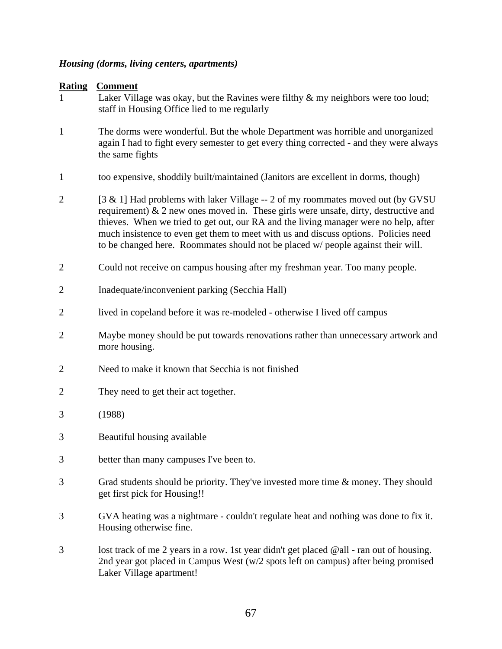## *Housing (dorms, living centers, apartments)*

| <b>Rating</b><br>1 | <b>Comment</b><br>Laker Village was okay, but the Ravines were filthy $\&$ my neighbors were too loud;<br>staff in Housing Office lied to me regularly                                                                                                                                                                                                                                                                                       |
|--------------------|----------------------------------------------------------------------------------------------------------------------------------------------------------------------------------------------------------------------------------------------------------------------------------------------------------------------------------------------------------------------------------------------------------------------------------------------|
| $\mathbf{1}$       | The dorms were wonderful. But the whole Department was horrible and unorganized<br>again I had to fight every semester to get every thing corrected - and they were always<br>the same fights                                                                                                                                                                                                                                                |
| $\mathbf{1}$       | too expensive, shoddily built/maintained (Janitors are excellent in dorms, though)                                                                                                                                                                                                                                                                                                                                                           |
| $\overline{2}$     | [3 & 1] Had problems with laker Village -- 2 of my roommates moved out (by GVSU<br>requirement) $\&$ 2 new ones moved in. These girls were unsafe, dirty, destructive and<br>thieves. When we tried to get out, our RA and the living manager were no help, after<br>much insistence to even get them to meet with us and discuss options. Policies need<br>to be changed here. Roommates should not be placed w/ people against their will. |
| $\overline{2}$     | Could not receive on campus housing after my freshman year. Too many people.                                                                                                                                                                                                                                                                                                                                                                 |
| $\overline{2}$     | Inadequate/inconvenient parking (Secchia Hall)                                                                                                                                                                                                                                                                                                                                                                                               |
| $\overline{2}$     | lived in copeland before it was re-modeled - otherwise I lived off campus                                                                                                                                                                                                                                                                                                                                                                    |
| $\overline{2}$     | Maybe money should be put towards renovations rather than unnecessary artwork and<br>more housing.                                                                                                                                                                                                                                                                                                                                           |
| $\overline{2}$     | Need to make it known that Secchia is not finished                                                                                                                                                                                                                                                                                                                                                                                           |
| 2                  | They need to get their act together.                                                                                                                                                                                                                                                                                                                                                                                                         |
| 3                  | (1988)                                                                                                                                                                                                                                                                                                                                                                                                                                       |
| 3                  | Beautiful housing available                                                                                                                                                                                                                                                                                                                                                                                                                  |
| 3                  | better than many campuses I've been to.                                                                                                                                                                                                                                                                                                                                                                                                      |
| 3                  | Grad students should be priority. They've invested more time & money. They should<br>get first pick for Housing!!                                                                                                                                                                                                                                                                                                                            |
| 3                  | GVA heating was a nightmare - couldn't regulate heat and nothing was done to fix it.<br>Housing otherwise fine.                                                                                                                                                                                                                                                                                                                              |
| 3                  | lost track of me 2 years in a row. 1st year didn't get placed @all - ran out of housing.<br>2nd year got placed in Campus West (w/2 spots left on campus) after being promised<br>Laker Village apartment!                                                                                                                                                                                                                                   |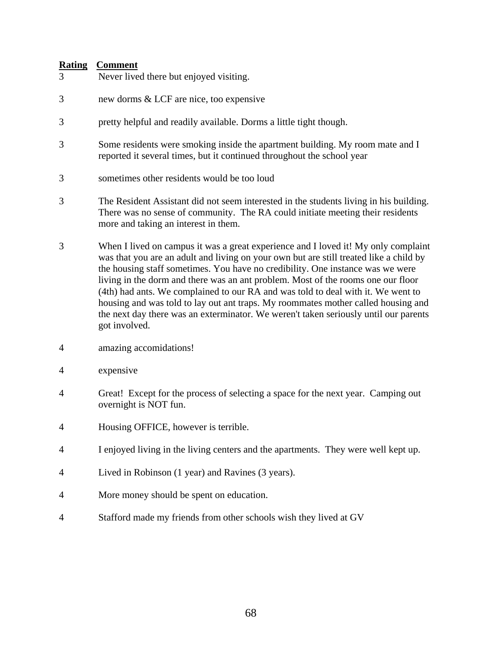| 11001116<br>3 | $\cup$ vinnicht<br>Never lived there but enjoyed visiting.                                                                                                                                                                                                                                                                                                                                                                                                                                                                                                                                                                           |
|---------------|--------------------------------------------------------------------------------------------------------------------------------------------------------------------------------------------------------------------------------------------------------------------------------------------------------------------------------------------------------------------------------------------------------------------------------------------------------------------------------------------------------------------------------------------------------------------------------------------------------------------------------------|
| 3             | new dorms & LCF are nice, too expensive                                                                                                                                                                                                                                                                                                                                                                                                                                                                                                                                                                                              |
| 3             | pretty helpful and readily available. Dorms a little tight though.                                                                                                                                                                                                                                                                                                                                                                                                                                                                                                                                                                   |
| 3             | Some residents were smoking inside the apartment building. My room mate and I<br>reported it several times, but it continued throughout the school year                                                                                                                                                                                                                                                                                                                                                                                                                                                                              |
| 3             | sometimes other residents would be too loud                                                                                                                                                                                                                                                                                                                                                                                                                                                                                                                                                                                          |
| 3             | The Resident Assistant did not seem interested in the students living in his building.<br>There was no sense of community. The RA could initiate meeting their residents<br>more and taking an interest in them.                                                                                                                                                                                                                                                                                                                                                                                                                     |
| 3             | When I lived on campus it was a great experience and I loved it! My only complaint<br>was that you are an adult and living on your own but are still treated like a child by<br>the housing staff sometimes. You have no credibility. One instance was we were<br>living in the dorm and there was an ant problem. Most of the rooms one our floor<br>(4th) had ants. We complained to our RA and was told to deal with it. We went to<br>housing and was told to lay out ant traps. My roommates mother called housing and<br>the next day there was an exterminator. We weren't taken seriously until our parents<br>got involved. |

- 4 amazing accomidations!
- 4 expensive
- 4 Great! Except for the process of selecting a space for the next year. Camping out overnight is NOT fun.
- 4 Housing OFFICE, however is terrible.
- 4 I enjoyed living in the living centers and the apartments. They were well kept up.
- 4 Lived in Robinson (1 year) and Ravines (3 years).
- 4 More money should be spent on education.
- 4 Stafford made my friends from other schools wish they lived at GV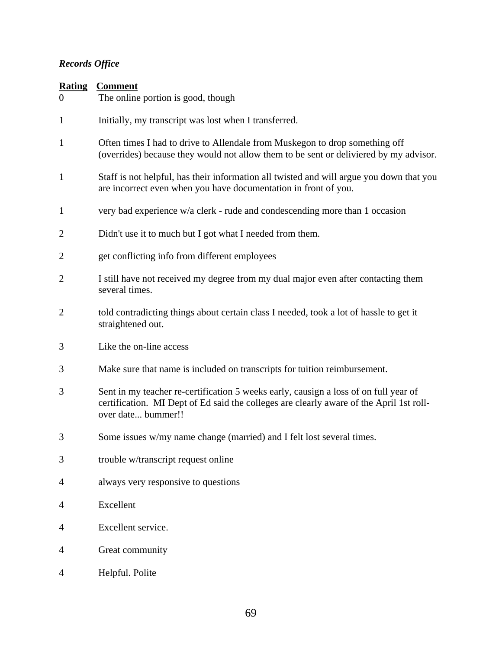# *Records Office*

| <b>Rating</b><br>$\theta$ | <b>Comment</b><br>The online portion is good, though                                                                                                                                                  |
|---------------------------|-------------------------------------------------------------------------------------------------------------------------------------------------------------------------------------------------------|
| 1                         | Initially, my transcript was lost when I transferred.                                                                                                                                                 |
| 1                         | Often times I had to drive to Allendale from Muskegon to drop something off<br>(overrides) because they would not allow them to be sent or deliviered by my advisor.                                  |
| 1                         | Staff is not helpful, has their information all twisted and will argue you down that you<br>are incorrect even when you have documentation in front of you.                                           |
| $\mathbf{1}$              | very bad experience w/a clerk - rude and condescending more than 1 occasion                                                                                                                           |
| $\overline{2}$            | Didn't use it to much but I got what I needed from them.                                                                                                                                              |
| 2                         | get conflicting info from different employees                                                                                                                                                         |
| $\overline{2}$            | I still have not received my degree from my dual major even after contacting them<br>several times.                                                                                                   |
| $\overline{2}$            | told contradicting things about certain class I needed, took a lot of hassle to get it<br>straightened out.                                                                                           |
| 3                         | Like the on-line access                                                                                                                                                                               |
| 3                         | Make sure that name is included on transcripts for tuition reimbursement.                                                                                                                             |
| 3                         | Sent in my teacher re-certification 5 weeks early, causign a loss of on full year of<br>certification. MI Dept of Ed said the colleges are clearly aware of the April 1st roll-<br>over date bummer!! |
| 3                         | Some issues w/my name change (married) and I felt lost several times.                                                                                                                                 |
| 3                         | trouble w/transcript request online                                                                                                                                                                   |
| 4                         | always very responsive to questions                                                                                                                                                                   |
| 4                         | Excellent                                                                                                                                                                                             |
| 4                         | Excellent service.                                                                                                                                                                                    |
| 4                         | Great community                                                                                                                                                                                       |
| 4                         | Helpful. Polite                                                                                                                                                                                       |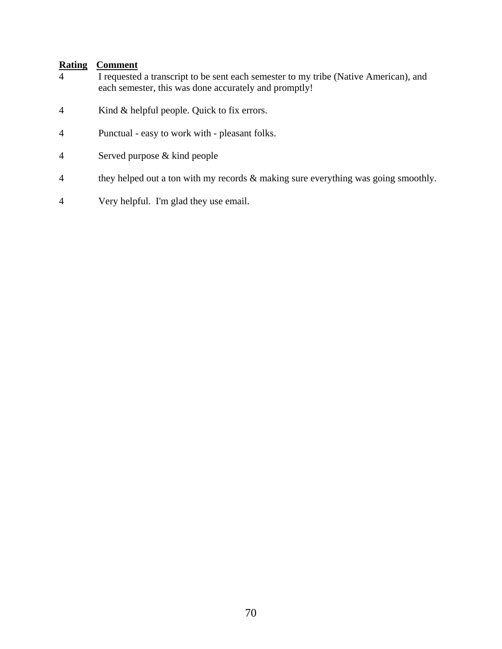- 4 I requested a transcript to be sent each semester to my tribe (Native American), and each semester, this was done accurately and promptly!
- 4 Kind & helpful people. Quick to fix errors.
- 4 Punctual easy to work with pleasant folks.
- 4 Served purpose & kind people
- 4 they helped out a ton with my records & making sure everything was going smoothly.
- 4 Very helpful. I'm glad they use email.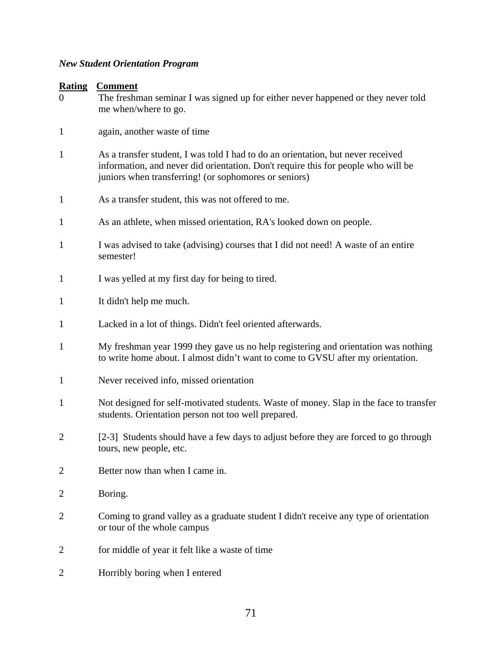## *New Student Orientation Program*

| $\boldsymbol{0}$ | The freshman seminar I was signed up for either never happened or they never told<br>me when/where to go.                                                                                                                      |
|------------------|--------------------------------------------------------------------------------------------------------------------------------------------------------------------------------------------------------------------------------|
| $\mathbf{1}$     | again, another waste of time                                                                                                                                                                                                   |
| $\mathbf{1}$     | As a transfer student, I was told I had to do an orientation, but never received<br>information, and never did orientation. Don't require this for people who will be<br>juniors when transferring! (or sophomores or seniors) |
| $\mathbf{1}$     | As a transfer student, this was not offered to me.                                                                                                                                                                             |
| $\mathbf{1}$     | As an athlete, when missed orientation, RA's looked down on people.                                                                                                                                                            |
| $\mathbf{1}$     | I was advised to take (advising) courses that I did not need! A waste of an entire<br>semester!                                                                                                                                |
| $\mathbf{1}$     | I was yelled at my first day for being to tired.                                                                                                                                                                               |
| $\mathbf{1}$     | It didn't help me much.                                                                                                                                                                                                        |
| $\mathbf{1}$     | Lacked in a lot of things. Didn't feel oriented afterwards.                                                                                                                                                                    |
| $\mathbf{1}$     | My freshman year 1999 they gave us no help registering and orientation was nothing<br>to write home about. I almost didn't want to come to GVSU after my orientation.                                                          |
| $\mathbf{1}$     | Never received info, missed orientation                                                                                                                                                                                        |
| $\mathbf{1}$     | Not designed for self-motivated students. Waste of money. Slap in the face to transfer<br>students. Orientation person not too well prepared.                                                                                  |
| $\overline{2}$   | [2-3] Students should have a few days to adjust before they are forced to go through<br>tours, new people, etc.                                                                                                                |
| $\overline{2}$   | Better now than when I came in.                                                                                                                                                                                                |
| 2                | Boring.                                                                                                                                                                                                                        |
| 2                | Coming to grand valley as a graduate student I didn't receive any type of orientation<br>or tour of the whole campus                                                                                                           |
| 2                | for middle of year it felt like a waste of time                                                                                                                                                                                |
| $\overline{2}$   | Horribly boring when I entered                                                                                                                                                                                                 |
|                  |                                                                                                                                                                                                                                |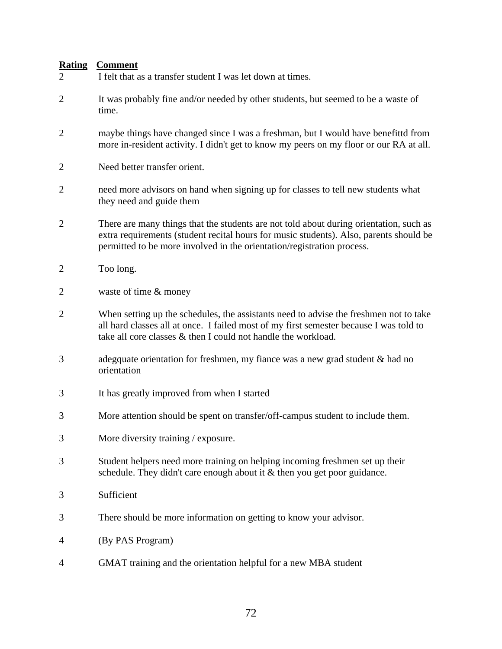| I felt that as a transfer student I was let down at times.                                                                                                                                                                                                 |
|------------------------------------------------------------------------------------------------------------------------------------------------------------------------------------------------------------------------------------------------------------|
| It was probably fine and/or needed by other students, but seemed to be a waste of<br>time.                                                                                                                                                                 |
| maybe things have changed since I was a freshman, but I would have benefittd from<br>more in-resident activity. I didn't get to know my peers on my floor or our RA at all.                                                                                |
| Need better transfer orient.                                                                                                                                                                                                                               |
| need more advisors on hand when signing up for classes to tell new students what<br>they need and guide them                                                                                                                                               |
| There are many things that the students are not told about during orientation, such as<br>extra requirements (student recital hours for music students). Also, parents should be<br>permitted to be more involved in the orientation/registration process. |
| Too long.                                                                                                                                                                                                                                                  |
| waste of time & money                                                                                                                                                                                                                                      |
| When setting up the schedules, the assistants need to advise the freshmen not to take<br>all hard classes all at once. I failed most of my first semester because I was told to<br>take all core classes & then I could not handle the workload.           |
| adegquate orientation for freshmen, my fiance was a new grad student $\&$ had no<br>orientation                                                                                                                                                            |
| It has greatly improved from when I started                                                                                                                                                                                                                |
| More attention should be spent on transfer/off-campus student to include them.                                                                                                                                                                             |
| More diversity training / exposure.                                                                                                                                                                                                                        |
| Student helpers need more training on helping incoming freshmen set up their<br>schedule. They didn't care enough about it & then you get poor guidance.                                                                                                   |
| Sufficient                                                                                                                                                                                                                                                 |
| There should be more information on getting to know your advisor.                                                                                                                                                                                          |
| (By PAS Program)                                                                                                                                                                                                                                           |
| GMAT training and the orientation helpful for a new MBA student                                                                                                                                                                                            |
|                                                                                                                                                                                                                                                            |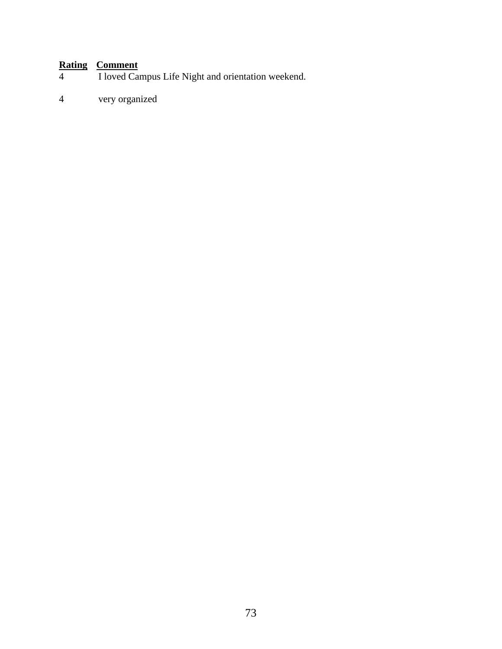# **Rating Comment**<br>I loved Car

- I loved Campus Life Night and orientation weekend.
- 4 very organized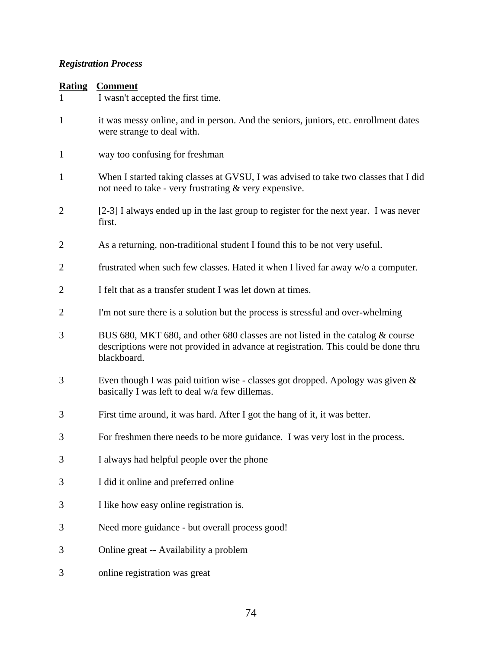# *Registration Process*

| Rating | <b>Comment</b> |
|--------|----------------|
|        |                |

| $\mathbf{1}$   | I wasn't accepted the first time.                                                                                                                                                   |
|----------------|-------------------------------------------------------------------------------------------------------------------------------------------------------------------------------------|
| $\mathbf{1}$   | it was messy online, and in person. And the seniors, juniors, etc. enrollment dates<br>were strange to deal with.                                                                   |
| $\mathbf{1}$   | way too confusing for freshman                                                                                                                                                      |
| $\mathbf{1}$   | When I started taking classes at GVSU, I was advised to take two classes that I did<br>not need to take - very frustrating & very expensive.                                        |
| 2              | [2-3] I always ended up in the last group to register for the next year. I was never<br>first.                                                                                      |
| $\overline{2}$ | As a returning, non-traditional student I found this to be not very useful.                                                                                                         |
| $\overline{2}$ | frustrated when such few classes. Hated it when I lived far away w/o a computer.                                                                                                    |
| $\overline{2}$ | I felt that as a transfer student I was let down at times.                                                                                                                          |
| $\overline{2}$ | I'm not sure there is a solution but the process is stressful and over-whelming                                                                                                     |
| 3              | BUS 680, MKT 680, and other 680 classes are not listed in the catalog & course<br>descriptions were not provided in advance at registration. This could be done thru<br>blackboard. |
| 3              | Even though I was paid tuition wise - classes got dropped. Apology was given &<br>basically I was left to deal w/a few dillemas.                                                    |
| 3              | First time around, it was hard. After I got the hang of it, it was better.                                                                                                          |
| 3              | For freshmen there needs to be more guidance. I was very lost in the process.                                                                                                       |
| 3              | I always had helpful people over the phone                                                                                                                                          |
| 3              | I did it online and preferred online                                                                                                                                                |
| 3              | I like how easy online registration is.                                                                                                                                             |
| 3              | Need more guidance - but overall process good!                                                                                                                                      |
| 3              | Online great -- Availability a problem                                                                                                                                              |

3 online registration was great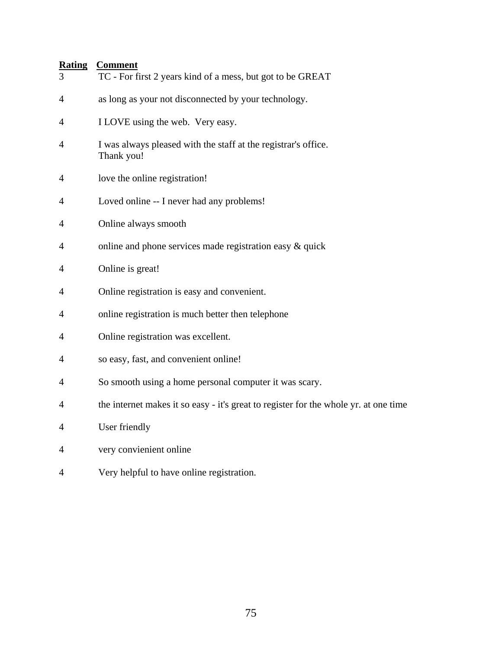| 3              | <b>Rating Comment</b><br>TC - For first 2 years kind of a mess, but got to be GREAT  |
|----------------|--------------------------------------------------------------------------------------|
| 4              | as long as your not disconnected by your technology.                                 |
| 4              | I LOVE using the web. Very easy.                                                     |
| $\overline{4}$ | I was always pleased with the staff at the registrar's office.<br>Thank you!         |
| $\overline{4}$ | love the online registration!                                                        |
| 4              | Loved online -- I never had any problems!                                            |
| 4              | Online always smooth                                                                 |
| 4              | online and phone services made registration easy $\&$ quick                          |
| 4              | Online is great!                                                                     |
| $\overline{4}$ | Online registration is easy and convenient.                                          |
| 4              | online registration is much better then telephone                                    |
| $\overline{4}$ | Online registration was excellent.                                                   |
| 4              | so easy, fast, and convenient online!                                                |
| 4              | So smooth using a home personal computer it was scary.                               |
| 4              | the internet makes it so easy - it's great to register for the whole yr. at one time |
| 4              | User friendly                                                                        |
| 4              | very convienient online                                                              |

4 Very helpful to have online registration.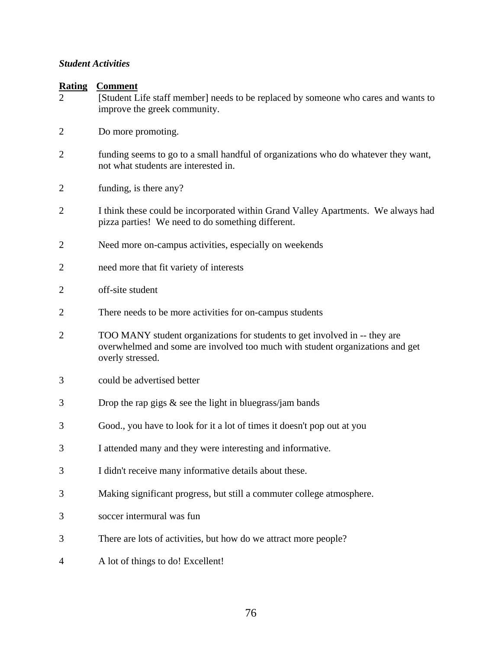#### *Student Activities*

| <b>Rating</b><br>2 | <b>Comment</b><br>[Student Life staff member] needs to be replaced by someone who cares and wants to<br>improve the greek community.                                            |
|--------------------|---------------------------------------------------------------------------------------------------------------------------------------------------------------------------------|
| 2                  | Do more promoting.                                                                                                                                                              |
| $\overline{2}$     | funding seems to go to a small handful of organizations who do whatever they want,<br>not what students are interested in.                                                      |
| 2                  | funding, is there any?                                                                                                                                                          |
| $\overline{2}$     | I think these could be incorporated within Grand Valley Apartments. We always had<br>pizza parties! We need to do something different.                                          |
| 2                  | Need more on-campus activities, especially on weekends                                                                                                                          |
| 2                  | need more that fit variety of interests                                                                                                                                         |
| 2                  | off-site student                                                                                                                                                                |
| $\overline{2}$     | There needs to be more activities for on-campus students                                                                                                                        |
| $\overline{2}$     | TOO MANY student organizations for students to get involved in -- they are<br>overwhelmed and some are involved too much with student organizations and get<br>overly stressed. |
| 3                  | could be advertised better                                                                                                                                                      |
| 3                  | Drop the rap gigs $\&$ see the light in bluegrass/jam bands                                                                                                                     |
| 3                  | Good., you have to look for it a lot of times it doesn't pop out at you                                                                                                         |
| 3                  | I attended many and they were interesting and informative.                                                                                                                      |
| 3                  | I didn't receive many informative details about these.                                                                                                                          |
| 3                  | Making significant progress, but still a commuter college atmosphere.                                                                                                           |
| 3                  | soccer intermural was fun                                                                                                                                                       |
| 3                  | There are lots of activities, but how do we attract more people?                                                                                                                |
| 4                  | A lot of things to do! Excellent!                                                                                                                                               |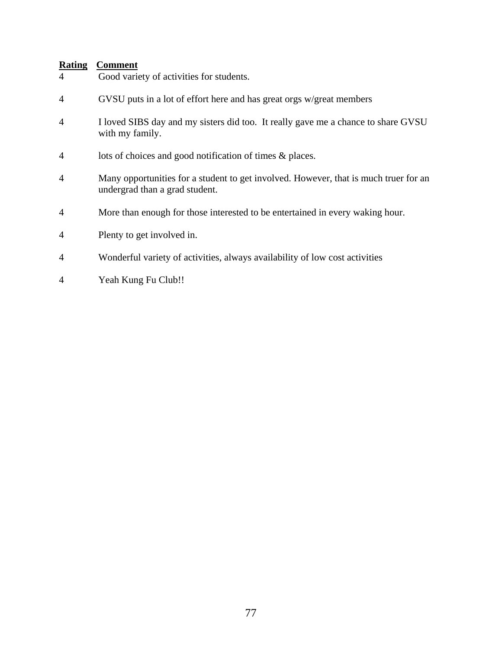- 4 Good variety of activities for students.
- 4 GVSU puts in a lot of effort here and has great orgs w/great members
- 4 I loved SIBS day and my sisters did too. It really gave me a chance to share GVSU with my family.
- 4 lots of choices and good notification of times & places.
- 4 Many opportunities for a student to get involved. However, that is much truer for an undergrad than a grad student.
- 4 More than enough for those interested to be entertained in every waking hour.
- 4 Plenty to get involved in.
- 4 Wonderful variety of activities, always availability of low cost activities
- 4 Yeah Kung Fu Club!!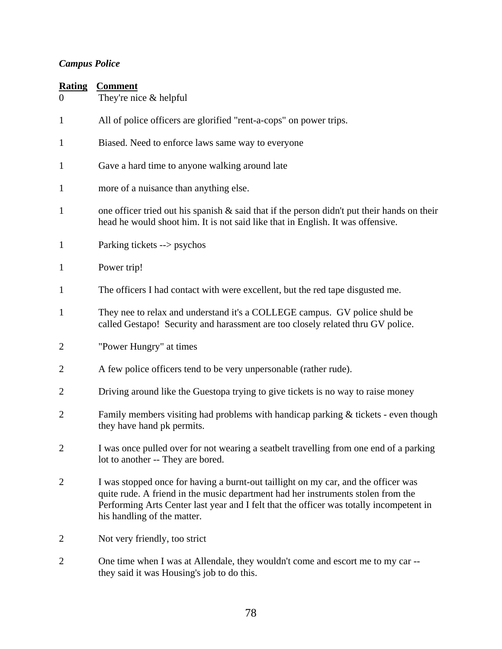# *Campus Police*

| <b>Rating</b><br>$\overline{0}$ | <b>Comment</b><br>They're nice & helpful                                                                                                                                                                                                                                                         |
|---------------------------------|--------------------------------------------------------------------------------------------------------------------------------------------------------------------------------------------------------------------------------------------------------------------------------------------------|
| $\mathbf{1}$                    | All of police officers are glorified "rent-a-cops" on power trips.                                                                                                                                                                                                                               |
| 1                               | Biased. Need to enforce laws same way to everyone                                                                                                                                                                                                                                                |
| $\mathbf{1}$                    | Gave a hard time to anyone walking around late                                                                                                                                                                                                                                                   |
| $\mathbf{1}$                    | more of a nuisance than anything else.                                                                                                                                                                                                                                                           |
| $\mathbf{1}$                    | one officer tried out his spanish $\&$ said that if the person didn't put their hands on their<br>head he would shoot him. It is not said like that in English. It was offensive.                                                                                                                |
| $\mathbf{1}$                    | Parking tickets --> psychos                                                                                                                                                                                                                                                                      |
| $\mathbf{1}$                    | Power trip!                                                                                                                                                                                                                                                                                      |
| 1                               | The officers I had contact with were excellent, but the red tape disgusted me.                                                                                                                                                                                                                   |
| $\mathbf{1}$                    | They nee to relax and understand it's a COLLEGE campus. GV police shuld be<br>called Gestapo! Security and harassment are too closely related thru GV police.                                                                                                                                    |
| $\overline{2}$                  | "Power Hungry" at times                                                                                                                                                                                                                                                                          |
| $\overline{2}$                  | A few police officers tend to be very unpersonable (rather rude).                                                                                                                                                                                                                                |
| $\overline{2}$                  | Driving around like the Guestopa trying to give tickets is no way to raise money                                                                                                                                                                                                                 |
| $\overline{2}$                  | Family members visiting had problems with handicap parking $&$ tickets - even though<br>they have hand pk permits.                                                                                                                                                                               |
| $\overline{2}$                  | I was once pulled over for not wearing a seatbelt travelling from one end of a parking<br>lot to another -- They are bored.                                                                                                                                                                      |
| $\overline{2}$                  | I was stopped once for having a burnt-out taillight on my car, and the officer was<br>quite rude. A friend in the music department had her instruments stolen from the<br>Performing Arts Center last year and I felt that the officer was totally incompetent in<br>his handling of the matter. |
| 2                               | Not very friendly, too strict                                                                                                                                                                                                                                                                    |
| $\overline{2}$                  | One time when I was at Allendale, they wouldn't come and escort me to my car-<br>they said it was Housing's job to do this.                                                                                                                                                                      |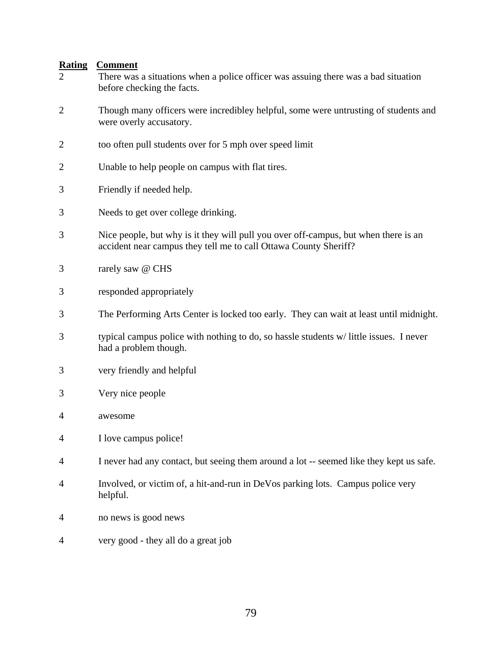- 2 There was a situations when a police officer was assuing there was a bad situation before checking the facts. 2 Though many officers were incredibley helpful, some were untrusting of students and were overly accusatory. 2 too often pull students over for 5 mph over speed limit 2 Unable to help people on campus with flat tires. 3 Friendly if needed help.
- 3 Needs to get over college drinking.
- 3 Nice people, but why is it they will pull you over off-campus, but when there is an accident near campus they tell me to call Ottawa County Sheriff?
- 3 rarely saw @ CHS
- 3 responded appropriately
- 3 The Performing Arts Center is locked too early. They can wait at least until midnight.
- 3 typical campus police with nothing to do, so hassle students w/ little issues. I never had a problem though.
- 3 very friendly and helpful
- 3 Very nice people
- 4 awesome
- 4 I love campus police!
- 4 I never had any contact, but seeing them around a lot -- seemed like they kept us safe.
- 4 Involved, or victim of, a hit-and-run in DeVos parking lots. Campus police very helpful.
- 4 no news is good news
- 4 very good they all do a great job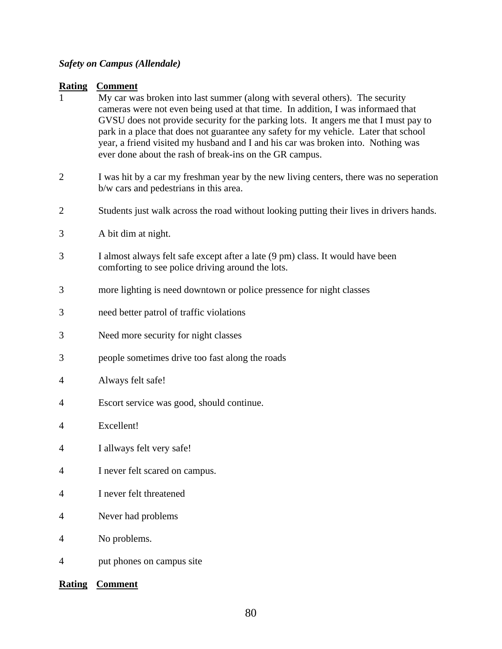#### *Safety on Campus (Allendale)*

#### **Rating Comment**

- 1 My car was broken into last summer (along with several others). The security cameras were not even being used at that time. In addition, I was informaed that GVSU does not provide security for the parking lots. It angers me that I must pay to park in a place that does not guarantee any safety for my vehicle. Later that school year, a friend visited my husband and I and his car was broken into. Nothing was ever done about the rash of break-ins on the GR campus.
- 2 I was hit by a car my freshman year by the new living centers, there was no seperation b/w cars and pedestrians in this area.
- 2 Students just walk across the road without looking putting their lives in drivers hands.
- 3 A bit dim at night.
- 3 I almost always felt safe except after a late (9 pm) class. It would have been comforting to see police driving around the lots.
- 3 more lighting is need downtown or police pressence for night classes
- 3 need better patrol of traffic violations
- 3 Need more security for night classes
- 3 people sometimes drive too fast along the roads
- 4 Always felt safe!
- 4 Escort service was good, should continue.
- 4 Excellent!
- 4 I allways felt very safe!
- 4 I never felt scared on campus.
- 4 I never felt threatened
- 4 Never had problems
- 4 No problems.
- 4 put phones on campus site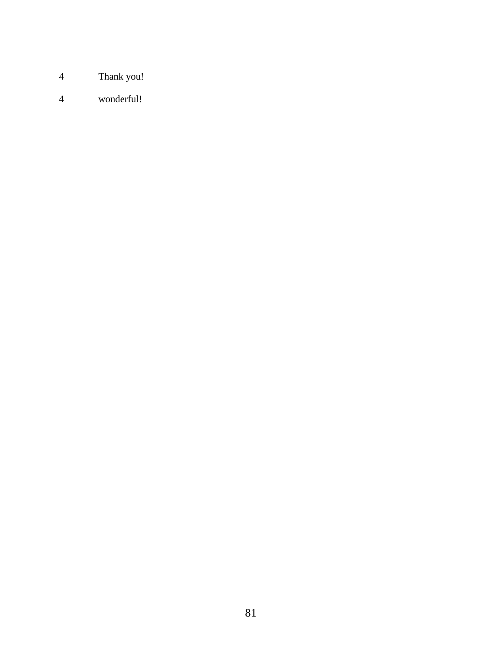- Thank you!
- wonderful!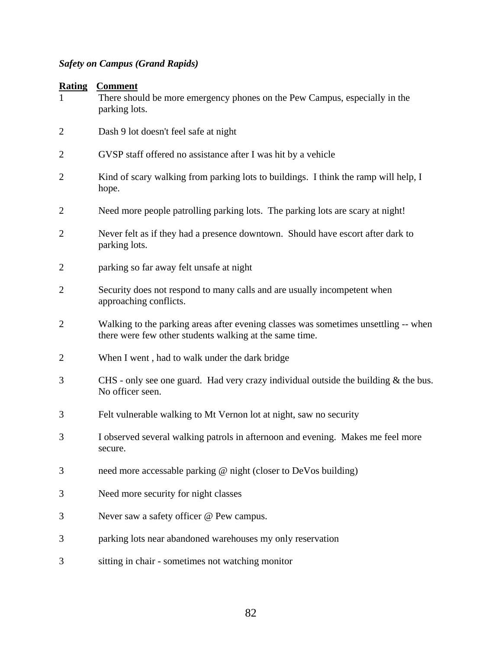# *Safety on Campus (Grand Rapids)*

| <b>Rating</b>  | <b>Comment</b><br>There should be more emergency phones on the Pew Campus, especially in the<br>parking lots.                                  |
|----------------|------------------------------------------------------------------------------------------------------------------------------------------------|
| $\overline{2}$ | Dash 9 lot doesn't feel safe at night                                                                                                          |
| $\overline{2}$ | GVSP staff offered no assistance after I was hit by a vehicle                                                                                  |
| $\overline{2}$ | Kind of scary walking from parking lots to buildings. I think the ramp will help, I<br>hope.                                                   |
| $\overline{2}$ | Need more people patrolling parking lots. The parking lots are scary at night!                                                                 |
| 2              | Never felt as if they had a presence downtown. Should have escort after dark to<br>parking lots.                                               |
| $\overline{2}$ | parking so far away felt unsafe at night                                                                                                       |
| $\overline{2}$ | Security does not respond to many calls and are usually incompetent when<br>approaching conflicts.                                             |
| $\overline{2}$ | Walking to the parking areas after evening classes was sometimes unsettling -- when<br>there were few other students walking at the same time. |
| $\overline{2}$ | When I went, had to walk under the dark bridge                                                                                                 |
| 3              | CHS - only see one guard. Had very crazy individual outside the building $\&$ the bus.<br>No officer seen.                                     |
| 3              | Felt vulnerable walking to Mt Vernon lot at night, saw no security                                                                             |
| 3              | I observed several walking patrols in afternoon and evening. Makes me feel more<br>secure.                                                     |
| 3              | need more accessable parking @ night (closer to DeVos building)                                                                                |
| 3              | Need more security for night classes                                                                                                           |
| 3              | Never saw a safety officer @ Pew campus.                                                                                                       |
| 3              | parking lots near abandoned warehouses my only reservation                                                                                     |
| 3              | sitting in chair - sometimes not watching monitor                                                                                              |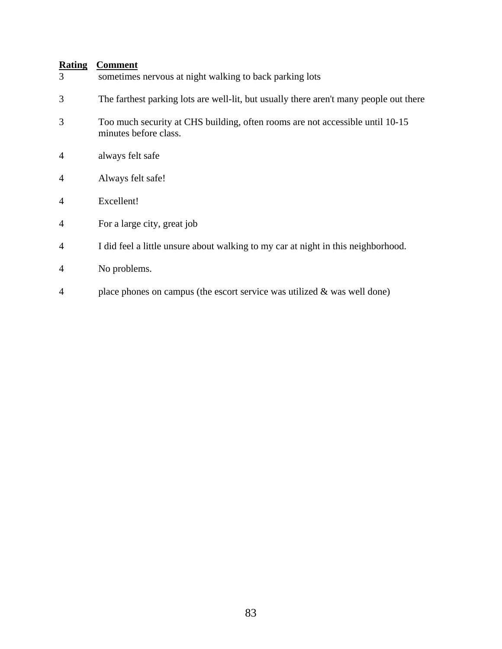| 3              | sometimes nervous at night walking to back parking lots                                                |
|----------------|--------------------------------------------------------------------------------------------------------|
| 3              | The farthest parking lots are well-lit, but usually there aren't many people out there                 |
| 3              | Too much security at CHS building, often rooms are not accessible until 10-15<br>minutes before class. |
| $\overline{4}$ | always felt safe                                                                                       |
| $\overline{4}$ | Always felt safe!                                                                                      |
| $\overline{4}$ | Excellent!                                                                                             |
| $\overline{4}$ | For a large city, great job                                                                            |
| $\overline{4}$ | I did feel a little unsure about walking to my car at night in this neighborhood.                      |
| $\overline{4}$ | No problems.                                                                                           |
| $\overline{A}$ | place phones on campus (the escort service was utilized $\&$ was well done)                            |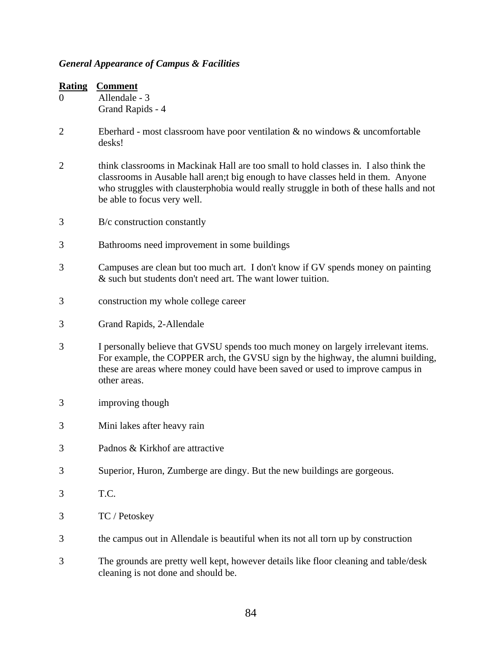# *General Appearance of Campus & Facilities*

| <b>Rating</b><br>$\overline{0}$ | <b>Comment</b><br>Allendale - 3<br>Grand Rapids - 4                                                                                                                                                                                                                                                |
|---------------------------------|----------------------------------------------------------------------------------------------------------------------------------------------------------------------------------------------------------------------------------------------------------------------------------------------------|
| $\overline{2}$                  | Eberhard - most classroom have poor ventilation $\&$ no windows $\&$ uncomfortable<br>desks!                                                                                                                                                                                                       |
| $\overline{2}$                  | think classrooms in Mackinak Hall are too small to hold classes in. I also think the<br>classrooms in Ausable hall aren; tbig enough to have classes held in them. Anyone<br>who struggles with clausterphobia would really struggle in both of these halls and not<br>be able to focus very well. |
| 3                               | B/c construction constantly                                                                                                                                                                                                                                                                        |
| 3                               | Bathrooms need improvement in some buildings                                                                                                                                                                                                                                                       |
| 3                               | Campuses are clean but too much art. I don't know if GV spends money on painting<br>& such but students don't need art. The want lower tuition.                                                                                                                                                    |
| 3                               | construction my whole college career                                                                                                                                                                                                                                                               |
| 3                               | Grand Rapids, 2-Allendale                                                                                                                                                                                                                                                                          |
| 3                               | I personally believe that GVSU spends too much money on largely irrelevant items.<br>For example, the COPPER arch, the GVSU sign by the highway, the alumni building,<br>these are areas where money could have been saved or used to improve campus in<br>other areas.                            |
| 3                               | improving though                                                                                                                                                                                                                                                                                   |
| 3                               | Mini lakes after heavy rain                                                                                                                                                                                                                                                                        |
| 3                               | Padnos & Kirkhof are attractive                                                                                                                                                                                                                                                                    |
| 3                               | Superior, Huron, Zumberge are dingy. But the new buildings are gorgeous.                                                                                                                                                                                                                           |
| 3                               | T.C.                                                                                                                                                                                                                                                                                               |
| 3                               | TC / Petoskey                                                                                                                                                                                                                                                                                      |
| 3                               | the campus out in Allendale is beautiful when its not all torn up by construction                                                                                                                                                                                                                  |
| 3                               | The grounds are pretty well kept, however details like floor cleaning and table/desk<br>cleaning is not done and should be.                                                                                                                                                                        |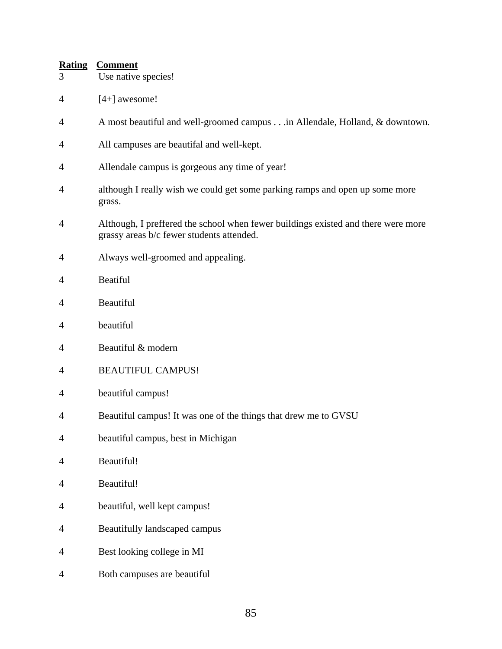- 3 Use native species!
- $4 \qquad \qquad$  [4+] awesome!
- 4 A most beautiful and well-groomed campus . . .in Allendale, Holland, & downtown.
- 4 All campuses are beautifal and well-kept.
- 4 Allendale campus is gorgeous any time of year!
- 4 although I really wish we could get some parking ramps and open up some more grass.
- 4 Although, I preffered the school when fewer buildings existed and there were more grassy areas b/c fewer students attended.
- 4 Always well-groomed and appealing.
- 4 Beatiful
- 4 Beautiful
- 4 beautiful
- 4 Beautiful & modern
- 4 BEAUTIFUL CAMPUS!
- 4 beautiful campus!
- 4 Beautiful campus! It was one of the things that drew me to GVSU
- 4 beautiful campus, best in Michigan
- 4 Beautiful!
- 4 Beautiful!
- 4 beautiful, well kept campus!
- 4 Beautifully landscaped campus
- 4 Best looking college in MI
- 4 Both campuses are beautiful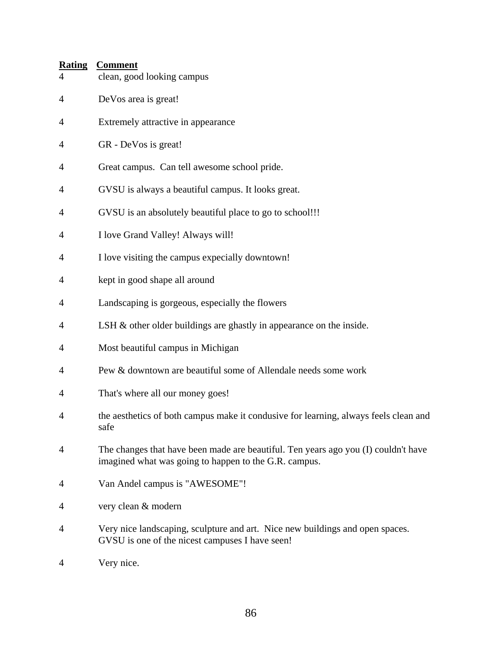| <b>Rating</b><br>4 | <b>Comment</b><br>clean, good looking campus                                                                                                |
|--------------------|---------------------------------------------------------------------------------------------------------------------------------------------|
| $\overline{4}$     | DeVos area is great!                                                                                                                        |
| 4                  | Extremely attractive in appearance                                                                                                          |
| 4                  | GR - DeVos is great!                                                                                                                        |
| 4                  | Great campus. Can tell awesome school pride.                                                                                                |
| 4                  | GVSU is always a beautiful campus. It looks great.                                                                                          |
| 4                  | GVSU is an absolutely beautiful place to go to school!!!                                                                                    |
| 4                  | I love Grand Valley! Always will!                                                                                                           |
| 4                  | I love visiting the campus expecially downtown!                                                                                             |
| 4                  | kept in good shape all around                                                                                                               |
| 4                  | Landscaping is gorgeous, especially the flowers                                                                                             |
| 4                  | LSH & other older buildings are ghastly in appearance on the inside.                                                                        |
| 4                  | Most beautiful campus in Michigan                                                                                                           |
| 4                  | Pew & downtown are beautiful some of Allendale needs some work                                                                              |
| 4                  | That's where all our money goes!                                                                                                            |
| 4                  | the aesthetics of both campus make it condusive for learning, always feels clean and<br>safe                                                |
| 4                  | The changes that have been made are beautiful. Ten years ago you (I) couldn't have<br>imagined what was going to happen to the G.R. campus. |
| 4                  | Van Andel campus is "AWESOME"!                                                                                                              |
| 4                  | very clean & modern                                                                                                                         |
| $\overline{4}$     | Very nice landscaping, sculpture and art. Nice new buildings and open spaces.<br>GVSU is one of the nicest campuses I have seen!            |
| 4                  | Very nice.                                                                                                                                  |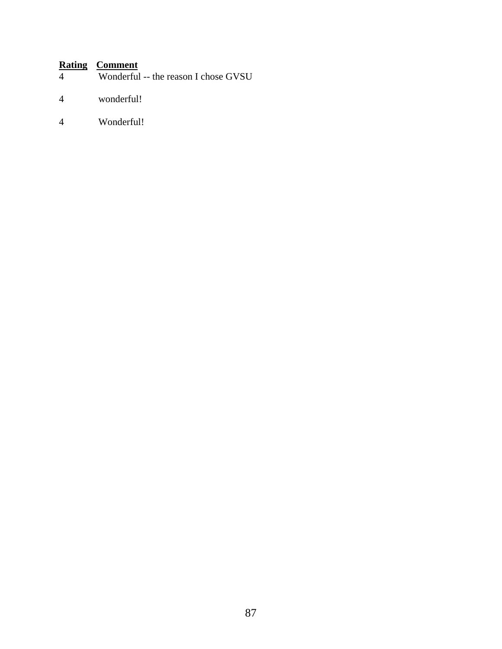- Wonderful -- the reason I chose GVSU
- 4 wonderful!
- 4 Wonderful!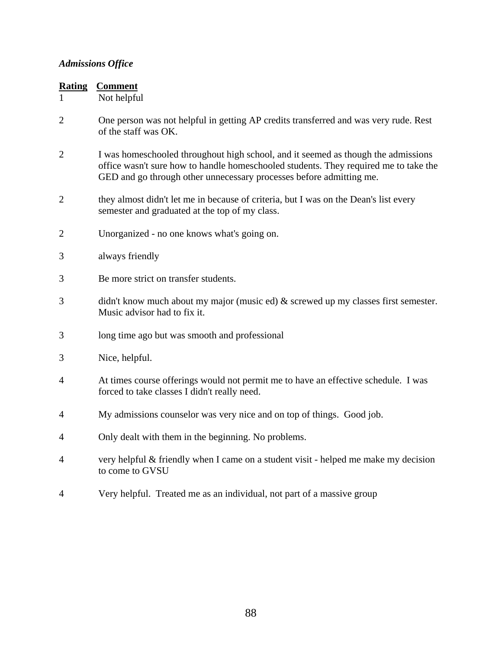# *Admissions Office*

| <b>Rating</b>  | <b>Comment</b>                                                                                                                                                                                                                                   |
|----------------|--------------------------------------------------------------------------------------------------------------------------------------------------------------------------------------------------------------------------------------------------|
|                | Not helpful                                                                                                                                                                                                                                      |
| $\overline{2}$ | One person was not helpful in getting AP credits transferred and was very rude. Rest<br>of the staff was OK.                                                                                                                                     |
| $\overline{2}$ | I was homeschooled throughout high school, and it seemed as though the admissions<br>office wasn't sure how to handle homeschooled students. They required me to take the<br>GED and go through other unnecessary processes before admitting me. |
| $\overline{2}$ | they almost didn't let me in because of criteria, but I was on the Dean's list every<br>semester and graduated at the top of my class.                                                                                                           |
| $\overline{2}$ | Unorganized - no one knows what's going on.                                                                                                                                                                                                      |
| 3              | always friendly                                                                                                                                                                                                                                  |
| 3              | Be more strict on transfer students.                                                                                                                                                                                                             |
| 3              | didn't know much about my major (music ed) $\&$ screwed up my classes first semester.<br>Music advisor had to fix it.                                                                                                                            |
| 3              | long time ago but was smooth and professional                                                                                                                                                                                                    |
| 3              | Nice, helpful.                                                                                                                                                                                                                                   |
| $\overline{4}$ | At times course offerings would not permit me to have an effective schedule. I was<br>forced to take classes I didn't really need.                                                                                                               |
| 4              | My admissions counselor was very nice and on top of things. Good job.                                                                                                                                                                            |
| 4              | Only dealt with them in the beginning. No problems.                                                                                                                                                                                              |
| $\overline{4}$ | very helpful & friendly when I came on a student visit - helped me make my decision<br>to come to GVSU                                                                                                                                           |
| 4              | Very helpful. Treated me as an individual, not part of a massive group                                                                                                                                                                           |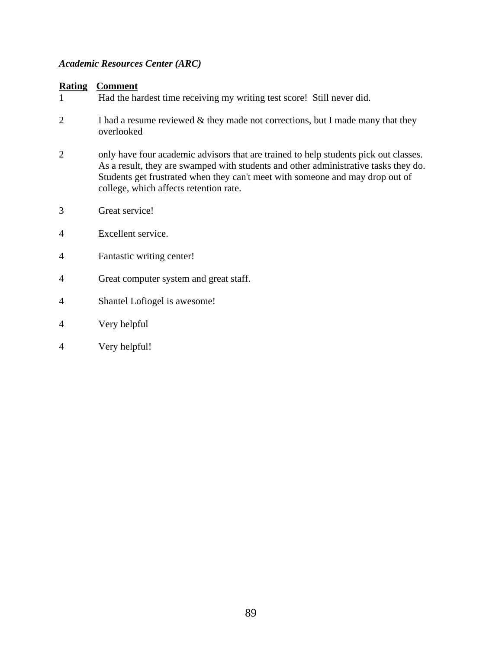#### *Academic Resources Center (ARC)*

#### **Rating Comment**

1 Had the hardest time receiving my writing test score! Still never did. 2 I had a resume reviewed & they made not corrections, but I made many that they overlooked 2 only have four academic advisors that are trained to help students pick out classes. As a result, they are swamped with students and other administrative tasks they do. Students get frustrated when they can't meet with someone and may drop out of college, which affects retention rate. 3 Great service! 4 Excellent service. 4 Fantastic writing center! 4 Great computer system and great staff. 4 Shantel Lofiogel is awesome! 4 Very helpful 4 Very helpful!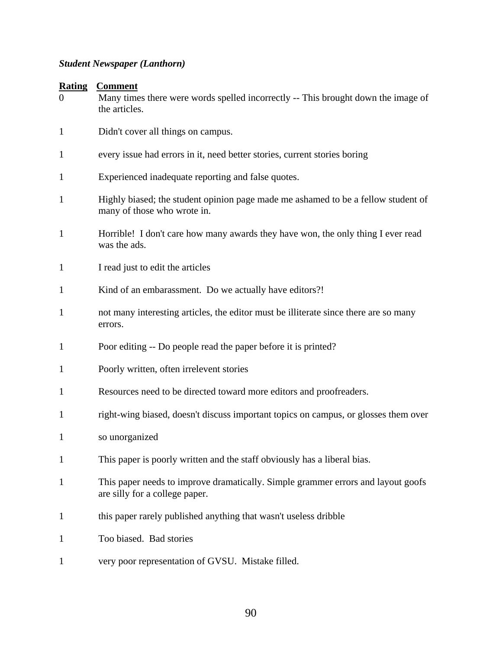# *Student Newspaper (Lanthorn)*

| $\theta$     | <b>Rating Comment</b><br>Many times there were words spelled incorrectly -- This brought down the image of<br>the articles. |
|--------------|-----------------------------------------------------------------------------------------------------------------------------|
| $\mathbf{1}$ | Didn't cover all things on campus.                                                                                          |
| 1            | every issue had errors in it, need better stories, current stories boring                                                   |
| 1            | Experienced inadequate reporting and false quotes.                                                                          |
| 1            | Highly biased; the student opinion page made me ashamed to be a fellow student of<br>many of those who wrote in.            |
| 1            | Horrible! I don't care how many awards they have won, the only thing I ever read<br>was the ads.                            |
| 1            | I read just to edit the articles                                                                                            |
| 1            | Kind of an embarassment. Do we actually have editors?!                                                                      |
| 1            | not many interesting articles, the editor must be illiterate since there are so many<br>errors.                             |
| 1            | Poor editing -- Do people read the paper before it is printed?                                                              |
| 1            | Poorly written, often irrelevent stories                                                                                    |
| 1            | Resources need to be directed toward more editors and proofreaders.                                                         |
| 1            | right-wing biased, doesn't discuss important topics on campus, or glosses them over                                         |
| 1            | so unorganized                                                                                                              |
| $\mathbf{1}$ | This paper is poorly written and the staff obviously has a liberal bias.                                                    |
| 1            | This paper needs to improve dramatically. Simple grammer errors and layout goofs<br>are silly for a college paper.          |
| 1            | this paper rarely published anything that wasn't useless dribble                                                            |
| $\mathbf{1}$ | Too biased. Bad stories                                                                                                     |

1 very poor representation of GVSU. Mistake filled.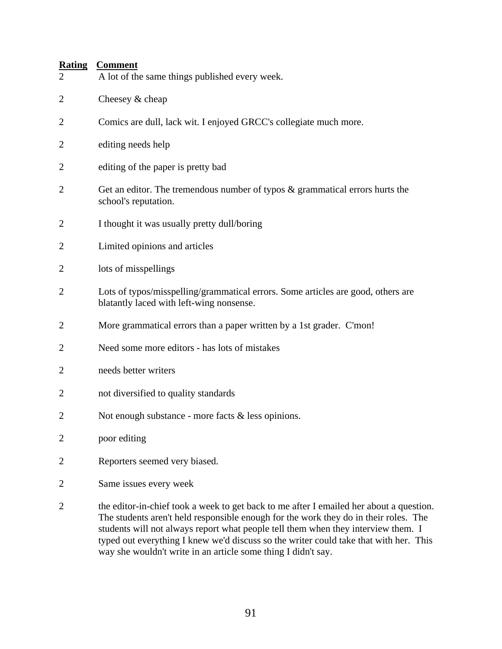| $\overline{2}$ | A lot of the same things published every week.                                                                                                                                                                                                                                                                                                                |
|----------------|---------------------------------------------------------------------------------------------------------------------------------------------------------------------------------------------------------------------------------------------------------------------------------------------------------------------------------------------------------------|
| 2              | Cheesey & cheap                                                                                                                                                                                                                                                                                                                                               |
| $\overline{2}$ | Comics are dull, lack wit. I enjoyed GRCC's collegiate much more.                                                                                                                                                                                                                                                                                             |
| 2              | editing needs help                                                                                                                                                                                                                                                                                                                                            |
| 2              | editing of the paper is pretty bad                                                                                                                                                                                                                                                                                                                            |
| $\overline{2}$ | Get an editor. The tremendous number of typos $\&$ grammatical errors hurts the<br>school's reputation.                                                                                                                                                                                                                                                       |
| 2              | I thought it was usually pretty dull/boring                                                                                                                                                                                                                                                                                                                   |
| 2              | Limited opinions and articles                                                                                                                                                                                                                                                                                                                                 |
| $\overline{2}$ | lots of misspellings                                                                                                                                                                                                                                                                                                                                          |
| $\overline{2}$ | Lots of typos/misspelling/grammatical errors. Some articles are good, others are<br>blatantly laced with left-wing nonsense.                                                                                                                                                                                                                                  |
| 2              | More grammatical errors than a paper written by a 1st grader. C'mon!                                                                                                                                                                                                                                                                                          |
| 2              | Need some more editors - has lots of mistakes                                                                                                                                                                                                                                                                                                                 |
| 2              | needs better writers                                                                                                                                                                                                                                                                                                                                          |
| 2              | not diversified to quality standards                                                                                                                                                                                                                                                                                                                          |
| 2              | Not enough substance - more facts $\&$ less opinions.                                                                                                                                                                                                                                                                                                         |
| $\overline{2}$ | poor editing                                                                                                                                                                                                                                                                                                                                                  |
| $\overline{2}$ | Reporters seemed very biased.                                                                                                                                                                                                                                                                                                                                 |
| $\overline{2}$ | Same issues every week                                                                                                                                                                                                                                                                                                                                        |
| $\overline{2}$ | the editor-in-chief took a week to get back to me after I emailed her about a question.<br>The students aren't held responsible enough for the work they do in their roles. The<br>students will not always report what people tell them when they interview them. I<br>typed out everything I knew we'd discuss so the writer could take that with her. This |

way she wouldn't write in an article some thing I didn't say.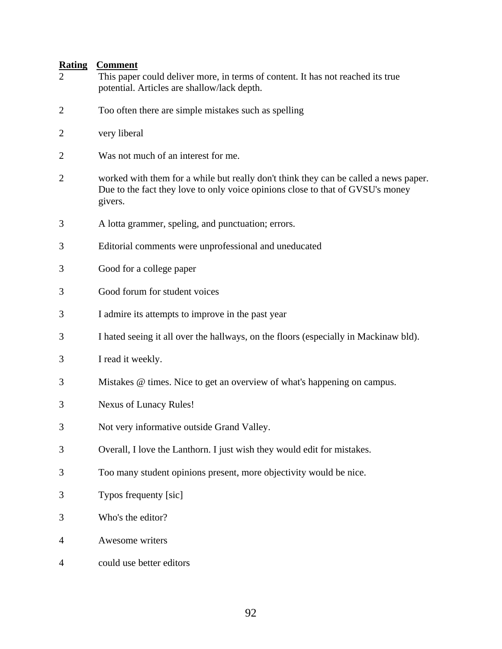- 2 This paper could deliver more, in terms of content. It has not reached its true potential. Articles are shallow/lack depth.
- 2 Too often there are simple mistakes such as spelling
- 2 very liberal
- 2 Was not much of an interest for me.
- 2 worked with them for a while but really don't think they can be called a news paper. Due to the fact they love to only voice opinions close to that of GVSU's money givers.
- 3 A lotta grammer, speling, and punctuation; errors.
- 3 Editorial comments were unprofessional and uneducated
- 3 Good for a college paper
- 3 Good forum for student voices
- 3 I admire its attempts to improve in the past year
- 3 I hated seeing it all over the hallways, on the floors (especially in Mackinaw bld).
- 3 I read it weekly.
- 3 Mistakes @ times. Nice to get an overview of what's happening on campus.
- 3 Nexus of Lunacy Rules!
- 3 Not very informative outside Grand Valley.
- 3 Overall, I love the Lanthorn. I just wish they would edit for mistakes.
- 3 Too many student opinions present, more objectivity would be nice.
- 3 Typos frequenty [sic]
- 3 Who's the editor?
- 4 Awesome writers
- 4 could use better editors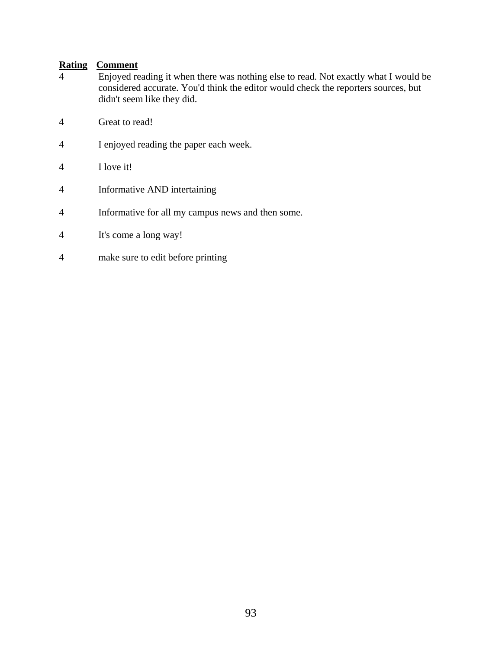- 4 Enjoyed reading it when there was nothing else to read. Not exactly what I would be considered accurate. You'd think the editor would check the reporters sources, but didn't seem like they did.
- 4 Great to read!
- 4 I enjoyed reading the paper each week.
- 4 I love it!
- 4 Informative AND intertaining
- 4 Informative for all my campus news and then some.
- 4 It's come a long way!
- 4 make sure to edit before printing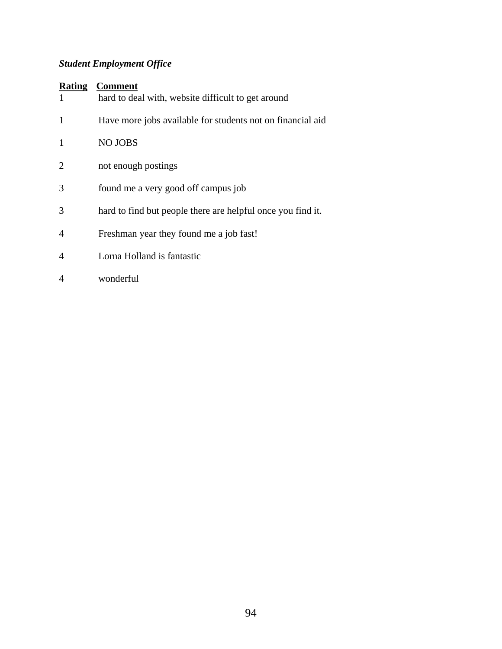# *Student Employment Office*

#### **Rating Comment**

|   | hard to deal with, website difficult to get around          |
|---|-------------------------------------------------------------|
| 1 | Have more jobs available for students not on financial aid  |
|   | <b>NO JOBS</b>                                              |
| 2 | not enough postings                                         |
| 3 | found me a very good off campus job                         |
| 3 | hard to find but people there are helpful once you find it. |
| 4 | Freshman year they found me a job fast!                     |
|   | Lorna Holland is fantastic                                  |
|   |                                                             |

4 wonderful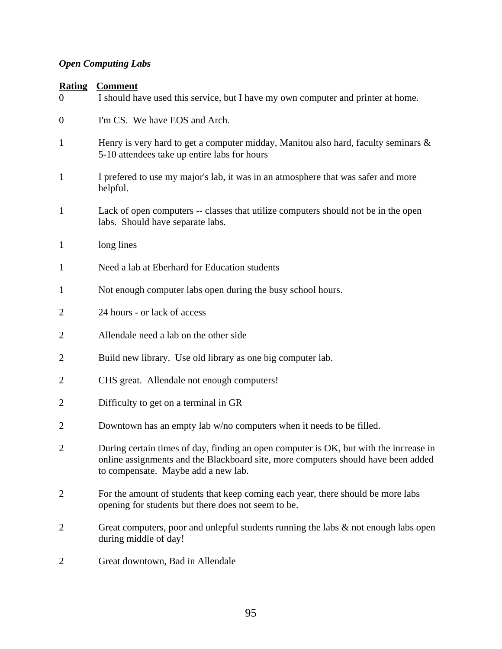# *Open Computing Labs*

#### **Rating Comment**

| <u>Natilig</u><br>$\overline{0}$ | <u>Commichi</u><br>I should have used this service, but I have my own computer and printer at home.                                                                                                               |
|----------------------------------|-------------------------------------------------------------------------------------------------------------------------------------------------------------------------------------------------------------------|
| $\boldsymbol{0}$                 | I'm CS. We have EOS and Arch.                                                                                                                                                                                     |
| $\mathbf{1}$                     | Henry is very hard to get a computer midday, Manitou also hard, faculty seminars &<br>5-10 attendees take up entire labs for hours                                                                                |
| $\mathbf{1}$                     | I prefered to use my major's lab, it was in an atmosphere that was safer and more<br>helpful.                                                                                                                     |
| $\mathbf{1}$                     | Lack of open computers -- classes that utilize computers should not be in the open<br>labs. Should have separate labs.                                                                                            |
| $\mathbf{1}$                     | long lines                                                                                                                                                                                                        |
| $\mathbf{1}$                     | Need a lab at Eberhard for Education students                                                                                                                                                                     |
| $\mathbf{1}$                     | Not enough computer labs open during the busy school hours.                                                                                                                                                       |
| $\overline{2}$                   | 24 hours - or lack of access                                                                                                                                                                                      |
| 2                                | Allendale need a lab on the other side                                                                                                                                                                            |
| 2                                | Build new library. Use old library as one big computer lab.                                                                                                                                                       |
| 2                                | CHS great. Allendale not enough computers!                                                                                                                                                                        |
| 2                                | Difficulty to get on a terminal in GR                                                                                                                                                                             |
| $\overline{2}$                   | Downtown has an empty lab w/no computers when it needs to be filled.                                                                                                                                              |
| 2                                | During certain times of day, finding an open computer is OK, but with the increase in<br>online assignments and the Blackboard site, more computers should have been added<br>to compensate. Maybe add a new lab. |
| 2                                | For the amount of students that keep coming each year, there should be more labs<br>opening for students but there does not seem to be.                                                                           |
| 2                                | Great computers, poor and unlepful students running the labs $\&$ not enough labs open<br>during middle of day!                                                                                                   |
|                                  |                                                                                                                                                                                                                   |

2 Great downtown, Bad in Allendale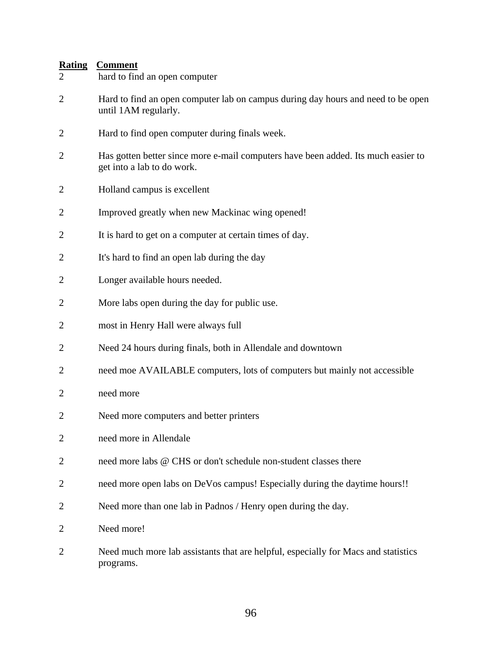- 2 Hard to find an open computer lab on campus during day hours and need to be open until 1AM regularly.
- 2 Hard to find open computer during finals week.
- 2 Has gotten better since more e-mail computers have been added. Its much easier to get into a lab to do work.
- 2 Holland campus is excellent
- 2 Improved greatly when new Mackinac wing opened!
- 2 It is hard to get on a computer at certain times of day.
- 2 It's hard to find an open lab during the day
- 2 Longer available hours needed.
- 2 More labs open during the day for public use.
- 2 most in Henry Hall were always full
- 2 Need 24 hours during finals, both in Allendale and downtown
- 2 need moe AVAILABLE computers, lots of computers but mainly not accessible
- 2 need more
- 2 Need more computers and better printers
- 2 need more in Allendale
- 2 need more labs @ CHS or don't schedule non-student classes there
- 2 need more open labs on DeVos campus! Especially during the daytime hours!!
- 2 Need more than one lab in Padnos / Henry open during the day.
- 2 Need more!
- 2 Need much more lab assistants that are helpful, especially for Macs and statistics programs.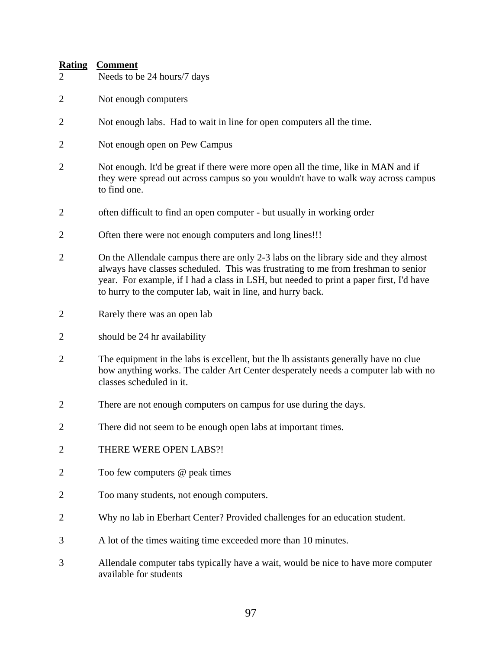- 2 Needs to be 24 hours/7 days
- 2 Not enough computers
- 2 Not enough labs. Had to wait in line for open computers all the time.
- 2 Not enough open on Pew Campus
- 2 Not enough. It'd be great if there were more open all the time, like in MAN and if they were spread out across campus so you wouldn't have to walk way across campus to find one.
- 2 often difficult to find an open computer but usually in working order
- 2 Often there were not enough computers and long lines!!!
- 2 On the Allendale campus there are only 2-3 labs on the library side and they almost always have classes scheduled. This was frustrating to me from freshman to senior year. For example, if I had a class in LSH, but needed to print a paper first, I'd have to hurry to the computer lab, wait in line, and hurry back.
- 2 Rarely there was an open lab
- 2 should be 24 hr availability
- 2 The equipment in the labs is excellent, but the lb assistants generally have no clue how anything works. The calder Art Center desperately needs a computer lab with no classes scheduled in it.
- 2 There are not enough computers on campus for use during the days.
- 2 There did not seem to be enough open labs at important times.
- 2 THERE WERE OPEN LABS?!
- 2 Too few computers @ peak times
- 2 Too many students, not enough computers.
- 2 Why no lab in Eberhart Center? Provided challenges for an education student.
- 3 A lot of the times waiting time exceeded more than 10 minutes.
- 3 Allendale computer tabs typically have a wait, would be nice to have more computer available for students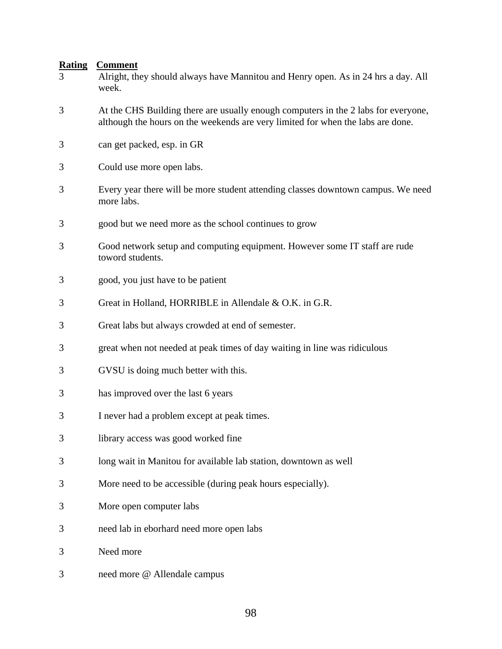| <b>Rating</b><br>3 | <b>Comment</b><br>Alright, they should always have Mannitou and Henry open. As in 24 hrs a day. All<br>week.                                                          |
|--------------------|-----------------------------------------------------------------------------------------------------------------------------------------------------------------------|
| 3                  | At the CHS Building there are usually enough computers in the 2 labs for everyone,<br>although the hours on the weekends are very limited for when the labs are done. |
| 3                  | can get packed, esp. in GR                                                                                                                                            |
| 3                  | Could use more open labs.                                                                                                                                             |
| 3                  | Every year there will be more student attending classes downtown campus. We need<br>more labs.                                                                        |
| 3                  | good but we need more as the school continues to grow                                                                                                                 |
| 3                  | Good network setup and computing equipment. However some IT staff are rude<br>toword students.                                                                        |
| 3                  | good, you just have to be patient                                                                                                                                     |
| 3                  | Great in Holland, HORRIBLE in Allendale & O.K. in G.R.                                                                                                                |
| 3                  | Great labs but always crowded at end of semester.                                                                                                                     |
| 3                  | great when not needed at peak times of day waiting in line was ridiculous                                                                                             |
| 3                  | GVSU is doing much better with this.                                                                                                                                  |
| 3                  | has improved over the last 6 years                                                                                                                                    |
| 3                  | I never had a problem except at peak times.                                                                                                                           |
| 3                  | library access was good worked fine                                                                                                                                   |
| 3                  | long wait in Manitou for available lab station, downtown as well                                                                                                      |
| 3                  | More need to be accessible (during peak hours especially).                                                                                                            |
| 3                  | More open computer labs                                                                                                                                               |
| 3                  | need lab in eborhard need more open labs                                                                                                                              |
| 3                  | Need more                                                                                                                                                             |
| 3                  | need more @ Allendale campus                                                                                                                                          |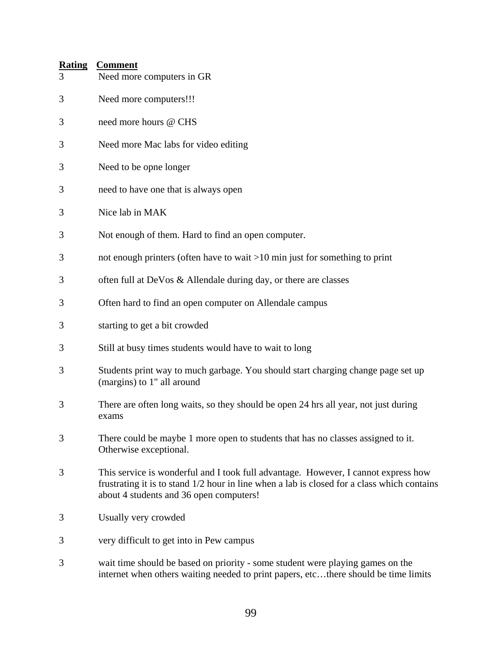| <b>Rating</b><br>3 | <b>Comment</b><br>Need more computers in GR                                                                                                                                                                                  |
|--------------------|------------------------------------------------------------------------------------------------------------------------------------------------------------------------------------------------------------------------------|
| 3                  | Need more computers!!!                                                                                                                                                                                                       |
| 3                  | need more hours @ CHS                                                                                                                                                                                                        |
| 3                  | Need more Mac labs for video editing                                                                                                                                                                                         |
| 3                  | Need to be opne longer                                                                                                                                                                                                       |
| 3                  | need to have one that is always open                                                                                                                                                                                         |
| 3                  | Nice lab in MAK                                                                                                                                                                                                              |
| 3                  | Not enough of them. Hard to find an open computer.                                                                                                                                                                           |
| 3                  | not enough printers (often have to wait $>10$ min just for something to print                                                                                                                                                |
| 3                  | often full at DeVos & Allendale during day, or there are classes                                                                                                                                                             |
| 3                  | Often hard to find an open computer on Allendale campus                                                                                                                                                                      |
| 3                  | starting to get a bit crowded                                                                                                                                                                                                |
| 3                  | Still at busy times students would have to wait to long                                                                                                                                                                      |
| 3                  | Students print way to much garbage. You should start charging change page set up<br>(margins) to 1" all around                                                                                                               |
| 3                  | There are often long waits, so they should be open 24 hrs all year, not just during<br>exams                                                                                                                                 |
| 3                  | There could be maybe 1 more open to students that has no classes assigned to it.<br>Otherwise exceptional.                                                                                                                   |
| 3                  | This service is wonderful and I took full advantage. However, I cannot express how<br>frustrating it is to stand 1/2 hour in line when a lab is closed for a class which contains<br>about 4 students and 36 open computers! |
| 3                  | Usually very crowded                                                                                                                                                                                                         |
| 3                  | very difficult to get into in Pew campus                                                                                                                                                                                     |
| 3                  | wait time should be based on priority - some student were playing games on the<br>internet when others waiting needed to print papers, etcthere should be time limits                                                        |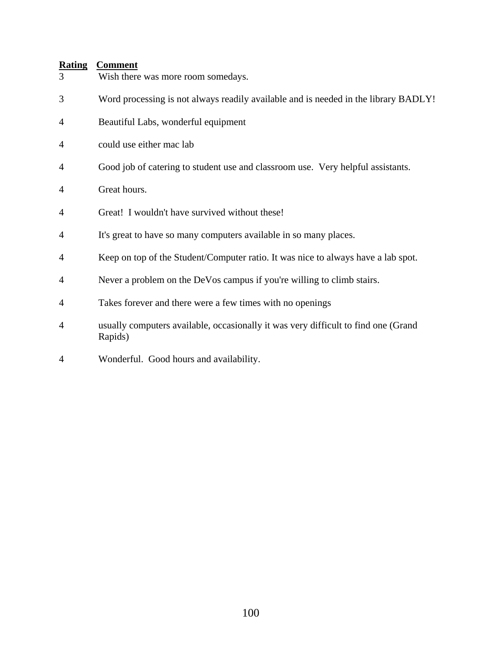| 3              | Wish there was more room somedays.                                                            |
|----------------|-----------------------------------------------------------------------------------------------|
| 3              | Word processing is not always readily available and is needed in the library BADLY!           |
| 4              | Beautiful Labs, wonderful equipment                                                           |
| 4              | could use either mac lab                                                                      |
| 4              | Good job of catering to student use and classroom use. Very helpful assistants.               |
| 4              | Great hours.                                                                                  |
| 4              | Great! I wouldn't have survived without these!                                                |
| 4              | It's great to have so many computers available in so many places.                             |
| 4              | Keep on top of the Student/Computer ratio. It was nice to always have a lab spot.             |
| 4              | Never a problem on the DeVos campus if you're willing to climb stairs.                        |
| 4              | Takes forever and there were a few times with no openings                                     |
| $\overline{4}$ | usually computers available, occasionally it was very difficult to find one (Grand<br>Rapids) |
| 4              | Wonderful. Good hours and availability.                                                       |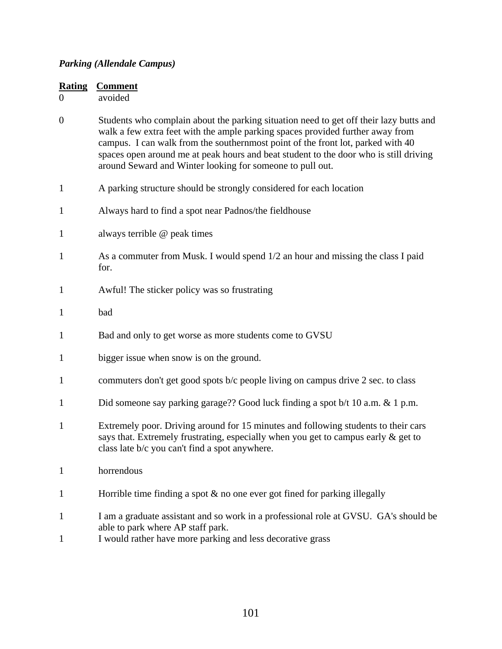#### *Parking (Allendale Campus)*

| <b>Rating</b><br>$\overline{0}$ | <b>Comment</b><br>avoided                                                                                                                                                                                                                                                                                                                                                                                         |
|---------------------------------|-------------------------------------------------------------------------------------------------------------------------------------------------------------------------------------------------------------------------------------------------------------------------------------------------------------------------------------------------------------------------------------------------------------------|
| $\boldsymbol{0}$                | Students who complain about the parking situation need to get off their lazy butts and<br>walk a few extra feet with the ample parking spaces provided further away from<br>campus. I can walk from the southernmost point of the front lot, parked with 40<br>spaces open around me at peak hours and beat student to the door who is still driving<br>around Seward and Winter looking for someone to pull out. |
| $\mathbf{1}$                    | A parking structure should be strongly considered for each location                                                                                                                                                                                                                                                                                                                                               |
| $\mathbf{1}$                    | Always hard to find a spot near Padnos/the fieldhouse                                                                                                                                                                                                                                                                                                                                                             |
| $\mathbf{1}$                    | always terrible @ peak times                                                                                                                                                                                                                                                                                                                                                                                      |
| $\mathbf{1}$                    | As a commuter from Musk. I would spend 1/2 an hour and missing the class I paid<br>for.                                                                                                                                                                                                                                                                                                                           |
| $\mathbf{1}$                    | Awful! The sticker policy was so frustrating                                                                                                                                                                                                                                                                                                                                                                      |
| $\mathbf{1}$                    | bad                                                                                                                                                                                                                                                                                                                                                                                                               |
| $\mathbf{1}$                    | Bad and only to get worse as more students come to GVSU                                                                                                                                                                                                                                                                                                                                                           |
| $\mathbf{1}$                    | bigger issue when snow is on the ground.                                                                                                                                                                                                                                                                                                                                                                          |
| $\mathbf{1}$                    | commuters don't get good spots b/c people living on campus drive 2 sec. to class                                                                                                                                                                                                                                                                                                                                  |
| $\mathbf{1}$                    | Did someone say parking garage?? Good luck finding a spot b/t 10 a.m. & 1 p.m.                                                                                                                                                                                                                                                                                                                                    |
| $\mathbf{1}$                    | Extremely poor. Driving around for 15 minutes and following students to their cars<br>says that. Extremely frustrating, especially when you get to campus early & get to<br>class late b/c you can't find a spot anywhere.                                                                                                                                                                                        |
| $\mathbf{1}$                    | horrendous                                                                                                                                                                                                                                                                                                                                                                                                        |
| $\mathbf{1}$                    | Horrible time finding a spot $\&$ no one ever got fined for parking illegally                                                                                                                                                                                                                                                                                                                                     |
| $\mathbf{1}$<br>$\mathbf{1}$    | I am a graduate assistant and so work in a professional role at GVSU. GA's should be<br>able to park where AP staff park.<br>I would rather have more parking and less decorative grass                                                                                                                                                                                                                           |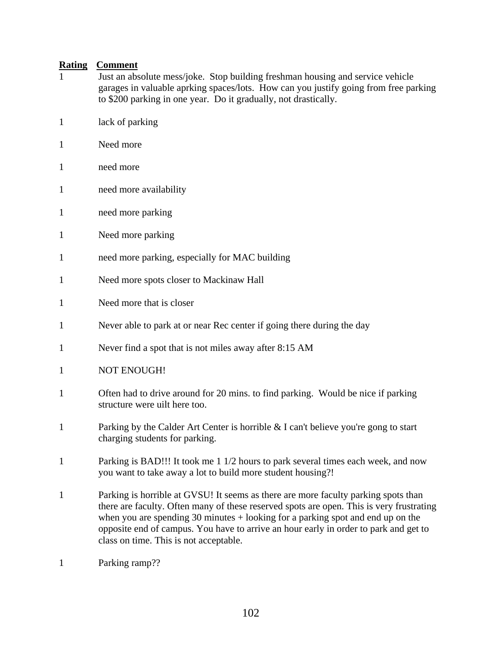- 1 Just an absolute mess/joke. Stop building freshman housing and service vehicle garages in valuable aprking spaces/lots. How can you justify going from free parking to \$200 parking in one year. Do it gradually, not drastically.
- 1 lack of parking
- 1 Need more
- 1 need more
- 1 need more availability
- 1 need more parking
- 1 Need more parking
- 1 need more parking, especially for MAC building
- 1 Need more spots closer to Mackinaw Hall
- 1 Need more that is closer
- 1 Never able to park at or near Rec center if going there during the day
- 1 Never find a spot that is not miles away after 8:15 AM
- 1 NOT ENOUGH!
- 1 Often had to drive around for 20 mins. to find parking. Would be nice if parking structure were uilt here too.
- 1 Parking by the Calder Art Center is horrible & I can't believe you're gong to start charging students for parking.
- 1 Parking is BAD!!! It took me 1 1/2 hours to park several times each week, and now you want to take away a lot to build more student housing?!
- 1 Parking is horrible at GVSU! It seems as there are more faculty parking spots than there are faculty. Often many of these reserved spots are open. This is very frustrating when you are spending 30 minutes + looking for a parking spot and end up on the opposite end of campus. You have to arrive an hour early in order to park and get to class on time. This is not acceptable.
- 1 Parking ramp??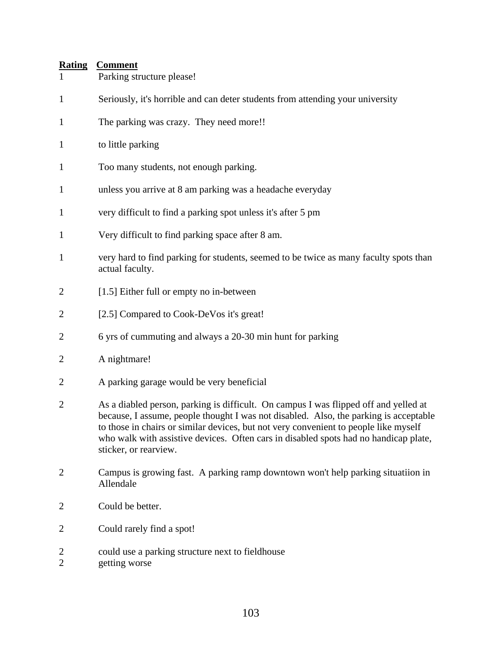| $\mathbf{1}$                     | Parking structure please!                                                                                                                                                                                                                                                                                                                                                              |
|----------------------------------|----------------------------------------------------------------------------------------------------------------------------------------------------------------------------------------------------------------------------------------------------------------------------------------------------------------------------------------------------------------------------------------|
| $\mathbf{1}$                     | Seriously, it's horrible and can deter students from attending your university                                                                                                                                                                                                                                                                                                         |
| $\mathbf{1}$                     | The parking was crazy. They need more!!                                                                                                                                                                                                                                                                                                                                                |
| $\mathbf{1}$                     | to little parking                                                                                                                                                                                                                                                                                                                                                                      |
| 1                                | Too many students, not enough parking.                                                                                                                                                                                                                                                                                                                                                 |
| $\mathbf{1}$                     | unless you arrive at 8 am parking was a headache everyday                                                                                                                                                                                                                                                                                                                              |
| $\mathbf{1}$                     | very difficult to find a parking spot unless it's after 5 pm                                                                                                                                                                                                                                                                                                                           |
| $\mathbf{1}$                     | Very difficult to find parking space after 8 am.                                                                                                                                                                                                                                                                                                                                       |
| $\mathbf{1}$                     | very hard to find parking for students, seemed to be twice as many faculty spots than<br>actual faculty.                                                                                                                                                                                                                                                                               |
| $\overline{2}$                   | [1.5] Either full or empty no in-between                                                                                                                                                                                                                                                                                                                                               |
| 2                                | [2.5] Compared to Cook-DeVos it's great!                                                                                                                                                                                                                                                                                                                                               |
| $\overline{2}$                   | 6 yrs of cummuting and always a 20-30 min hunt for parking                                                                                                                                                                                                                                                                                                                             |
| $\overline{2}$                   | A nightmare!                                                                                                                                                                                                                                                                                                                                                                           |
| $\overline{2}$                   | A parking garage would be very beneficial                                                                                                                                                                                                                                                                                                                                              |
| $\overline{2}$                   | As a diabled person, parking is difficult. On campus I was flipped off and yelled at<br>because, I assume, people thought I was not disabled. Also, the parking is acceptable<br>to those in chairs or similar devices, but not very convenient to people like myself<br>who walk with assistive devices. Often cars in disabled spots had no handicap plate,<br>sticker, or rearview. |
| $\overline{2}$                   | Campus is growing fast. A parking ramp downtown won't help parking situatiion in<br>Allendale                                                                                                                                                                                                                                                                                          |
| $\overline{2}$                   | Could be better.                                                                                                                                                                                                                                                                                                                                                                       |
| $\overline{2}$                   | Could rarely find a spot!                                                                                                                                                                                                                                                                                                                                                              |
| $\overline{c}$<br>$\overline{2}$ | could use a parking structure next to fieldhouse<br>getting worse                                                                                                                                                                                                                                                                                                                      |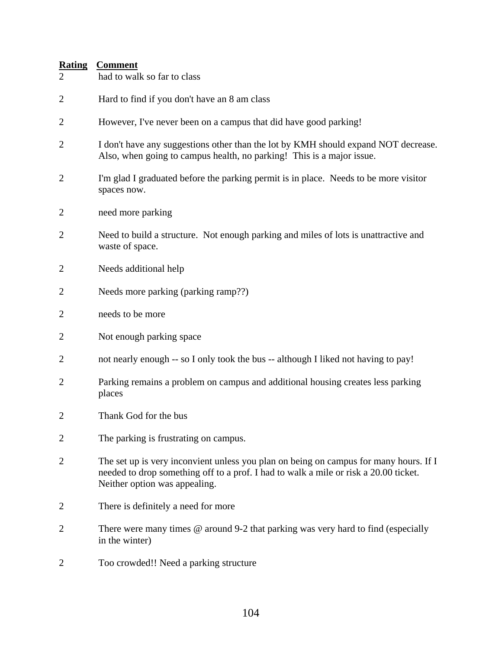| $\frac{1}{1}$  | <b>COMMITMENT</b>                                                                                                                                                                                              |
|----------------|----------------------------------------------------------------------------------------------------------------------------------------------------------------------------------------------------------------|
| $\overline{2}$ | had to walk so far to class                                                                                                                                                                                    |
| $\overline{c}$ | Hard to find if you don't have an 8 am class                                                                                                                                                                   |
| $\overline{c}$ | However, I've never been on a campus that did have good parking!                                                                                                                                               |
| $\overline{c}$ | I don't have any suggestions other than the lot by KMH should expand NOT decrease.<br>Also, when going to campus health, no parking! This is a major issue.                                                    |
| $\overline{2}$ | I'm glad I graduated before the parking permit is in place. Needs to be more visitor<br>spaces now.                                                                                                            |
| $\overline{c}$ | need more parking                                                                                                                                                                                              |
| $\overline{c}$ | Need to build a structure. Not enough parking and miles of lots is unattractive and<br>waste of space.                                                                                                         |
| $\overline{c}$ | Needs additional help                                                                                                                                                                                          |
| $\overline{c}$ | Needs more parking (parking ramp??)                                                                                                                                                                            |
| $\overline{c}$ | needs to be more                                                                                                                                                                                               |
| $\overline{c}$ | Not enough parking space                                                                                                                                                                                       |
| $\overline{c}$ | not nearly enough -- so I only took the bus -- although I liked not having to pay!                                                                                                                             |
| $\overline{c}$ | Parking remains a problem on campus and additional housing creates less parking<br>places                                                                                                                      |
| $\overline{c}$ | Thank God for the bus                                                                                                                                                                                          |
| 2              | The parking is frustrating on campus.                                                                                                                                                                          |
| $\overline{2}$ | The set up is very inconvient unless you plan on being on campus for many hours. If I<br>needed to drop something off to a prof. I had to walk a mile or risk a 20.00 ticket.<br>Neither option was appealing. |
|                | There is definitely a need for more                                                                                                                                                                            |
| $\overline{c}$ | There were many times $@$ around 9-2 that parking was very hard to find (especially<br>in the winter)                                                                                                          |
| $\overline{c}$ | Too crowded!! Need a parking structure                                                                                                                                                                         |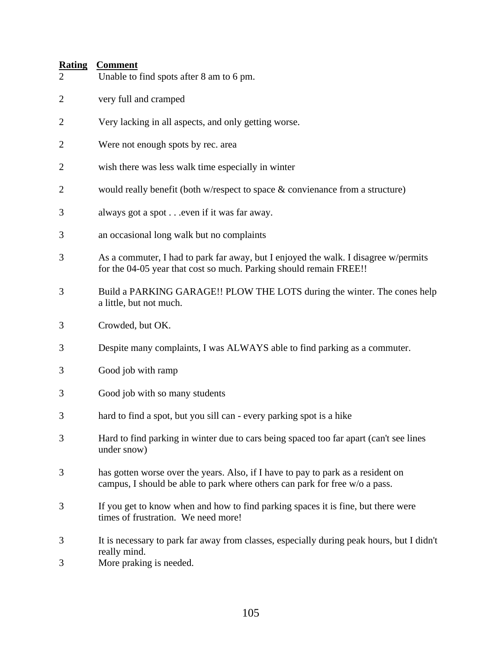| $\overline{2}$ | Unable to find spots after 8 am to 6 pm.                                                                                                                        |
|----------------|-----------------------------------------------------------------------------------------------------------------------------------------------------------------|
| $\overline{2}$ | very full and cramped                                                                                                                                           |
| $\overline{c}$ | Very lacking in all aspects, and only getting worse.                                                                                                            |
| $\overline{2}$ | Were not enough spots by rec. area                                                                                                                              |
| $\overline{c}$ | wish there was less walk time especially in winter                                                                                                              |
| $\overline{2}$ | would really benefit (both w/respect to space $\&$ convienance from a structure)                                                                                |
| 3              | always got a spot even if it was far away.                                                                                                                      |
| 3              | an occasional long walk but no complaints                                                                                                                       |
| 3              | As a commuter, I had to park far away, but I enjoyed the walk. I disagree w/permits<br>for the 04-05 year that cost so much. Parking should remain FREE!!       |
| 3              | Build a PARKING GARAGE!! PLOW THE LOTS during the winter. The cones help<br>a little, but not much.                                                             |
| 3              | Crowded, but OK.                                                                                                                                                |
| 3              | Despite many complaints, I was ALWAYS able to find parking as a commuter.                                                                                       |
| 3              | Good job with ramp                                                                                                                                              |
| 3              | Good job with so many students                                                                                                                                  |
| 3              | hard to find a spot, but you sill can - every parking spot is a hike                                                                                            |
| 3              | Hard to find parking in winter due to cars being spaced too far apart (can't see lines<br>under snow)                                                           |
| 3              | has gotten worse over the years. Also, if I have to pay to park as a resident on<br>campus, I should be able to park where others can park for free w/o a pass. |
| 3              | If you get to know when and how to find parking spaces it is fine, but there were<br>times of frustration. We need more!                                        |
| $\mathfrak{Z}$ | It is necessary to park far away from classes, especially during peak hours, but I didn't<br>really mind.                                                       |
| 3              | More praking is needed.                                                                                                                                         |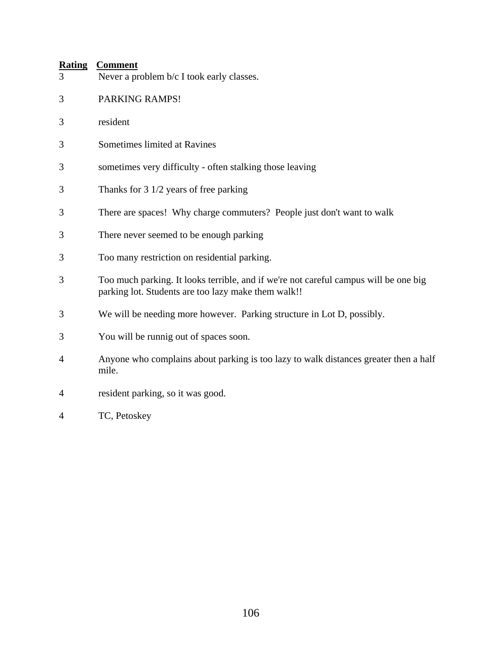| 3 | Never a problem b/c I took early classes.                                                                                                   |
|---|---------------------------------------------------------------------------------------------------------------------------------------------|
| 3 | PARKING RAMPS!                                                                                                                              |
| 3 | resident                                                                                                                                    |
| 3 | Sometimes limited at Ravines                                                                                                                |
| 3 | sometimes very difficulty - often stalking those leaving                                                                                    |
| 3 | Thanks for 3 1/2 years of free parking                                                                                                      |
| 3 | There are spaces! Why charge commuters? People just don't want to walk                                                                      |
| 3 | There never seemed to be enough parking                                                                                                     |
| 3 | Too many restriction on residential parking.                                                                                                |
| 3 | Too much parking. It looks terrible, and if we're not careful campus will be one big<br>parking lot. Students are too lazy make them walk!! |
| 3 | We will be needing more however. Parking structure in Lot D, possibly.                                                                      |
| 3 | You will be runnig out of spaces soon.                                                                                                      |
| 4 | Anyone who complains about parking is too lazy to walk distances greater then a half<br>mile.                                               |
| 4 | resident parking, so it was good.                                                                                                           |

4 TC, Petoskey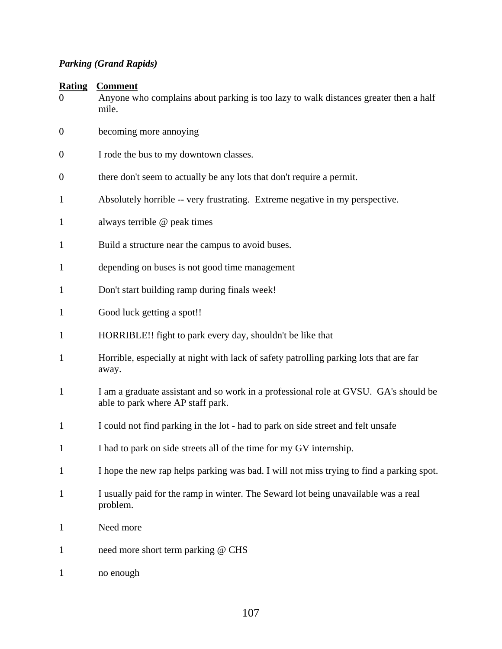# *Parking (Grand Rapids)*

| $\boldsymbol{0}$ | Anyone who complains about parking is too lazy to walk distances greater then a half<br>mile.                             |
|------------------|---------------------------------------------------------------------------------------------------------------------------|
| $\overline{0}$   | becoming more annoying                                                                                                    |
| $\boldsymbol{0}$ | I rode the bus to my downtown classes.                                                                                    |
| $\boldsymbol{0}$ | there don't seem to actually be any lots that don't require a permit.                                                     |
| $\mathbf{1}$     | Absolutely horrible -- very frustrating. Extreme negative in my perspective.                                              |
| $\mathbf{1}$     | always terrible @ peak times                                                                                              |
| $\mathbf{1}$     | Build a structure near the campus to avoid buses.                                                                         |
| $\mathbf{1}$     | depending on buses is not good time management                                                                            |
| $\mathbf{1}$     | Don't start building ramp during finals week!                                                                             |
| $\mathbf{1}$     | Good luck getting a spot!!                                                                                                |
| $\mathbf{1}$     | HORRIBLE!! fight to park every day, shouldn't be like that                                                                |
| $\mathbf{1}$     | Horrible, especially at night with lack of safety patrolling parking lots that are far<br>away.                           |
| $\mathbf{1}$     | I am a graduate assistant and so work in a professional role at GVSU. GA's should be<br>able to park where AP staff park. |
| $\mathbf{1}$     | I could not find parking in the lot - had to park on side street and felt unsafe                                          |
| $\mathbf{1}$     | I had to park on side streets all of the time for my GV internship.                                                       |
| $\mathbf{1}$     | I hope the new rap helps parking was bad. I will not miss trying to find a parking spot.                                  |
| $\mathbf{1}$     | I usually paid for the ramp in winter. The Seward lot being unavailable was a real<br>problem.                            |
| $\mathbf{1}$     | Need more                                                                                                                 |
| $\mathbf{1}$     | need more short term parking @ CHS                                                                                        |
| $\mathbf{1}$     | no enough                                                                                                                 |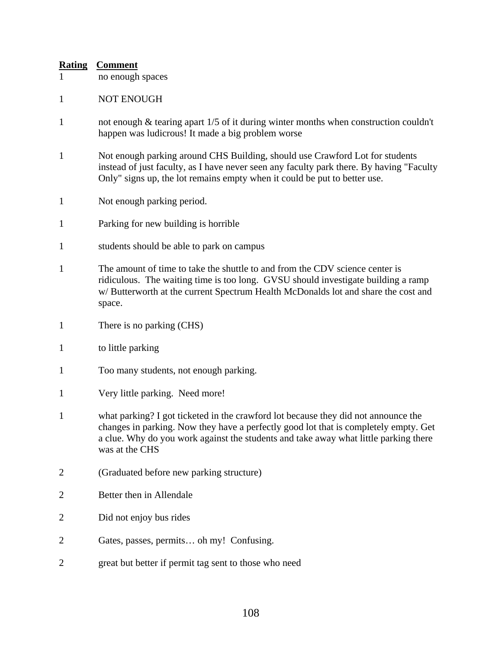- 1 no enough spaces
- 1 NOT ENOUGH
- 1 not enough & tearing apart 1/5 of it during winter months when construction couldn't happen was ludicrous! It made a big problem worse
- 1 Not enough parking around CHS Building, should use Crawford Lot for students instead of just faculty, as I have never seen any faculty park there. By having "Faculty Only" signs up, the lot remains empty when it could be put to better use.
- 1 Not enough parking period.
- 1 Parking for new building is horrible
- 1 students should be able to park on campus
- 1 The amount of time to take the shuttle to and from the CDV science center is ridiculous. The waiting time is too long. GVSU should investigate building a ramp w/ Butterworth at the current Spectrum Health McDonalds lot and share the cost and space.
- 1 There is no parking (CHS)
- 1 to little parking
- 1 Too many students, not enough parking.
- 1 Very little parking. Need more!
- 1 what parking? I got ticketed in the crawford lot because they did not announce the changes in parking. Now they have a perfectly good lot that is completely empty. Get a clue. Why do you work against the students and take away what little parking there was at the CHS
- 2 (Graduated before new parking structure)
- 2 Better then in Allendale
- 2 Did not enjoy bus rides
- 2 Gates, passes, permits… oh my! Confusing.
- 2 great but better if permit tag sent to those who need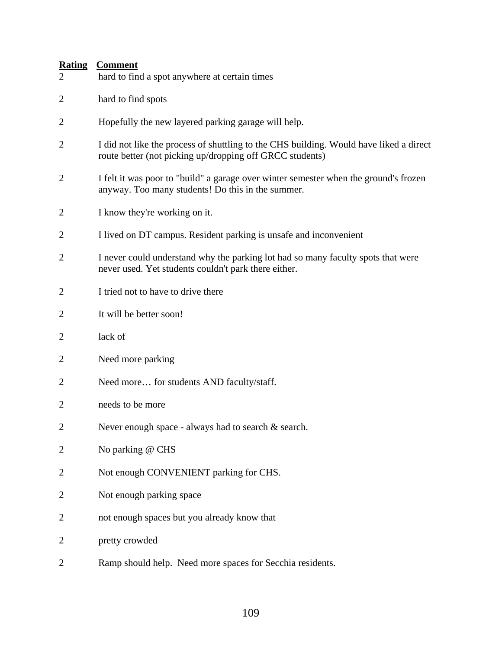## **Rating Comment**

| $\overline{2}$ | hard to find a spot anywhere at certain times                                                                                                      |
|----------------|----------------------------------------------------------------------------------------------------------------------------------------------------|
| $\overline{2}$ | hard to find spots                                                                                                                                 |
| $\overline{2}$ | Hopefully the new layered parking garage will help.                                                                                                |
| $\overline{2}$ | I did not like the process of shuttling to the CHS building. Would have liked a direct<br>route better (not picking up/dropping off GRCC students) |
| $\overline{2}$ | I felt it was poor to "build" a garage over winter semester when the ground's frozen<br>anyway. Too many students! Do this in the summer.          |
| $\overline{c}$ | I know they're working on it.                                                                                                                      |
| $\overline{2}$ | I lived on DT campus. Resident parking is unsafe and inconvenient                                                                                  |
| $\overline{2}$ | I never could understand why the parking lot had so many faculty spots that were<br>never used. Yet students couldn't park there either.           |
| $\overline{2}$ | I tried not to have to drive there                                                                                                                 |
| $\overline{2}$ | It will be better soon!                                                                                                                            |
| $\overline{2}$ | lack of                                                                                                                                            |
| 2              | Need more parking                                                                                                                                  |
| $\overline{2}$ | Need more for students AND faculty/staff.                                                                                                          |
| $\overline{2}$ | needs to be more                                                                                                                                   |
| $\overline{2}$ | Never enough space - always had to search & search.                                                                                                |
| $\overline{2}$ | No parking @ CHS                                                                                                                                   |
| $\overline{2}$ | Not enough CONVENIENT parking for CHS.                                                                                                             |
| 2              | Not enough parking space                                                                                                                           |
| 2              | not enough spaces but you already know that                                                                                                        |
| $\overline{2}$ | pretty crowded                                                                                                                                     |
| $\overline{c}$ | Ramp should help. Need more spaces for Secchia residents.                                                                                          |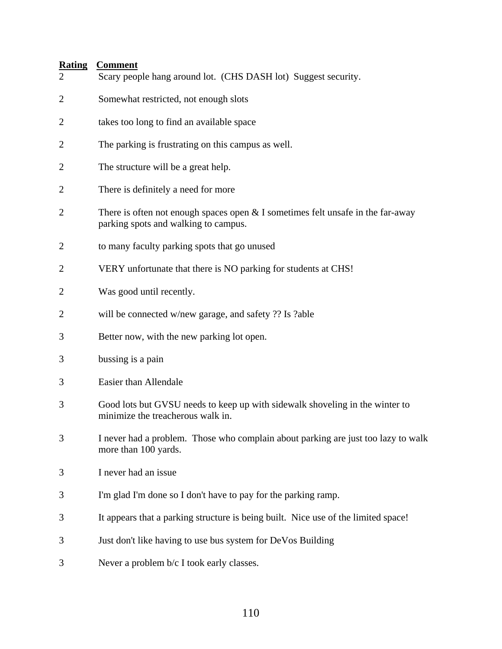## **Rating Comment**

| $\overline{2}$ | Scary people hang around lot. (CHS DASH lot) Suggest security.                                                            |
|----------------|---------------------------------------------------------------------------------------------------------------------------|
| $\mathbf{2}$   | Somewhat restricted, not enough slots                                                                                     |
| $\overline{2}$ | takes too long to find an available space                                                                                 |
| $\overline{c}$ | The parking is frustrating on this campus as well.                                                                        |
| $\overline{c}$ | The structure will be a great help.                                                                                       |
| $\overline{c}$ | There is definitely a need for more                                                                                       |
| $\mathbf{2}$   | There is often not enough spaces open $&$ I sometimes felt unsafe in the far-away<br>parking spots and walking to campus. |
| $\mathbf{2}$   | to many faculty parking spots that go unused                                                                              |
| $\mathbf{2}$   | VERY unfortunate that there is NO parking for students at CHS!                                                            |
| $\overline{2}$ | Was good until recently.                                                                                                  |
| $\overline{2}$ | will be connected w/new garage, and safety ?? Is ?able                                                                    |
| 3              | Better now, with the new parking lot open.                                                                                |
| 3              | bussing is a pain                                                                                                         |
| 3              | Easier than Allendale                                                                                                     |
| 3              | Good lots but GVSU needs to keep up with sidewalk shoveling in the winter to<br>minimize the treacherous walk in.         |
| 3              | I never had a problem. Those who complain about parking are just too lazy to walk<br>more than 100 yards.                 |
| 3              | I never had an issue                                                                                                      |
| 3              | I'm glad I'm done so I don't have to pay for the parking ramp.                                                            |
| 3              | It appears that a parking structure is being built. Nice use of the limited space!                                        |
| 3              | Just don't like having to use bus system for DeVos Building                                                               |
| 3              | Never a problem b/c I took early classes.                                                                                 |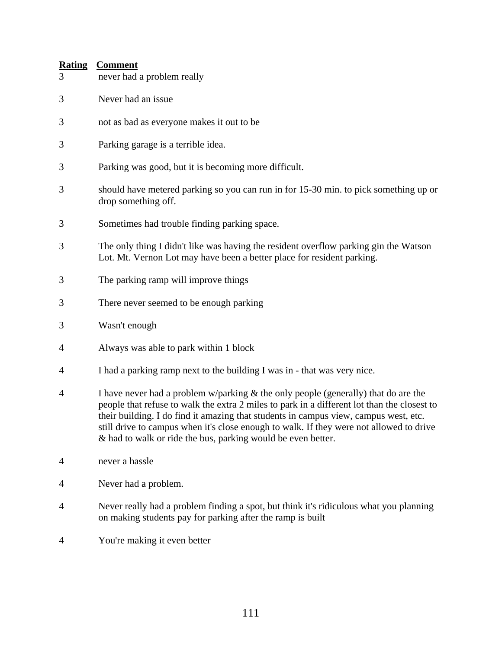# **Rating Comment** 3 never had a problem really 3 Never had an issue 3 not as bad as everyone makes it out to be 3 Parking garage is a terrible idea. 3 Parking was good, but it is becoming more difficult. 3 should have metered parking so you can run in for 15-30 min. to pick something up or drop something off. 3 Sometimes had trouble finding parking space. 3 The only thing I didn't like was having the resident overflow parking gin the Watson Lot. Mt. Vernon Lot may have been a better place for resident parking. 3 The parking ramp will improve things 3 There never seemed to be enough parking 3 Wasn't enough 4 Always was able to park within 1 block 4 I had a parking ramp next to the building I was in - that was very nice. 4 I have never had a problem w/parking & the only people (generally) that do are the people that refuse to walk the extra 2 miles to park in a different lot than the closest to their building. I do find it amazing that students in campus view, campus west, etc. still drive to campus when it's close enough to walk. If they were not allowed to drive & had to walk or ride the bus, parking would be even better. 4 never a hassle 4 Never had a problem. 4 Never really had a problem finding a spot, but think it's ridiculous what you planning on making students pay for parking after the ramp is built 4 You're making it even better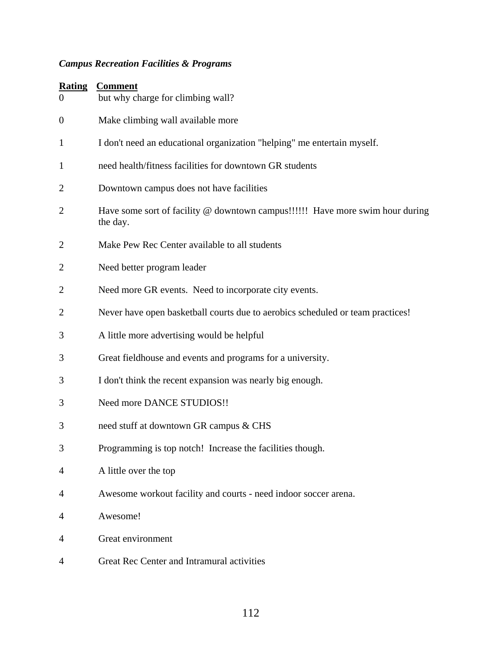## *Campus Recreation Facilities & Programs*

| <b>Rating</b><br>$\theta$ | <b>Comment</b><br>but why charge for climbing wall?                                       |  |
|---------------------------|-------------------------------------------------------------------------------------------|--|
| $\boldsymbol{0}$          | Make climbing wall available more                                                         |  |
| 1                         | I don't need an educational organization "helping" me entertain myself.                   |  |
| $\mathbf{1}$              | need health/fitness facilities for downtown GR students                                   |  |
| $\overline{2}$            | Downtown campus does not have facilities                                                  |  |
| $\overline{2}$            | Have some sort of facility @ downtown campus!!!!!! Have more swim hour during<br>the day. |  |
| $\overline{2}$            | Make Pew Rec Center available to all students                                             |  |
| $\overline{2}$            | Need better program leader                                                                |  |
| 2                         | Need more GR events. Need to incorporate city events.                                     |  |
| $\overline{2}$            | Never have open basketball courts due to aerobics scheduled or team practices!            |  |
| 3                         | A little more advertising would be helpful                                                |  |
| 3                         | Great fieldhouse and events and programs for a university.                                |  |
| 3                         | I don't think the recent expansion was nearly big enough.                                 |  |
| 3                         | Need more DANCE STUDIOS!!                                                                 |  |
| 3                         | need stuff at downtown GR campus & CHS                                                    |  |
| 3                         | Programming is top notch! Increase the facilities though.                                 |  |
| 4                         | A little over the top                                                                     |  |
| 4                         | Awesome workout facility and courts - need indoor soccer arena.                           |  |
| 4                         | Awesome!                                                                                  |  |
| 4                         | Great environment                                                                         |  |
| 4                         | Great Rec Center and Intramural activities                                                |  |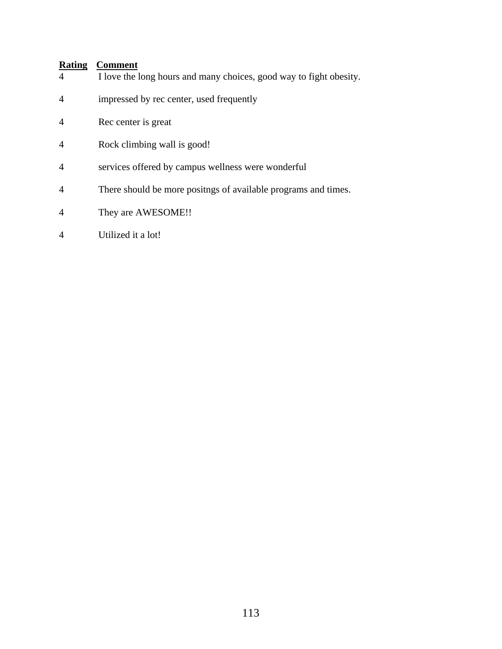#### **Rating Comment**

- 4 I love the long hours and many choices, good way to fight obesity.
- 4 impressed by rec center, used frequently
- 4 Rec center is great
- 4 Rock climbing wall is good!
- 4 services offered by campus wellness were wonderful
- 4 There should be more positngs of available programs and times.
- 4 They are AWESOME!!
- 4 Utilized it a lot!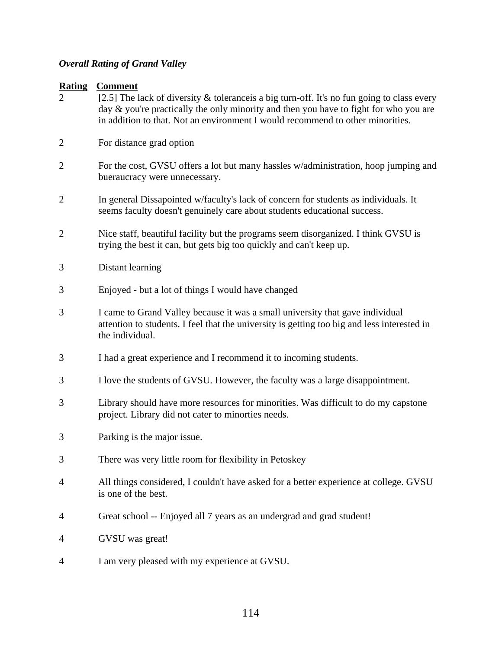## *Overall Rating of Grand Valley*

| <b>Rating</b><br>$\mathcal{D}_{\cdot}$ | <b>Comment</b><br>[2.5] The lack of diversity $\&$ tolerance is a big turn-off. It's no fun going to class every<br>day & you're practically the only minority and then you have to fight for who you are<br>in addition to that. Not an environment I would recommend to other minorities. |  |
|----------------------------------------|---------------------------------------------------------------------------------------------------------------------------------------------------------------------------------------------------------------------------------------------------------------------------------------------|--|
| $\overline{2}$                         | For distance grad option                                                                                                                                                                                                                                                                    |  |
| $\overline{2}$                         | For the cost, GVSU offers a lot but many hassles w/administration, hoop jumping and<br>bueraucracy were unnecessary.                                                                                                                                                                        |  |
| $\overline{2}$                         | In general Dissapointed w/faculty's lack of concern for students as individuals. It<br>seems faculty doesn't genuinely care about students educational success.                                                                                                                             |  |
| $\overline{2}$                         | Nice staff, beautiful facility but the programs seem disorganized. I think GVSU is<br>trying the best it can, but gets big too quickly and can't keep up.                                                                                                                                   |  |
| 3                                      | Distant learning                                                                                                                                                                                                                                                                            |  |
| 3                                      | Enjoyed - but a lot of things I would have changed                                                                                                                                                                                                                                          |  |
| 3                                      | I came to Grand Valley because it was a small university that gave individual<br>attention to students. I feel that the university is getting too big and less interested in<br>the individual.                                                                                             |  |
| 3                                      | I had a great experience and I recommend it to incoming students.                                                                                                                                                                                                                           |  |
| 3                                      | I love the students of GVSU. However, the faculty was a large disappointment.                                                                                                                                                                                                               |  |
| 3                                      | Library should have more resources for minorities. Was difficult to do my capstone<br>project. Library did not cater to minorties needs.                                                                                                                                                    |  |
| 3                                      | Parking is the major issue.                                                                                                                                                                                                                                                                 |  |
| 3                                      | There was very little room for flexibility in Petoskey                                                                                                                                                                                                                                      |  |
| 4                                      | All things considered, I couldn't have asked for a better experience at college. GVSU<br>is one of the best.                                                                                                                                                                                |  |
| 4                                      | Great school -- Enjoyed all 7 years as an undergrad and grad student!                                                                                                                                                                                                                       |  |
| 4                                      | GVSU was great!                                                                                                                                                                                                                                                                             |  |
| 4                                      | I am very pleased with my experience at GVSU.                                                                                                                                                                                                                                               |  |
|                                        |                                                                                                                                                                                                                                                                                             |  |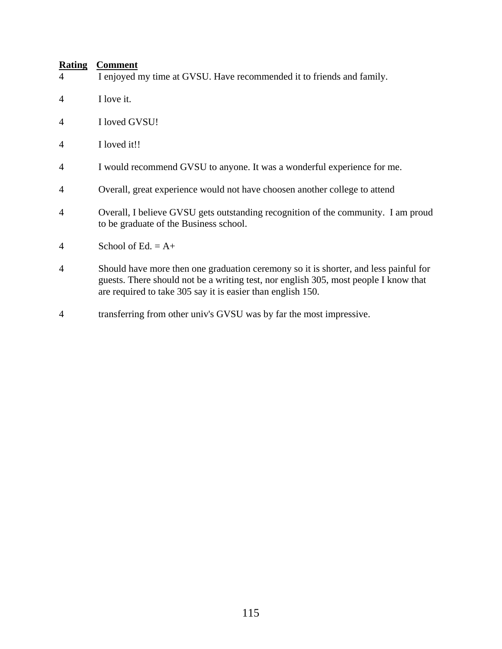#### **Rating Comment**

- 4 I enjoyed my time at GVSU. Have recommended it to friends and family.
- 4 I love it.
- 4 I loved GVSU!
- 4 I loved it!!
- 4 I would recommend GVSU to anyone. It was a wonderful experience for me.
- 4 Overall, great experience would not have choosen another college to attend
- 4 Overall, I believe GVSU gets outstanding recognition of the community. I am proud to be graduate of the Business school.
- 4 School of Ed.  $= A +$
- 4 Should have more then one graduation ceremony so it is shorter, and less painful for guests. There should not be a writing test, nor english 305, most people I know that are required to take 305 say it is easier than english 150.
- 4 transferring from other univ's GVSU was by far the most impressive.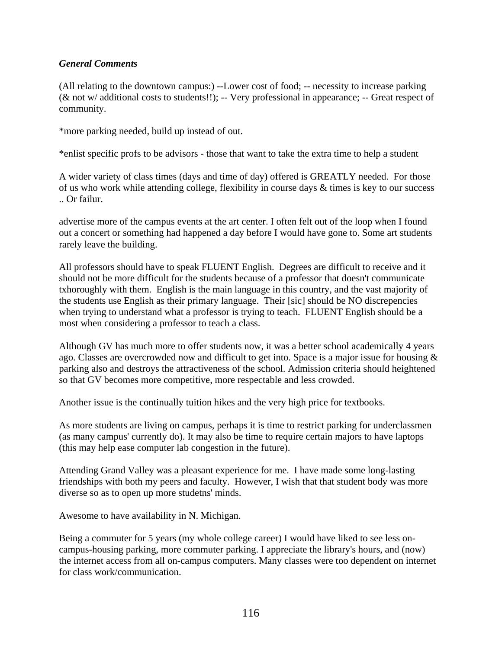#### *General Comments*

(All relating to the downtown campus:) --Lower cost of food; -- necessity to increase parking (& not w/ additional costs to students!!); -- Very professional in appearance; -- Great respect of community.

\*more parking needed, build up instead of out.

\*enlist specific profs to be advisors - those that want to take the extra time to help a student

A wider variety of class times (days and time of day) offered is GREATLY needed. For those of us who work while attending college, flexibility in course days & times is key to our success .. Or failur.

advertise more of the campus events at the art center. I often felt out of the loop when I found out a concert or something had happened a day before I would have gone to. Some art students rarely leave the building.

All professors should have to speak FLUENT English. Degrees are difficult to receive and it should not be more difficult for the students because of a professor that doesn't communicate txhoroughly with them. English is the main language in this country, and the vast majority of the students use English as their primary language. Their [sic] should be NO discrepencies when trying to understand what a professor is trying to teach. FLUENT English should be a most when considering a professor to teach a class.

Although GV has much more to offer students now, it was a better school academically 4 years ago. Classes are overcrowded now and difficult to get into. Space is a major issue for housing & parking also and destroys the attractiveness of the school. Admission criteria should heightened so that GV becomes more competitive, more respectable and less crowded.

Another issue is the continually tuition hikes and the very high price for textbooks.

As more students are living on campus, perhaps it is time to restrict parking for underclassmen (as many campus' currently do). It may also be time to require certain majors to have laptops (this may help ease computer lab congestion in the future).

Attending Grand Valley was a pleasant experience for me. I have made some long-lasting friendships with both my peers and faculty. However, I wish that that student body was more diverse so as to open up more studetns' minds.

Awesome to have availability in N. Michigan.

Being a commuter for 5 years (my whole college career) I would have liked to see less oncampus-housing parking, more commuter parking. I appreciate the library's hours, and (now) the internet access from all on-campus computers. Many classes were too dependent on internet for class work/communication.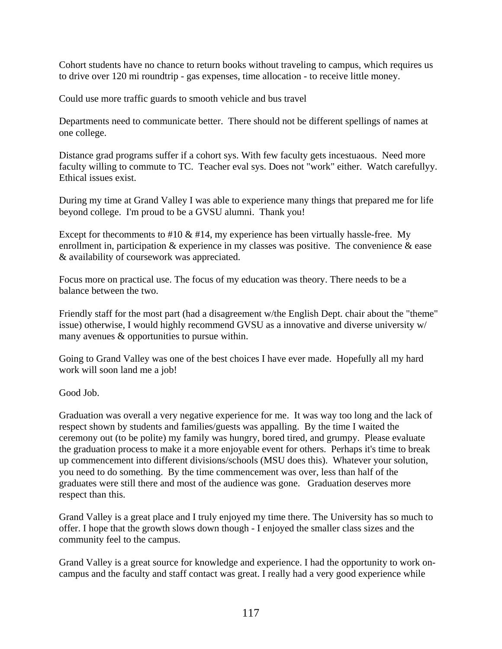Cohort students have no chance to return books without traveling to campus, which requires us to drive over 120 mi roundtrip - gas expenses, time allocation - to receive little money.

Could use more traffic guards to smooth vehicle and bus travel

Departments need to communicate better. There should not be different spellings of names at one college.

Distance grad programs suffer if a cohort sys. With few faculty gets incestuaous. Need more faculty willing to commute to TC. Teacher eval sys. Does not "work" either. Watch carefullyy. Ethical issues exist.

During my time at Grand Valley I was able to experience many things that prepared me for life beyond college. I'm proud to be a GVSU alumni. Thank you!

Except for the comments to  $\#10 \& \#14$ , my experience has been virtually hassle-free. My enrollment in, participation  $\&$  experience in my classes was positive. The convenience  $\&$  ease & availability of coursework was appreciated.

Focus more on practical use. The focus of my education was theory. There needs to be a balance between the two.

Friendly staff for the most part (had a disagreement w/the English Dept. chair about the "theme" issue) otherwise, I would highly recommend GVSU as a innovative and diverse university w/ many avenues & opportunities to pursue within.

Going to Grand Valley was one of the best choices I have ever made. Hopefully all my hard work will soon land me a job!

Good Job.

Graduation was overall a very negative experience for me. It was way too long and the lack of respect shown by students and families/guests was appalling. By the time I waited the ceremony out (to be polite) my family was hungry, bored tired, and grumpy. Please evaluate the graduation process to make it a more enjoyable event for others. Perhaps it's time to break up commencement into different divisions/schools (MSU does this). Whatever your solution, you need to do something. By the time commencement was over, less than half of the graduates were still there and most of the audience was gone. Graduation deserves more respect than this.

Grand Valley is a great place and I truly enjoyed my time there. The University has so much to offer. I hope that the growth slows down though - I enjoyed the smaller class sizes and the community feel to the campus.

Grand Valley is a great source for knowledge and experience. I had the opportunity to work oncampus and the faculty and staff contact was great. I really had a very good experience while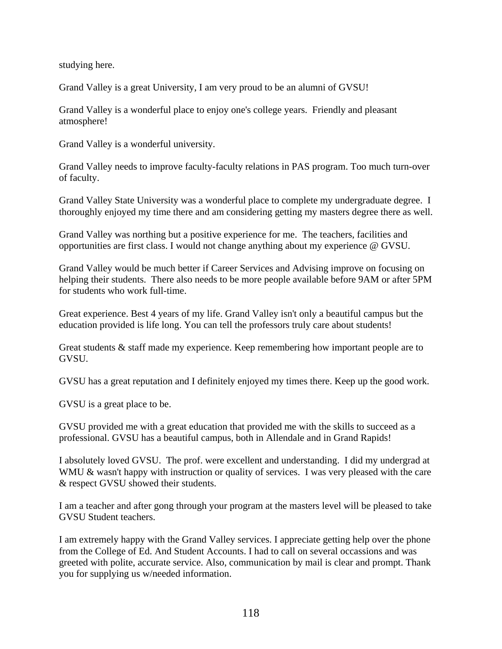studying here.

Grand Valley is a great University, I am very proud to be an alumni of GVSU!

Grand Valley is a wonderful place to enjoy one's college years. Friendly and pleasant atmosphere!

Grand Valley is a wonderful university.

Grand Valley needs to improve faculty-faculty relations in PAS program. Too much turn-over of faculty.

Grand Valley State University was a wonderful place to complete my undergraduate degree. I thoroughly enjoyed my time there and am considering getting my masters degree there as well.

Grand Valley was northing but a positive experience for me. The teachers, facilities and opportunities are first class. I would not change anything about my experience @ GVSU.

Grand Valley would be much better if Career Services and Advising improve on focusing on helping their students. There also needs to be more people available before 9AM or after 5PM for students who work full-time.

Great experience. Best 4 years of my life. Grand Valley isn't only a beautiful campus but the education provided is life long. You can tell the professors truly care about students!

Great students & staff made my experience. Keep remembering how important people are to GVSU.

GVSU has a great reputation and I definitely enjoyed my times there. Keep up the good work.

GVSU is a great place to be.

GVSU provided me with a great education that provided me with the skills to succeed as a professional. GVSU has a beautiful campus, both in Allendale and in Grand Rapids!

I absolutely loved GVSU. The prof. were excellent and understanding. I did my undergrad at WMU & wasn't happy with instruction or quality of services. I was very pleased with the care & respect GVSU showed their students.

I am a teacher and after gong through your program at the masters level will be pleased to take GVSU Student teachers.

I am extremely happy with the Grand Valley services. I appreciate getting help over the phone from the College of Ed. And Student Accounts. I had to call on several occassions and was greeted with polite, accurate service. Also, communication by mail is clear and prompt. Thank you for supplying us w/needed information.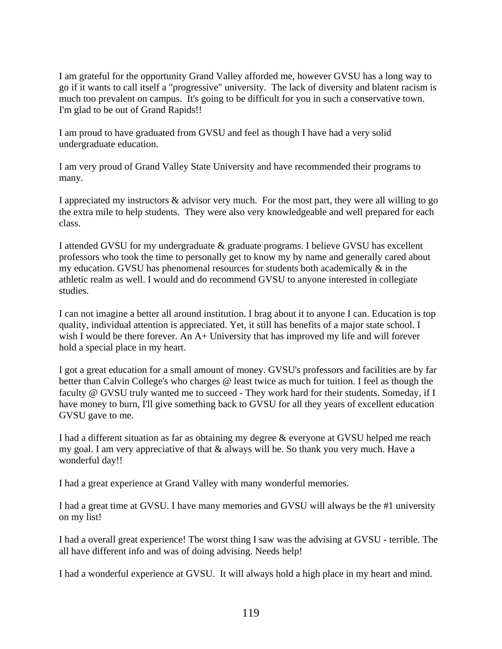I am grateful for the opportunity Grand Valley afforded me, however GVSU has a long way to go if it wants to call itself a "progressive" university. The lack of diversity and blatent racism is much too prevalent on campus. It's going to be difficult for you in such a conservative town. I'm glad to be out of Grand Rapids!!

I am proud to have graduated from GVSU and feel as though I have had a very solid undergraduate education.

I am very proud of Grand Valley State University and have recommended their programs to many.

I appreciated my instructors & advisor very much. For the most part, they were all willing to go the extra mile to help students. They were also very knowledgeable and well prepared for each class.

I attended GVSU for my undergraduate & graduate programs. I believe GVSU has excellent professors who took the time to personally get to know my by name and generally cared about my education. GVSU has phenomenal resources for students both academically & in the athletic realm as well. I would and do recommend GVSU to anyone interested in collegiate studies.

I can not imagine a better all around institution. I brag about it to anyone I can. Education is top quality, individual attention is appreciated. Yet, it still has benefits of a major state school. I wish I would be there forever. An A+ University that has improved my life and will forever hold a special place in my heart.

I got a great education for a small amount of money. GVSU's professors and facilities are by far better than Calvin College's who charges @ least twice as much for tuition. I feel as though the faculty @ GVSU truly wanted me to succeed - They work hard for their students. Someday, if I have money to burn, I'll give something back to GVSU for all they years of excellent education GVSU gave to me.

I had a different situation as far as obtaining my degree & everyone at GVSU helped me reach my goal. I am very appreciative of that & always will be. So thank you very much. Have a wonderful day!!

I had a great experience at Grand Valley with many wonderful memories.

I had a great time at GVSU. I have many memories and GVSU will always be the #1 university on my list!

I had a overall great experience! The worst thing I saw was the advising at GVSU - terrible. The all have different info and was of doing advising. Needs help!

I had a wonderful experience at GVSU. It will always hold a high place in my heart and mind.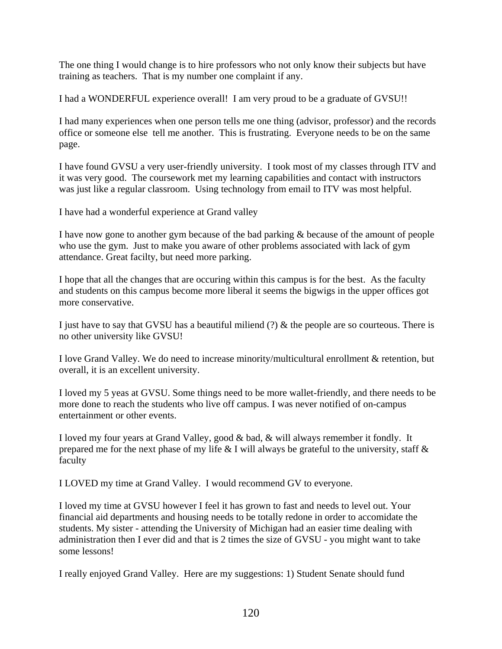The one thing I would change is to hire professors who not only know their subjects but have training as teachers. That is my number one complaint if any.

I had a WONDERFUL experience overall! I am very proud to be a graduate of GVSU!!

I had many experiences when one person tells me one thing (advisor, professor) and the records office or someone else tell me another. This is frustrating. Everyone needs to be on the same page.

I have found GVSU a very user-friendly university. I took most of my classes through ITV and it was very good. The coursework met my learning capabilities and contact with instructors was just like a regular classroom. Using technology from email to ITV was most helpful.

I have had a wonderful experience at Grand valley

I have now gone to another gym because of the bad parking & because of the amount of people who use the gym. Just to make you aware of other problems associated with lack of gym attendance. Great facilty, but need more parking.

I hope that all the changes that are occuring within this campus is for the best. As the faculty and students on this campus become more liberal it seems the bigwigs in the upper offices got more conservative.

I just have to say that GVSU has a beautiful miliend  $(?) \&$  the people are so courteous. There is no other university like GVSU!

I love Grand Valley. We do need to increase minority/multicultural enrollment & retention, but overall, it is an excellent university.

I loved my 5 yeas at GVSU. Some things need to be more wallet-friendly, and there needs to be more done to reach the students who live off campus. I was never notified of on-campus entertainment or other events.

I loved my four years at Grand Valley, good & bad, & will always remember it fondly. It prepared me for the next phase of my life  $& 1$  will always be grateful to the university, staff  $& 1$ faculty

I LOVED my time at Grand Valley. I would recommend GV to everyone.

I loved my time at GVSU however I feel it has grown to fast and needs to level out. Your financial aid departments and housing needs to be totally redone in order to accomidate the students. My sister - attending the University of Michigan had an easier time dealing with administration then I ever did and that is 2 times the size of GVSU - you might want to take some lessons!

I really enjoyed Grand Valley. Here are my suggestions: 1) Student Senate should fund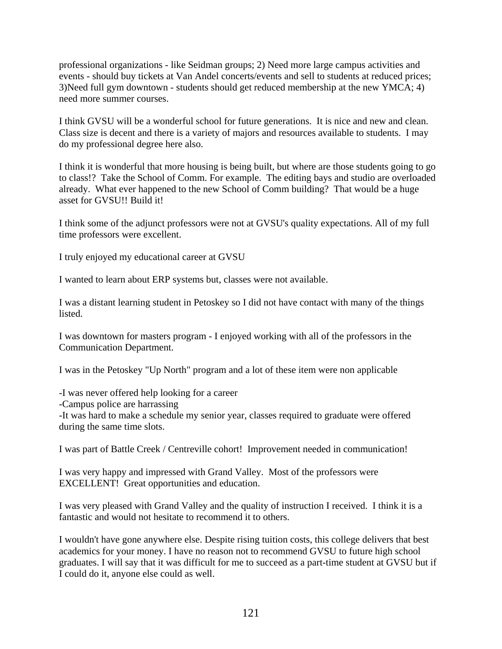professional organizations - like Seidman groups; 2) Need more large campus activities and events - should buy tickets at Van Andel concerts/events and sell to students at reduced prices; 3)Need full gym downtown - students should get reduced membership at the new YMCA; 4) need more summer courses.

I think GVSU will be a wonderful school for future generations. It is nice and new and clean. Class size is decent and there is a variety of majors and resources available to students. I may do my professional degree here also.

I think it is wonderful that more housing is being built, but where are those students going to go to class!? Take the School of Comm. For example. The editing bays and studio are overloaded already. What ever happened to the new School of Comm building? That would be a huge asset for GVSU!! Build it!

I think some of the adjunct professors were not at GVSU's quality expectations. All of my full time professors were excellent.

I truly enjoyed my educational career at GVSU

I wanted to learn about ERP systems but, classes were not available.

I was a distant learning student in Petoskey so I did not have contact with many of the things listed.

I was downtown for masters program - I enjoyed working with all of the professors in the Communication Department.

I was in the Petoskey "Up North" program and a lot of these item were non applicable

-I was never offered help looking for a career

-Campus police are harrassing

-It was hard to make a schedule my senior year, classes required to graduate were offered during the same time slots.

I was part of Battle Creek / Centreville cohort! Improvement needed in communication!

I was very happy and impressed with Grand Valley. Most of the professors were EXCELLENT! Great opportunities and education.

I was very pleased with Grand Valley and the quality of instruction I received. I think it is a fantastic and would not hesitate to recommend it to others.

I wouldn't have gone anywhere else. Despite rising tuition costs, this college delivers that best academics for your money. I have no reason not to recommend GVSU to future high school graduates. I will say that it was difficult for me to succeed as a part-time student at GVSU but if I could do it, anyone else could as well.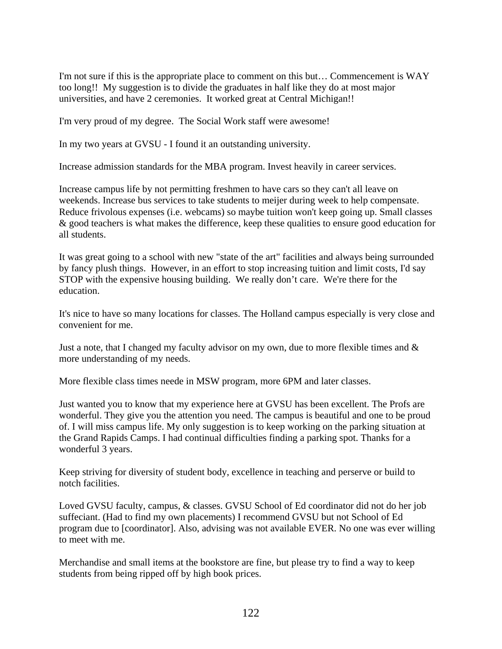I'm not sure if this is the appropriate place to comment on this but… Commencement is WAY too long!! My suggestion is to divide the graduates in half like they do at most major universities, and have 2 ceremonies. It worked great at Central Michigan!!

I'm very proud of my degree. The Social Work staff were awesome!

In my two years at GVSU - I found it an outstanding university.

Increase admission standards for the MBA program. Invest heavily in career services.

Increase campus life by not permitting freshmen to have cars so they can't all leave on weekends. Increase bus services to take students to meijer during week to help compensate. Reduce frivolous expenses (i.e. webcams) so maybe tuition won't keep going up. Small classes & good teachers is what makes the difference, keep these qualities to ensure good education for all students.

It was great going to a school with new "state of the art" facilities and always being surrounded by fancy plush things. However, in an effort to stop increasing tuition and limit costs, I'd say STOP with the expensive housing building. We really don't care. We're there for the education.

It's nice to have so many locations for classes. The Holland campus especially is very close and convenient for me.

Just a note, that I changed my faculty advisor on my own, due to more flexible times and  $\&$ more understanding of my needs.

More flexible class times neede in MSW program, more 6PM and later classes.

Just wanted you to know that my experience here at GVSU has been excellent. The Profs are wonderful. They give you the attention you need. The campus is beautiful and one to be proud of. I will miss campus life. My only suggestion is to keep working on the parking situation at the Grand Rapids Camps. I had continual difficulties finding a parking spot. Thanks for a wonderful 3 years.

Keep striving for diversity of student body, excellence in teaching and perserve or build to notch facilities.

Loved GVSU faculty, campus, & classes. GVSU School of Ed coordinator did not do her job suffeciant. (Had to find my own placements) I recommend GVSU but not School of Ed program due to [coordinator]. Also, advising was not available EVER. No one was ever willing to meet with me.

Merchandise and small items at the bookstore are fine, but please try to find a way to keep students from being ripped off by high book prices.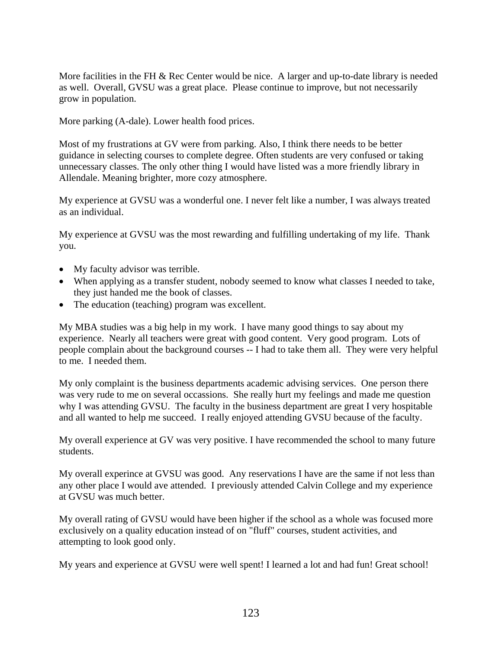More facilities in the FH & Rec Center would be nice. A larger and up-to-date library is needed as well. Overall, GVSU was a great place. Please continue to improve, but not necessarily grow in population.

More parking (A-dale). Lower health food prices.

Most of my frustrations at GV were from parking. Also, I think there needs to be better guidance in selecting courses to complete degree. Often students are very confused or taking unnecessary classes. The only other thing I would have listed was a more friendly library in Allendale. Meaning brighter, more cozy atmosphere.

My experience at GVSU was a wonderful one. I never felt like a number, I was always treated as an individual.

My experience at GVSU was the most rewarding and fulfilling undertaking of my life. Thank you.

- My faculty advisor was terrible.
- When applying as a transfer student, nobody seemed to know what classes I needed to take, they just handed me the book of classes.
- The education (teaching) program was excellent.

My MBA studies was a big help in my work. I have many good things to say about my experience. Nearly all teachers were great with good content. Very good program. Lots of people complain about the background courses -- I had to take them all. They were very helpful to me. I needed them.

My only complaint is the business departments academic advising services. One person there was very rude to me on several occassions. She really hurt my feelings and made me question why I was attending GVSU. The faculty in the business department are great I very hospitable and all wanted to help me succeed. I really enjoyed attending GVSU because of the faculty.

My overall experience at GV was very positive. I have recommended the school to many future students.

My overall experince at GVSU was good. Any reservations I have are the same if not less than any other place I would ave attended. I previously attended Calvin College and my experience at GVSU was much better.

My overall rating of GVSU would have been higher if the school as a whole was focused more exclusively on a quality education instead of on "fluff" courses, student activities, and attempting to look good only.

My years and experience at GVSU were well spent! I learned a lot and had fun! Great school!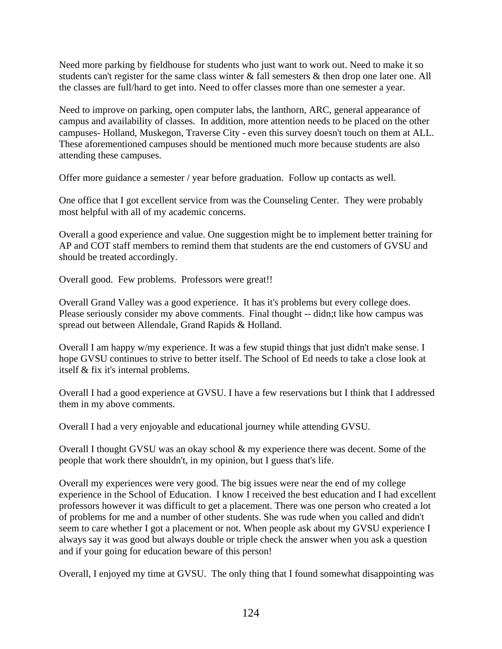Need more parking by fieldhouse for students who just want to work out. Need to make it so students can't register for the same class winter & fall semesters & then drop one later one. All the classes are full/hard to get into. Need to offer classes more than one semester a year.

Need to improve on parking, open computer labs, the lanthorn, ARC, general appearance of campus and availability of classes. In addition, more attention needs to be placed on the other campuses- Holland, Muskegon, Traverse City - even this survey doesn't touch on them at ALL. These aforementioned campuses should be mentioned much more because students are also attending these campuses.

Offer more guidance a semester / year before graduation. Follow up contacts as well.

One office that I got excellent service from was the Counseling Center. They were probably most helpful with all of my academic concerns.

Overall a good experience and value. One suggestion might be to implement better training for AP and COT staff members to remind them that students are the end customers of GVSU and should be treated accordingly.

Overall good. Few problems. Professors were great!!

Overall Grand Valley was a good experience. It has it's problems but every college does. Please seriously consider my above comments. Final thought -- didn;t like how campus was spread out between Allendale, Grand Rapids & Holland.

Overall I am happy w/my experience. It was a few stupid things that just didn't make sense. I hope GVSU continues to strive to better itself. The School of Ed needs to take a close look at itself & fix it's internal problems.

Overall I had a good experience at GVSU. I have a few reservations but I think that I addressed them in my above comments.

Overall I had a very enjoyable and educational journey while attending GVSU.

Overall I thought GVSU was an okay school & my experience there was decent. Some of the people that work there shouldn't, in my opinion, but I guess that's life.

Overall my experiences were very good. The big issues were near the end of my college experience in the School of Education. I know I received the best education and I had excellent professors however it was difficult to get a placement. There was one person who created a lot of problems for me and a number of other students. She was rude when you called and didn't seem to care whether I got a placement or not. When people ask about my GVSU experience I always say it was good but always double or triple check the answer when you ask a question and if your going for education beware of this person!

Overall, I enjoyed my time at GVSU. The only thing that I found somewhat disappointing was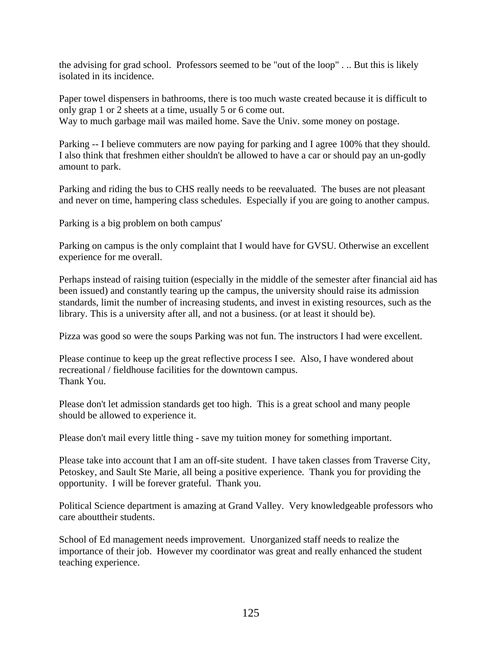the advising for grad school. Professors seemed to be "out of the loop" . .. But this is likely isolated in its incidence.

Paper towel dispensers in bathrooms, there is too much waste created because it is difficult to only grap 1 or 2 sheets at a time, usually 5 or 6 come out. Way to much garbage mail was mailed home. Save the Univ. some money on postage.

Parking -- I believe commuters are now paying for parking and I agree 100% that they should. I also think that freshmen either shouldn't be allowed to have a car or should pay an un-godly amount to park.

Parking and riding the bus to CHS really needs to be reevaluated. The buses are not pleasant and never on time, hampering class schedules. Especially if you are going to another campus.

Parking is a big problem on both campus'

Parking on campus is the only complaint that I would have for GVSU. Otherwise an excellent experience for me overall.

Perhaps instead of raising tuition (especially in the middle of the semester after financial aid has been issued) and constantly tearing up the campus, the university should raise its admission standards, limit the number of increasing students, and invest in existing resources, such as the library. This is a university after all, and not a business. (or at least it should be).

Pizza was good so were the soups Parking was not fun. The instructors I had were excellent.

Please continue to keep up the great reflective process I see. Also, I have wondered about recreational / fieldhouse facilities for the downtown campus. Thank You.

Please don't let admission standards get too high. This is a great school and many people should be allowed to experience it.

Please don't mail every little thing - save my tuition money for something important.

Please take into account that I am an off-site student. I have taken classes from Traverse City, Petoskey, and Sault Ste Marie, all being a positive experience. Thank you for providing the opportunity. I will be forever grateful. Thank you.

Political Science department is amazing at Grand Valley. Very knowledgeable professors who care abouttheir students.

School of Ed management needs improvement. Unorganized staff needs to realize the importance of their job. However my coordinator was great and really enhanced the student teaching experience.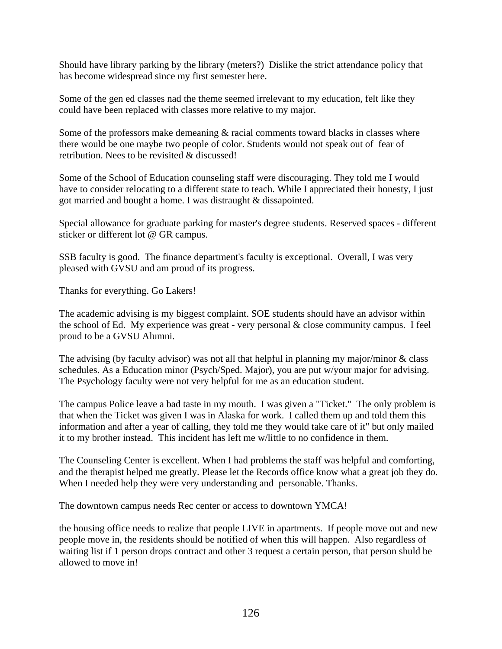Should have library parking by the library (meters?) Dislike the strict attendance policy that has become widespread since my first semester here.

Some of the gen ed classes nad the theme seemed irrelevant to my education, felt like they could have been replaced with classes more relative to my major.

Some of the professors make demeaning  $\&$  racial comments toward blacks in classes where there would be one maybe two people of color. Students would not speak out of fear of retribution. Nees to be revisited & discussed!

Some of the School of Education counseling staff were discouraging. They told me I would have to consider relocating to a different state to teach. While I appreciated their honesty, I just got married and bought a home. I was distraught & dissapointed.

Special allowance for graduate parking for master's degree students. Reserved spaces - different sticker or different lot @ GR campus.

SSB faculty is good. The finance department's faculty is exceptional. Overall, I was very pleased with GVSU and am proud of its progress.

Thanks for everything. Go Lakers!

The academic advising is my biggest complaint. SOE students should have an advisor within the school of Ed. My experience was great - very personal  $\&$  close community campus. I feel proud to be a GVSU Alumni.

The advising (by faculty advisor) was not all that helpful in planning my major/minor  $\&$  class schedules. As a Education minor (Psych/Sped. Major), you are put w/your major for advising. The Psychology faculty were not very helpful for me as an education student.

The campus Police leave a bad taste in my mouth. I was given a "Ticket." The only problem is that when the Ticket was given I was in Alaska for work. I called them up and told them this information and after a year of calling, they told me they would take care of it" but only mailed it to my brother instead. This incident has left me w/little to no confidence in them.

The Counseling Center is excellent. When I had problems the staff was helpful and comforting, and the therapist helped me greatly. Please let the Records office know what a great job they do. When I needed help they were very understanding and personable. Thanks.

The downtown campus needs Rec center or access to downtown YMCA!

the housing office needs to realize that people LIVE in apartments. If people move out and new people move in, the residents should be notified of when this will happen. Also regardless of waiting list if 1 person drops contract and other 3 request a certain person, that person shuld be allowed to move in!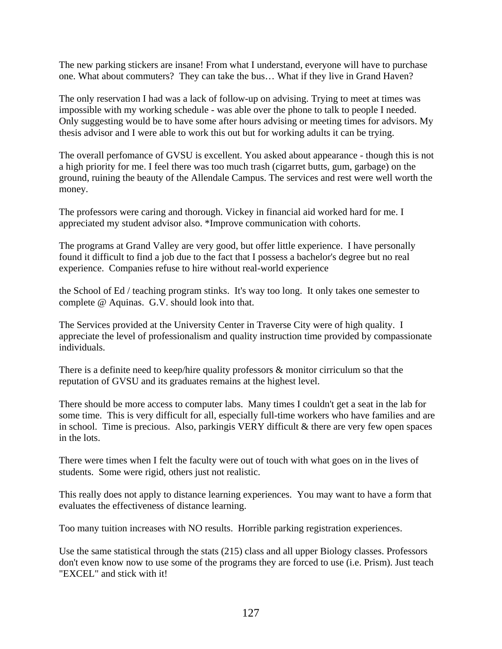The new parking stickers are insane! From what I understand, everyone will have to purchase one. What about commuters? They can take the bus… What if they live in Grand Haven?

The only reservation I had was a lack of follow-up on advising. Trying to meet at times was impossible with my working schedule - was able over the phone to talk to people I needed. Only suggesting would be to have some after hours advising or meeting times for advisors. My thesis advisor and I were able to work this out but for working adults it can be trying.

The overall perfomance of GVSU is excellent. You asked about appearance - though this is not a high priority for me. I feel there was too much trash (cigarret butts, gum, garbage) on the ground, ruining the beauty of the Allendale Campus. The services and rest were well worth the money.

The professors were caring and thorough. Vickey in financial aid worked hard for me. I appreciated my student advisor also. \*Improve communication with cohorts.

The programs at Grand Valley are very good, but offer little experience. I have personally found it difficult to find a job due to the fact that I possess a bachelor's degree but no real experience. Companies refuse to hire without real-world experience

the School of Ed / teaching program stinks. It's way too long. It only takes one semester to complete @ Aquinas. G.V. should look into that.

The Services provided at the University Center in Traverse City were of high quality. I appreciate the level of professionalism and quality instruction time provided by compassionate individuals.

There is a definite need to keep/hire quality professors & monitor cirriculum so that the reputation of GVSU and its graduates remains at the highest level.

There should be more access to computer labs. Many times I couldn't get a seat in the lab for some time. This is very difficult for all, especially full-time workers who have families and are in school. Time is precious. Also, parkingis VERY difficult  $\&$  there are very few open spaces in the lots.

There were times when I felt the faculty were out of touch with what goes on in the lives of students. Some were rigid, others just not realistic.

This really does not apply to distance learning experiences. You may want to have a form that evaluates the effectiveness of distance learning.

Too many tuition increases with NO results. Horrible parking registration experiences.

Use the same statistical through the stats (215) class and all upper Biology classes. Professors don't even know now to use some of the programs they are forced to use (i.e. Prism). Just teach "EXCEL" and stick with it!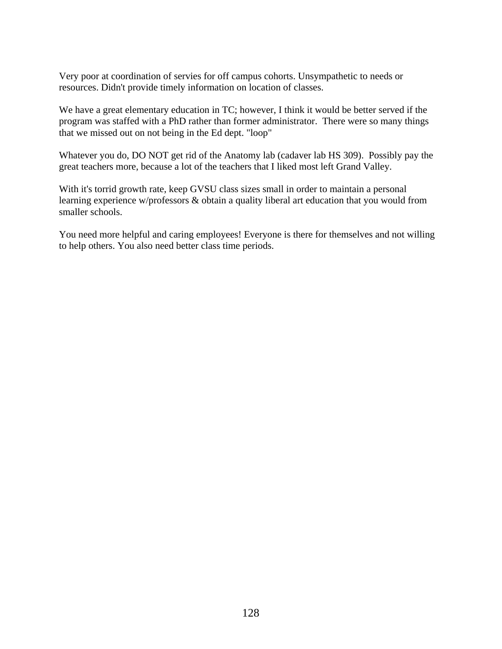Very poor at coordination of servies for off campus cohorts. Unsympathetic to needs or resources. Didn't provide timely information on location of classes.

We have a great elementary education in TC; however, I think it would be better served if the program was staffed with a PhD rather than former administrator. There were so many things that we missed out on not being in the Ed dept. "loop"

Whatever you do, DO NOT get rid of the Anatomy lab (cadaver lab HS 309). Possibly pay the great teachers more, because a lot of the teachers that I liked most left Grand Valley.

With it's torrid growth rate, keep GVSU class sizes small in order to maintain a personal learning experience w/professors & obtain a quality liberal art education that you would from smaller schools.

You need more helpful and caring employees! Everyone is there for themselves and not willing to help others. You also need better class time periods.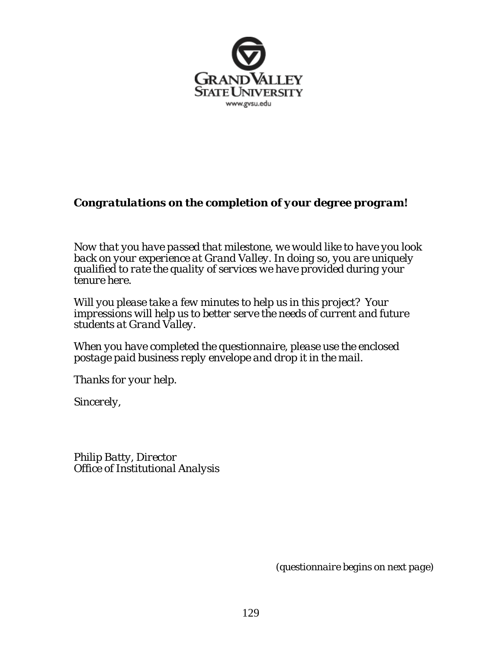

#### *Congratulations on the completion of your degree program!*

*Now that you have passed that milestone, we would like to have you look back on your experience at Grand Valley. In doing so, you are uniquely qualified to rate the quality of services we have provided during your tenure here.* 

*Will you please take a few minutes to help us in this project? Your impressions will help us to better serve the needs of current and future students at Grand Valley.* 

*When you have completed the questionnaire, please use the enclosed postage paid business reply envelope and drop it in the mail.* 

*Thanks for your help.* 

*Sincerely,* 

*Philip Batty, Director Office of Institutional Analysis* 

 *(questionnaire begins on next page)*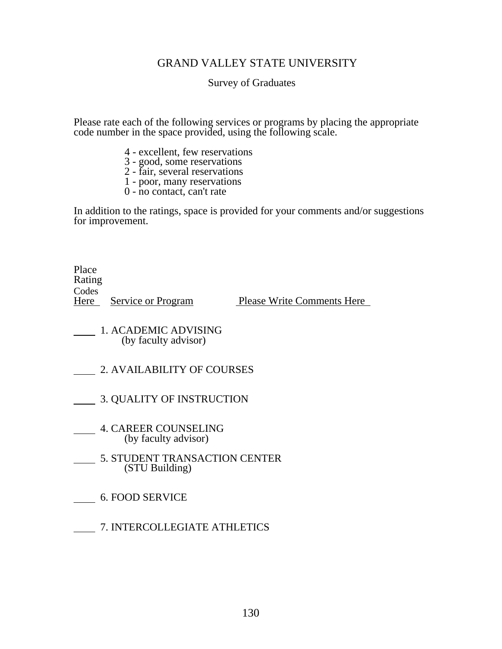#### GRAND VALLEY STATE UNIVERSITY

Survey of Graduates

Please rate each of the following services or programs by placing the appropriate code number in the space provided, using the following scale.

- 4 excellent, few reservations
- 3 good, some reservations
- 2 fair, several reservations
- 1 poor, many reservations
- 0 no contact, can't rate

In addition to the ratings, space is provided for your comments and/or suggestions for improvement.

Place Rating **Codes** 

Here Service or Program Please Write Comments Here

- 1. ACADEMIC ADVISING<br>(by faculty advisor)
- 2. AVAILABILITY OF COURSES
- 3. QUALITY OF INSTRUCTION
	- 4. CAREER COUNSELING (by faculty advisor)
- 5. STUDENT TRANSACTION CENTER<br>(STU Building)
- 6. FOOD SERVICE
- 7. INTERCOLLEGIATE ATHLETICS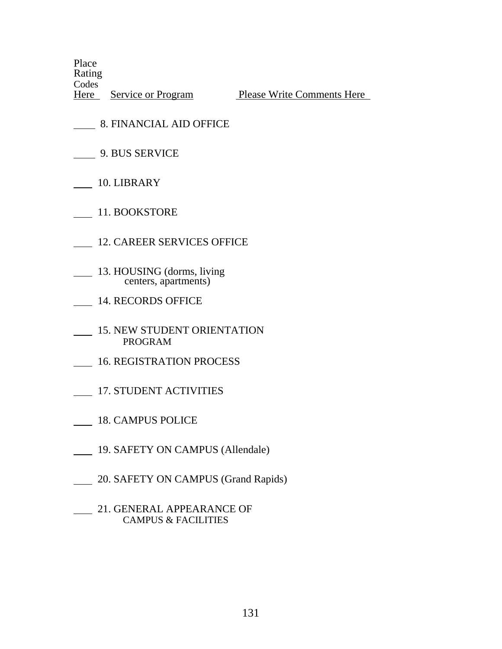Place Rating **Codes** 

Here Service or Program Please Write Comments Here

- 8. FINANCIAL AID OFFICE
- 9. BUS SERVICE
- 10. LIBRARY
- 11. BOOKSTORE
- 12. CAREER SERVICES OFFICE
- 13. HOUSING (dorms, living centers, apartments)
- 14. RECORDS OFFICE
- 15. NEW STUDENT ORIENTATION PROGRAM
- 16. REGISTRATION PROCESS
- 17. STUDENT ACTIVITIES
- 18. CAMPUS POLICE
- 19. SAFETY ON CAMPUS (Allendale)
- 20. SAFETY ON CAMPUS (Grand Rapids)
- 21. GENERAL APPEARANCE OF CAMPUS & FACILITIES